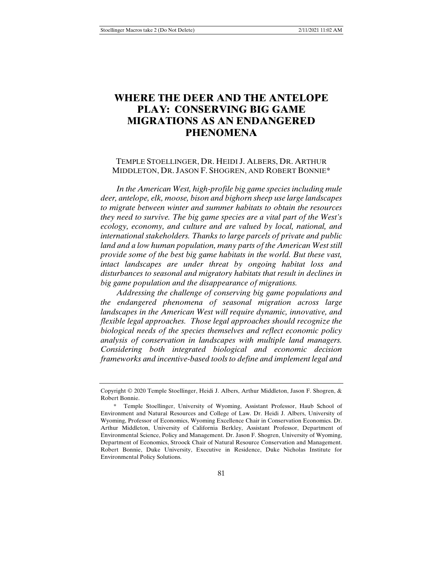# **WHERE THE DEER AND THE ANTELOPE PLAY: CONSERVING BIG GAME MIGRATIONS AS AN ENDANGERED PHENOMENA**

# TEMPLE STOELLINGER, DR. HEIDI J. ALBERS, DR. ARTHUR MIDDLETON, DR. JASON F. SHOGREN, AND ROBERT BONNIE\*

*In the American West, high-profile big game species including mule deer, antelope, elk, moose, bison and bighorn sheep use large landscapes to migrate between winter and summer habitats to obtain the resources they need to survive. The big game species are a vital part of the West's ecology, economy, and culture and are valued by local, national, and international stakeholders. Thanks to large parcels of private and public land and a low human population, many parts of the American West still provide some of the best big game habitats in the world. But these vast, intact landscapes are under threat by ongoing habitat loss and disturbances to seasonal and migratory habitats that result in declines in big game population and the disappearance of migrations.*

*Addressing the challenge of conserving big game populations and the endangered phenomena of seasonal migration across large landscapes in the American West will require dynamic, innovative, and flexible legal approaches. Those legal approaches should recognize the biological needs of the species themselves and reflect economic policy analysis of conservation in landscapes with multiple land managers. Considering both integrated biological and economic decision frameworks and incentive-based tools to define and implement legal and* 

Copyright © 2020 Temple Stoellinger, Heidi J. Albers, Arthur Middleton, Jason F. Shogren, & Robert Bonnie.

 <sup>\*</sup> Temple Stoellinger, University of Wyoming, Assistant Professor, Haub School of Environment and Natural Resources and College of Law. Dr. Heidi J. Albers, University of Wyoming, Professor of Economics, Wyoming Excellence Chair in Conservation Economics. Dr. Arthur Middleton, University of California Berkley, Assistant Professor, Department of Environmental Science, Policy and Management. Dr. Jason F. Shogren, University of Wyoming, Department of Economics, Stroock Chair of Natural Resource Conservation and Management. Robert Bonnie, Duke University, Executive in Residence, Duke Nicholas Institute for Environmental Policy Solutions.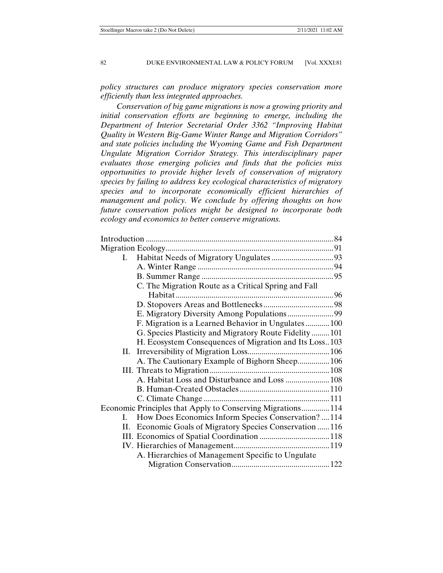*policy structures can produce migratory species conservation more efficiently than less integrated approaches.*

*Conservation of big game migrations is now a growing priority and initial conservation efforts are beginning to emerge, including the Department of Interior Secretarial Order 3362 "Improving Habitat Quality in Western Big-Game Winter Range and Migration Corridors" and state policies including the Wyoming Game and Fish Department Ungulate Migration Corridor Strategy. This interdisciplinary paper evaluates those emerging policies and finds that the policies miss opportunities to provide higher levels of conservation of migratory species by failing to address key ecological characteristics of migratory species and to incorporate economically efficient hierarchies of management and policy. We conclude by offering thoughts on how future conservation polices might be designed to incorporate both ecology and economics to better conserve migrations.* 

| $\mathbf{L}$ |                                                            |  |
|--------------|------------------------------------------------------------|--|
|              |                                                            |  |
|              |                                                            |  |
|              | C. The Migration Route as a Critical Spring and Fall       |  |
|              |                                                            |  |
|              |                                                            |  |
|              |                                                            |  |
|              | F. Migration is a Learned Behavior in Ungulates100         |  |
|              | G. Species Plasticity and Migratory Route Fidelity 101     |  |
|              | H. Ecosystem Consequences of Migration and Its Loss103     |  |
| Н.           |                                                            |  |
|              | A. The Cautionary Example of Bighorn Sheep 106             |  |
|              |                                                            |  |
|              | A. Habitat Loss and Disturbance and Loss  108              |  |
|              |                                                            |  |
|              |                                                            |  |
|              | Economic Principles that Apply to Conserving Migrations114 |  |
| L.           | How Does Economics Inform Species Conservation?  114       |  |
|              | II. Economic Goals of Migratory Species Conservation  116  |  |
|              |                                                            |  |
|              |                                                            |  |
|              | A. Hierarchies of Management Specific to Ungulate          |  |
|              |                                                            |  |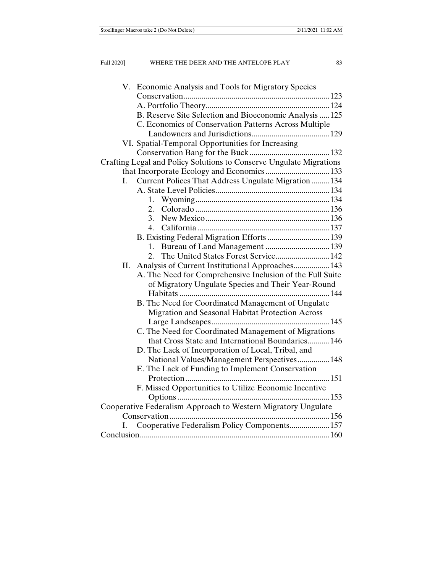| V. Economic Analysis and Tools for Migratory Species                 |  |
|----------------------------------------------------------------------|--|
|                                                                      |  |
|                                                                      |  |
| B. Reserve Site Selection and Bioeconomic Analysis  125              |  |
| C. Economics of Conservation Patterns Across Multiple                |  |
|                                                                      |  |
| VI. Spatial-Temporal Opportunities for Increasing                    |  |
|                                                                      |  |
| Crafting Legal and Policy Solutions to Conserve Ungulate Migrations  |  |
| that Incorporate Ecology and Economics  133                          |  |
| Current Polices That Address Ungulate Migration  134<br>$\mathbf{L}$ |  |
|                                                                      |  |
| 1.                                                                   |  |
|                                                                      |  |
| 3.                                                                   |  |
| $\mathbf{4}$                                                         |  |
| B. Existing Federal Migration Efforts  139                           |  |
| 1.                                                                   |  |
| The United States Forest Service 142<br>$2_{1}$                      |  |
| II. Analysis of Current Institutional Approaches 143                 |  |
| A. The Need for Comprehensive Inclusion of the Full Suite            |  |
| of Migratory Ungulate Species and Their Year-Round                   |  |
|                                                                      |  |
| B. The Need for Coordinated Management of Ungulate                   |  |
| Migration and Seasonal Habitat Protection Across                     |  |
|                                                                      |  |
| C. The Need for Coordinated Management of Migrations                 |  |
| that Cross State and International Boundaries 146                    |  |
| D. The Lack of Incorporation of Local, Tribal, and                   |  |
| National Values/Management Perspectives 148                          |  |
| E. The Lack of Funding to Implement Conservation                     |  |
|                                                                      |  |
| F. Missed Opportunities to Utilize Economic Incentive                |  |
|                                                                      |  |
| Cooperative Federalism Approach to Western Migratory Ungulate        |  |
|                                                                      |  |
| Cooperative Federalism Policy Components 157<br>I.                   |  |
|                                                                      |  |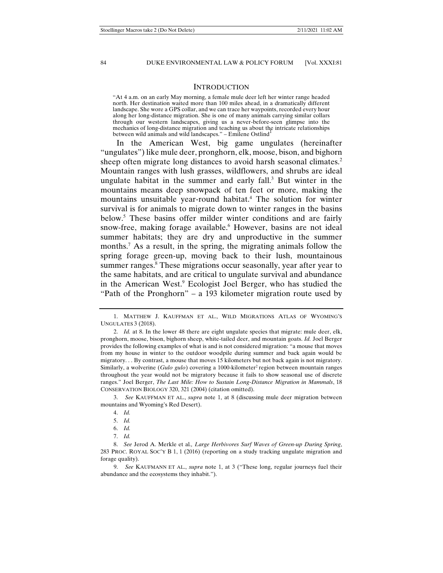#### **INTRODUCTION**

"At 4 a.m. on an early May morning, a female mule deer left her winter range headed north. Her destination waited more than 100 miles ahead, in a dramatically different landscape. She wore a GPS collar, and we can trace her waypoints, recorded every hour along her long-distance migration. She is one of many animals carrying similar collars through our western landscapes, giving us a never-before-seen glimpse into the mechanics of long-distance migration and teaching us about the intricate relationships between wild animals and wild landscapes." – Emilene Ostlind

In the American West, big game ungulates (hereinafter "ungulates") like mule deer, pronghorn, elk, moose, bison, and bighorn sheep often migrate long distances to avoid harsh seasonal climates.<sup>2</sup> Mountain ranges with lush grasses, wildflowers, and shrubs are ideal ungulate habitat in the summer and early fall. $3$  But winter in the mountains means deep snowpack of ten feet or more, making the mountains unsuitable year-round habitat.4 The solution for winter survival is for animals to migrate down to winter ranges in the basins below.5 These basins offer milder winter conditions and are fairly snow-free, making forage available.<sup>6</sup> However, basins are not ideal summer habitats; they are dry and unproductive in the summer months.7 As a result, in the spring, the migrating animals follow the spring forage green-up, moving back to their lush, mountainous summer ranges.<sup>8</sup> These migrations occur seasonally, year after year to the same habitats, and are critical to ungulate survival and abundance in the American West.<sup>9</sup> Ecologist Joel Berger, who has studied the "Path of the Pronghorn" – a 193 kilometer migration route used by

 3. *See* KAUFFMAN ET AL., *supra* note 1, at 8 (discussing mule deer migration between mountains and Wyoming's Red Desert).

 9. *See* KAUFMANN ET AL., *supra* note 1, at 3 ("These long, regular journeys fuel their abundance and the ecosystems they inhabit.").

 <sup>1.</sup> MATTHEW J. KAUFFMAN ET AL., WILD MIGRATIONS ATLAS OF WYOMING'S UNGULATES 3 (2018).

 <sup>2.</sup> *Id.* at 8. In the lower 48 there are eight ungulate species that migrate: mule deer, elk, pronghorn, moose, bison, bighorn sheep, white-tailed deer, and mountain goats. *Id.* Joel Berger provides the following examples of what is and is not considered migration: "a mouse that moves from my house in winter to the outdoor woodpile during summer and back again would be migratory. . . By contrast, a mouse that moves 15 kilometers but not back again is not migratory. Similarly, a wolverine (*Gulo gulo*) covering a 1000-kilometer<sup>2</sup> region between mountain ranges throughout the year would not be migratory because it fails to show seasonal use of discrete ranges." Joel Berger, *The Last Mile: How to Sustain Long-Distance Migration in Mammals*, 18 CONSERVATION BIOLOGY 320, 321 (2004) (citation omitted).

 <sup>4.</sup> *Id.* 

 <sup>5.</sup> *Id.*

 <sup>6.</sup> *Id.*

 <sup>7.</sup> *Id.*

 <sup>8.</sup> *See* Jerod A. Merkle et al*., Large Herbivores Surf Waves of Green-up During Spring*, 283 PROC. ROYAL SOC'Y B 1, 1 (2016) (reporting on a study tracking ungulate migration and forage quality).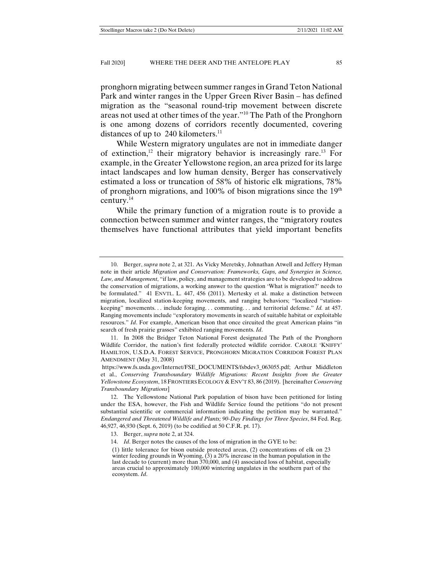pronghorn migrating between summer ranges in Grand Teton National Park and winter ranges in the Upper Green River Basin – has defined migration as the "seasonal round-trip movement between discrete areas not used at other times of the year."10 The Path of the Pronghorn is one among dozens of corridors recently documented, covering distances of up to  $240$  kilometers.<sup>11</sup>

While Western migratory ungulates are not in immediate danger of extinction,<sup>12</sup> their migratory behavior is increasingly rare.<sup>13</sup> For example, in the Greater Yellowstone region, an area prized for its large intact landscapes and low human density, Berger has conservatively estimated a loss or truncation of 58% of historic elk migrations, 78% of pronghorn migrations, and 100% of bison migrations since the  $19<sup>th</sup>$ century.14

While the primary function of a migration route is to provide a connection between summer and winter ranges, the "migratory routes themselves have functional attributes that yield important benefits

 <sup>10.</sup> Berger, *supra* note 2, at 321. As Vicky Meretsky, Johnathan Atwell and Jeffery Hyman note in their article *Migration and Conservation: Frameworks, Gaps, and Synergies in Science, Law, and Management*, "if law, policy, and management strategies are to be developed to address the conservation of migrations, a working answer to the question 'What is migration?' needs to be formulated." 41 ENVTL. L. 447, 456 (2011). Mertesky et al. make a distinction between migration, localized station-keeping movements, and ranging behaviors; "localized "stationkeeping" movements. . . include foraging. . . commuting. . . and territorial defense." *Id.* at 457. Ranging movements include "exploratory movements in search of suitable habitat or exploitable resources." *Id*. For example, American bison that once circuited the great American plains "in search of fresh prairie grasses" exhibited ranging movements. *Id*.

 <sup>11.</sup> In 2008 the Bridger Teton National Forest designated The Path of the Pronghorn Wildlife Corridor, the nation's first federally protected wildlife corridor. CAROLE 'KNIFFY' HAMILTON, U.S.D.A. FOREST SERVICE, PRONGHORN MIGRATION CORRIDOR FOREST PLAN AMENDMENT (May 31, 2008)

https://www.fs.usda.gov/Internet/FSE\_DOCUMENTS/fsbdev3\_063055.pdf; Arthur Middleton et al., *Conserving Transboundary Wildlife Migrations: Recent Insights from the Greater Yellowstone Ecosystem*, 18 FRONTIERS ECOLOGY & ENV'T 83, 86 (2019). [hereinafter *Conserving Transboundary Migrations*]

 <sup>12.</sup> The Yellowstone National Park population of bison have been petitioned for listing under the ESA, however, the Fish and Wildlife Service found the petitions "do not present substantial scientific or commercial information indicating the petition may be warranted." *Endangered and Threatened Wildlife and Plants; 90-Day Findings for Three Species*, 84 Fed. Reg. 46,927, 46,930 (Sept. 6, 2019) (to be codified at 50 C.F.R. pt. 17).

 <sup>13.</sup> Berger, *supra* note 2, at 324.

 <sup>14.</sup> *Id*. Berger notes the causes of the loss of migration in the GYE to be:

<sup>(1)</sup> little tolerance for bison outside protected areas, (2) concentrations of elk on 23 winter feeding grounds in Wyoming, (3) a 20% increase in the human population in the last decade to (current) more than  $370,000$ , and (4) associated loss of habitat, especially areas crucial to approximately 100,000 wintering ungulates in the southern part of the ecosystem. *Id*.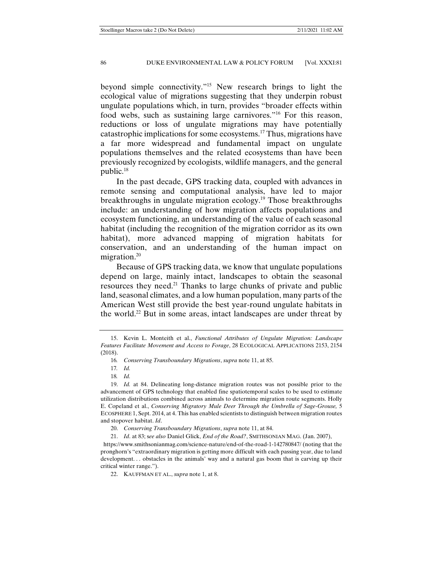beyond simple connectivity."15 New research brings to light the ecological value of migrations suggesting that they underpin robust ungulate populations which, in turn, provides "broader effects within food webs, such as sustaining large carnivores."<sup>16</sup> For this reason, reductions or loss of ungulate migrations may have potentially catastrophic implications for some ecosystems.17 Thus, migrations have a far more widespread and fundamental impact on ungulate populations themselves and the related ecosystems than have been previously recognized by ecologists, wildlife managers, and the general public.18

In the past decade, GPS tracking data, coupled with advances in remote sensing and computational analysis, have led to major breakthroughs in ungulate migration ecology.19 Those breakthroughs include: an understanding of how migration affects populations and ecosystem functioning, an understanding of the value of each seasonal habitat (including the recognition of the migration corridor as its own habitat), more advanced mapping of migration habitats for conservation, and an understanding of the human impact on migration.<sup>20</sup>

Because of GPS tracking data, we know that ungulate populations depend on large, mainly intact, landscapes to obtain the seasonal resources they need.<sup>21</sup> Thanks to large chunks of private and public land, seasonal climates, and a low human population, many parts of the American West still provide the best year-round ungulate habitats in the world.<sup>22</sup> But in some areas, intact landscapes are under threat by

 https://www.smithsonianmag.com/science-nature/end-of-the-road-1-142780847/ (noting that the pronghorn's "extraordinary migration is getting more difficult with each passing year, due to land development. . . obstacles in the animals' way and a natural gas boom that is carving up their critical winter range.").

22. KAUFFMAN ET AL., *supra* note 1, at 8.

 <sup>15.</sup> Kevin L. Monteith et al., *Functional Attributes of Ungulate Migration: Landscape Features Facilitate Movement and Access to Forage*, 28 ECOLOGICAL APPLICATIONS 2153, 2154 (2018).

<sup>16</sup>*. Conserving Transboundary Migrations*, *supra* note 11, at 85.

<sup>17</sup>*. Id.* 

<sup>18</sup>*. Id.*

 <sup>19.</sup> *Id.* at 84. Delineating long-distance migration routes was not possible prior to the advancement of GPS technology that enabled fine spatiotemporal scales to be used to estimate utilization distributions combined across animals to determine migration route segments. Holly E. Copeland et al., *Conserving Migratory Mule Deer Through the Umbrella of Sage-Grouse,* 5 ECOSPHERE 1, Sept. 2014, at 4. This has enabled scientists to distinguish between migration routes and stopover habitat. *Id*.

 <sup>20.</sup> *Conserving Transboundary Migrations*, *supra* note 11, at 84.

 <sup>21.</sup> *Id*. at 83; s*ee also* Daniel Glick, *End of the Road?*, SMITHSONIAN MAG. (Jan. 2007),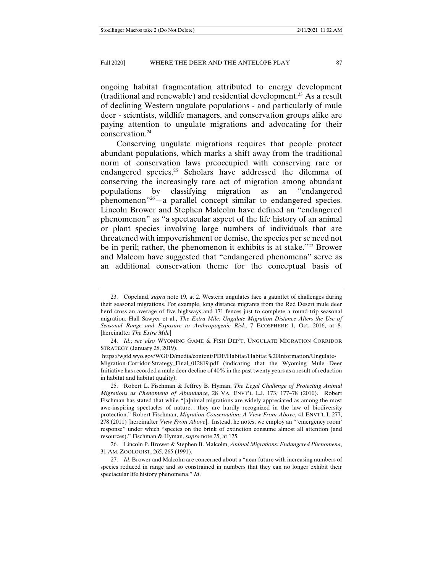ongoing habitat fragmentation attributed to energy development (traditional and renewable) and residential development.23 As a result of declining Western ungulate populations - and particularly of mule deer - scientists, wildlife managers, and conservation groups alike are paying attention to ungulate migrations and advocating for their conservation.24

Conserving ungulate migrations requires that people protect abundant populations, which marks a shift away from the traditional norm of conservation laws preoccupied with conserving rare or endangered species.25 Scholars have addressed the dilemma of conserving the increasingly rare act of migration among abundant populations by classifying migration as an "endangered phenomenon"26—a parallel concept similar to endangered species. Lincoln Brower and Stephen Malcolm have defined an "endangered phenomenon" as "a spectacular aspect of the life history of an animal or plant species involving large numbers of individuals that are threatened with impoverishment or demise, the species per se need not be in peril; rather, the phenomenon it exhibits is at stake."<sup>27</sup> Brower and Malcom have suggested that "endangered phenomena" serve as an additional conservation theme for the conceptual basis of

 <sup>23.</sup> Copeland, *supra* note 19, at 2. Western ungulates face a gauntlet of challenges during their seasonal migrations. For example, long distance migrants from the Red Desert mule deer herd cross an average of five highways and 171 fences just to complete a round-trip seasonal migration. Hall Sawyer et al., *The Extra Mile: Ungulate Migration Distance Alters the Use of Seasonal Range and Exposure to Anthropogenic Risk*, 7 ECOSPHERE 1, Oct. 2016, at 8. [hereinafter *The Extra Mile*]

 <sup>24.</sup> *Id*.; *see also* WYOMING GAME & FISH DEP'T, UNGULATE MIGRATION CORRIDOR STRATEGY (January 28, 2019),

https://wgfd.wyo.gov/WGFD/media/content/PDF/Habitat/Habitat%20Information/Ungulate-

Migration-Corridor-Strategy\_Final\_012819.pdf (indicating that the Wyoming Mule Deer Initiative has recorded a mule deer decline of 40% in the past twenty years as a result of reduction in habitat and habitat quality).

 <sup>25.</sup> Robert L. Fischman & Jeffrey B. Hyman, *The Legal Challenge of Protecting Animal Migrations as Phenomena of Abundance*, 28 VA. ENVT'L L.J. 173, 177–78 (2010). Robert Fischman has stated that while "[a]nimal migrations are widely appreciated as among the most awe-inspiring spectacles of nature. . .they are hardly recognized in the law of biodiversity protection." Robert Fischman, *Migration Conservation: A View From Above*, 41 ENVT'L L 277, 278 (2011) [hereinafter *View From Above*]. Instead, he notes, we employ an "'emergency room' response" under which "species on the brink of extinction consume almost all attention (and resources)." Fischman & Hyman, *supra* note 25, at 175.

 <sup>26.</sup> Lincoln P. Brower & Stephen B. Malcolm, *Animal Migrations: Endangered Phenomena*, 31 AM. ZOOLOGIST, 265, 265 (1991).

 <sup>27.</sup> *Id*. Brower and Malcolm are concerned about a "near future with increasing numbers of species reduced in range and so constrained in numbers that they can no longer exhibit their spectacular life history phenomena." *Id*.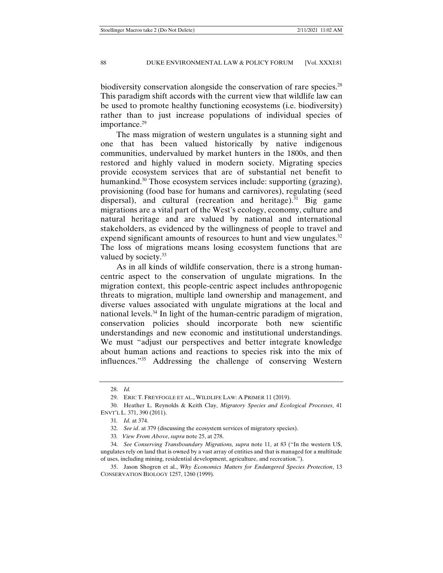biodiversity conservation alongside the conservation of rare species.<sup>28</sup> This paradigm shift accords with the current view that wildlife law can be used to promote healthy functioning ecosystems (i.e. biodiversity) rather than to just increase populations of individual species of importance.<sup>29</sup>

The mass migration of western ungulates is a stunning sight and one that has been valued historically by native indigenous communities, undervalued by market hunters in the 1800s, and then restored and highly valued in modern society. Migrating species provide ecosystem services that are of substantial net benefit to humankind.<sup>30</sup> Those ecosystem services include: supporting (grazing), provisioning (food base for humans and carnivores), regulating (seed dispersal), and cultural (recreation and heritage).<sup>31</sup> Big game migrations are a vital part of the West's ecology, economy, culture and natural heritage and are valued by national and international stakeholders, as evidenced by the willingness of people to travel and expend significant amounts of resources to hunt and view ungulates. $32$ The loss of migrations means losing ecosystem functions that are valued by society.<sup>33</sup>

As in all kinds of wildlife conservation, there is a strong humancentric aspect to the conservation of ungulate migrations. In the migration context, this people-centric aspect includes anthropogenic threats to migration, multiple land ownership and management, and diverse values associated with ungulate migrations at the local and national levels.<sup>34</sup> In light of the human-centric paradigm of migration, conservation policies should incorporate both new scientific understandings and new economic and institutional understandings. We must "adjust our perspectives and better integrate knowledge about human actions and reactions to species risk into the mix of influences."35 Addressing the challenge of conserving Western

 <sup>28.</sup> *Id.*

 <sup>29.</sup> ERIC T. FREYFOGLE ET AL., WILDLIFE LAW: A PRIMER 11 (2019).

 <sup>30.</sup> Heather L. Reynolds & Keith Clay, *Migratory Species and Ecological Processes*, 41 ENVT'L L. 371, 390 (2011).

<sup>31</sup>*. Id*. at 374.

 <sup>32.</sup> *See id*. at 379 (discussing the ecosystem services of migratory species).

<sup>33</sup>*. View From Above*, *supra* note 25, at 278.

 <sup>34.</sup> *See Conserving Transboundary Migrations, supra* note 11, at 83 ("In the western US, ungulates rely on land that is owned by a vast array of entities and that is managed for a multitude of uses, including mining, residential development, agriculture, and recreation.").

 <sup>35.</sup> Jason Shogren et al., *Why Economics Matters for Endangered Species Protection*, 13 CONSERVATION BIOLOGY 1257, 1260 (1999).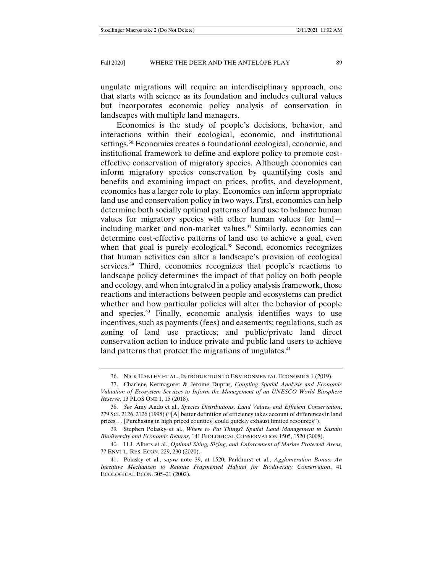ungulate migrations will require an interdisciplinary approach, one that starts with science as its foundation and includes cultural values but incorporates economic policy analysis of conservation in landscapes with multiple land managers.

Economics is the study of people's decisions, behavior, and interactions within their ecological, economic, and institutional settings.<sup>36</sup> Economics creates a foundational ecological, economic, and institutional framework to define and explore policy to promote costeffective conservation of migratory species. Although economics can inform migratory species conservation by quantifying costs and benefits and examining impact on prices, profits, and development, economics has a larger role to play. Economics can inform appropriate land use and conservation policy in two ways. First, economics can help determine both socially optimal patterns of land use to balance human values for migratory species with other human values for land including market and non-market values.<sup>37</sup> Similarly, economics can determine cost-effective patterns of land use to achieve a goal, even when that goal is purely ecological.<sup>38</sup> Second, economics recognizes that human activities can alter a landscape's provision of ecological services.<sup>39</sup> Third, economics recognizes that people's reactions to landscape policy determines the impact of that policy on both people and ecology, and when integrated in a policy analysis framework, those reactions and interactions between people and ecosystems can predict whether and how particular policies will alter the behavior of people and species.40 Finally, economic analysis identifies ways to use incentives, such as payments (fees) and easements; regulations, such as zoning of land use practices; and public/private land direct conservation action to induce private and public land users to achieve land patterns that protect the migrations of ungulates.<sup>41</sup>

 <sup>36.</sup> NICK HANLEY ET AL., INTRODUCTION TO ENVIRONMENTAL ECONOMICS 1 (2019).

 <sup>37.</sup> Charlene Kermagoret & Jerome Dupras, *Coupling Spatial Analysis and Economic Valuation of Ecosystem Services to Inform the Management of an UNESCO World Biosphere Reserve*, 13 PLOS ONE 1, 15 (2018).

 <sup>38.</sup> *See* Amy Ando et al., *Species Distributions, Land Values, and Efficient Conservation*, 279 SCI. 2126, 2126 (1998) ("[A] better definition of efficiency takes account of differences in land prices. . . [Purchasing in high priced counties] could quickly exhaust limited resources").

<sup>39</sup>*.* Stephen Polasky et al., *Where to Put Things? Spatial Land Management to Sustain Biodiversity and Economic Returns*, 141 BIOLOGICAL CONSERVATION 1505, 1520 (2008).

<sup>40</sup>*.* H.J. Albers et al., *Optimal Siting, Sizing, and Enforcement of Marine Protected Areas*, 77 ENVT'L. RES. ECON. 229, 230 (2020).

 <sup>41.</sup> Polasky et al., *supra* note 39, at 1520; Parkhurst et al., *Agglomeration Bonus: An Incentive Mechanism to Reunite Fragmented Habitat for Biodiversity Conservation*, 41 ECOLOGICAL ECON. 305–21 (2002).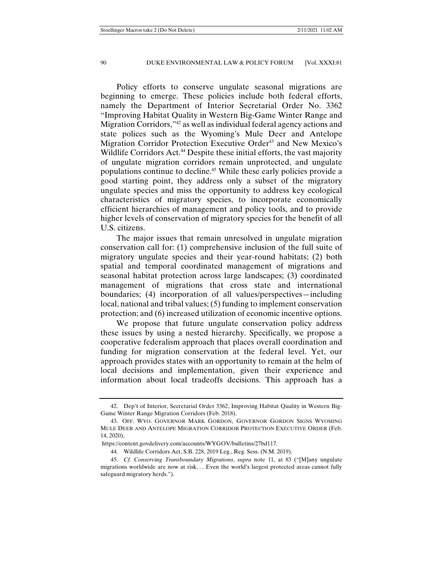Policy efforts to conserve ungulate seasonal migrations are beginning to emerge. These policies include both federal efforts, namely the Department of Interior Secretarial Order No. 3362 "Improving Habitat Quality in Western Big-Game Winter Range and Migration Corridors,"42 as well as individual federal agency actions and state polices such as the Wyoming's Mule Deer and Antelope Migration Corridor Protection Executive Order<sup>43</sup> and New Mexico's Wildlife Corridors Act.<sup>44</sup> Despite these initial efforts, the vast majority of ungulate migration corridors remain unprotected, and ungulate populations continue to decline.45 While these early policies provide a good starting point, they address only a subset of the migratory ungulate species and miss the opportunity to address key ecological characteristics of migratory species, to incorporate economically efficient hierarchies of management and policy tools, and to provide higher levels of conservation of migratory species for the benefit of all U.S. citizens.

The major issues that remain unresolved in ungulate migration conservation call for: (1) comprehensive inclusion of the full suite of migratory ungulate species and their year-round habitats; (2) both spatial and temporal coordinated management of migrations and seasonal habitat protection across large landscapes; (3) coordinated management of migrations that cross state and international boundaries; (4) incorporation of all values/perspectives—including local, national and tribal values; (5) funding to implement conservation protection; and (6) increased utilization of economic incentive options.

We propose that future ungulate conservation policy address these issues by using a nested hierarchy. Specifically, we propose a cooperative federalism approach that places overall coordination and funding for migration conservation at the federal level. Yet, our approach provides states with an opportunity to remain at the helm of local decisions and implementation, given their experience and information about local tradeoffs decisions. This approach has a

 <sup>42.</sup> Dep't of Interior, Secretarial Order 3362, Improving Habitat Quality in Western Big-Game Winter Range Migration Corridors (Feb. 2018).

 <sup>43.</sup> OFF. WYO. GOVERNOR MARK GORDON, GOVERNOR GORDON SIGNS WYOMING MULE DEER AND ANTELOPE MIGRATION CORRIDOR PROTECTION EXECUTIVE ORDER (Feb. 14, 2020),

https://content.govdelivery.com/accounts/WYGOV/bulletins/27bd117.

 <sup>44.</sup> Wildlife Corridors Act, S.B. 228, 2019 Leg., Reg. Sess. (N.M. 2019).

 <sup>45.</sup> *Cf. Conserving Transboundary Migrations*, *supra* note 11, at 83 ("[M]any ungulate migrations worldwide are now at risk. . . Even the world's largest protected areas cannot fully safeguard migratory herds.").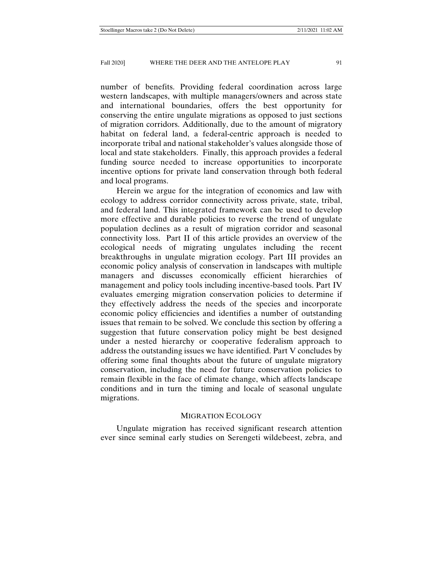number of benefits. Providing federal coordination across large western landscapes, with multiple managers/owners and across state and international boundaries, offers the best opportunity for conserving the entire ungulate migrations as opposed to just sections of migration corridors. Additionally, due to the amount of migratory habitat on federal land, a federal-centric approach is needed to incorporate tribal and national stakeholder's values alongside those of local and state stakeholders. Finally, this approach provides a federal funding source needed to increase opportunities to incorporate incentive options for private land conservation through both federal and local programs.

Herein we argue for the integration of economics and law with ecology to address corridor connectivity across private, state, tribal, and federal land. This integrated framework can be used to develop more effective and durable policies to reverse the trend of ungulate population declines as a result of migration corridor and seasonal connectivity loss. Part II of this article provides an overview of the ecological needs of migrating ungulates including the recent breakthroughs in ungulate migration ecology. Part III provides an economic policy analysis of conservation in landscapes with multiple managers and discusses economically efficient hierarchies of management and policy tools including incentive-based tools. Part IV evaluates emerging migration conservation policies to determine if they effectively address the needs of the species and incorporate economic policy efficiencies and identifies a number of outstanding issues that remain to be solved. We conclude this section by offering a suggestion that future conservation policy might be best designed under a nested hierarchy or cooperative federalism approach to address the outstanding issues we have identified. Part V concludes by offering some final thoughts about the future of ungulate migratory conservation, including the need for future conservation policies to remain flexible in the face of climate change, which affects landscape conditions and in turn the timing and locale of seasonal ungulate migrations.

## MIGRATION ECOLOGY

Ungulate migration has received significant research attention ever since seminal early studies on Serengeti wildebeest, zebra, and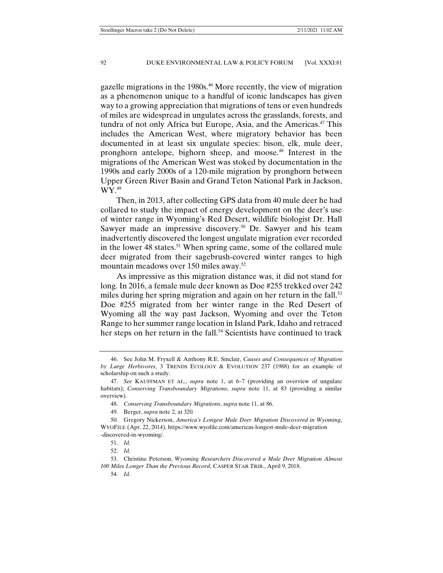gazelle migrations in the 1980s.<sup>46</sup> More recently, the view of migration as a phenomenon unique to a handful of iconic landscapes has given way to a growing appreciation that migrations of tens or even hundreds of miles are widespread in ungulates across the grasslands, forests, and tundra of not only Africa but Europe, Asia, and the Americas.<sup>47</sup> This includes the American West, where migratory behavior has been documented in at least six ungulate species: bison, elk, mule deer, pronghorn antelope, bighorn sheep, and moose.48 Interest in the migrations of the American West was stoked by documentation in the 1990s and early 2000s of a 120-mile migration by pronghorn between Upper Green River Basin and Grand Teton National Park in Jackson, WY.49

Then, in 2013, after collecting GPS data from 40 mule deer he had collared to study the impact of energy development on the deer's use of winter range in Wyoming's Red Desert, wildlife biologist Dr. Hall Sawyer made an impressive discovery.<sup>50</sup> Dr. Sawyer and his team inadvertently discovered the longest ungulate migration ever recorded in the lower 48 states.<sup>51</sup> When spring came, some of the collared mule deer migrated from their sagebrush-covered winter ranges to high mountain meadows over 150 miles away.<sup>52</sup>

As impressive as this migration distance was, it did not stand for long. In 2016, a female mule deer known as Doe #255 trekked over 242 miles during her spring migration and again on her return in the fall.<sup>53</sup> Doe #255 migrated from her winter range in the Red Desert of Wyoming all the way past Jackson, Wyoming and over the Teton Range to her summer range location in Island Park, Idaho and retraced her steps on her return in the fall.<sup>54</sup> Scientists have continued to track

54*. Id*.

 <sup>46.</sup> See John M. Fryxell & Anthony R.E. Sinclair, *Causes and Consequences of Migration by Large Herbivores*, 3 TRENDS ECOLOGY & EVOLUTION 237 (1988) for an example of scholarship on such a study.

 <sup>47.</sup> *See* KAUFFMAN ET AL., *supra* note 1, at 6–7 (providing an overview of ungulate habitats); *Conserving Transboundary Migrations*, *supra* note 11, at 83 (providing a similar overview).

 <sup>48.</sup> *Conserving Transboundary Migrations*, *supra* note 11, at 86.

 <sup>49.</sup> Berger, *supra* note 2, at 320.

 <sup>50.</sup> Gregory Nickerson, *America's Longest Mule Deer Migration Discovered in Wyoming*, WYOFILE (Apr. 22, 2014), https://www.wyofile.com/americas-longest-mule-deer-migration -discovered-in-wyoming/.

 <sup>51.</sup> *Id*.

 <sup>52.</sup> *Id*.

 <sup>53.</sup> Christine Peterson, *Wyoming Researchers Discovered a Mule Deer Migration Almost 100 Miles Longer Than the Previous Record*, CASPER STAR TRIB., April 9, 2018.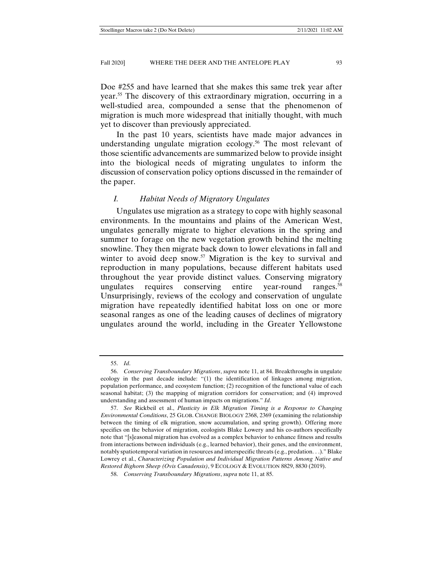Doe #255 and have learned that she makes this same trek year after year.55 The discovery of this extraordinary migration, occurring in a well-studied area, compounded a sense that the phenomenon of migration is much more widespread that initially thought, with much yet to discover than previously appreciated.

In the past 10 years, scientists have made major advances in understanding ungulate migration ecology.<sup>56</sup> The most relevant of those scientific advancements are summarized below to provide insight into the biological needs of migrating ungulates to inform the discussion of conservation policy options discussed in the remainder of the paper.

#### *I. Habitat Needs of Migratory Ungulates*

Ungulates use migration as a strategy to cope with highly seasonal environments. In the mountains and plains of the American West, ungulates generally migrate to higher elevations in the spring and summer to forage on the new vegetation growth behind the melting snowline. They then migrate back down to lower elevations in fall and winter to avoid deep snow.<sup>57</sup> Migration is the key to survival and reproduction in many populations, because different habitats used throughout the year provide distinct values. Conserving migratory ungulates requires conserving entire year-round ranges.<sup>58</sup> Unsurprisingly, reviews of the ecology and conservation of ungulate migration have repeatedly identified habitat loss on one or more seasonal ranges as one of the leading causes of declines of migratory ungulates around the world, including in the Greater Yellowstone

 <sup>55.</sup> *Id*.

 <sup>56.</sup> *Conserving Transboundary Migrations*, *supra* note 11, at 84. Breakthroughs in ungulate ecology in the past decade include: "(1) the identification of linkages among migration, population performance, and ecosystem function; (2) recognition of the functional value of each seasonal habitat; (3) the mapping of migration corridors for conservation; and (4) improved understanding and assessment of human impacts on migrations." *Id*.

 <sup>57.</sup> *See* Rickbeil et al., *Plasticity in Elk Migration Timing is a Response to Changing Environmental Conditions*, 25 GLOB. CHANGE BIOLOGY 2368, 2369 (examining the relationship between the timing of elk migration, snow accumulation, and spring growth). Offering more specifics on the behavior of migration, ecologists Blake Lowery and his co-authors specifically note that "[s]easonal migration has evolved as a complex behavior to enhance fitness and results from interactions between individuals (e.g., learned behavior), their genes, and the environment, notably spatiotemporal variation in resources and interspecific threats (e.g., predation. . .)." Blake Lowrey et al., *Characterizing Population and Individual Migration Patterns Among Native and Restored Bighorn Sheep (Ovis Canadensis)*, 9 ECOLOGY & EVOLUTION 8829, 8830 (2019).

 <sup>58.</sup> *Conserving Transboundary Migrations*, *supra* note 11, at 85.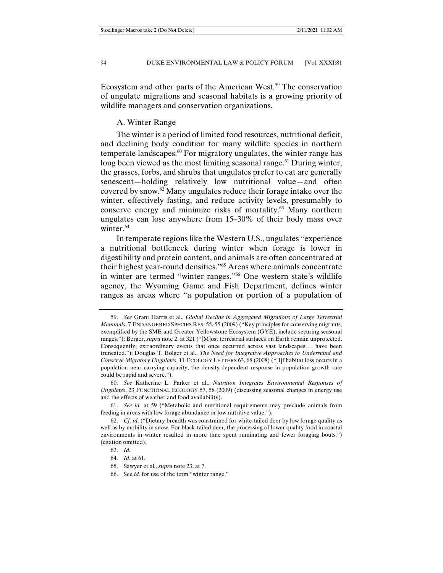Ecosystem and other parts of the American West.<sup>59</sup> The conservation of ungulate migrations and seasonal habitats is a growing priority of wildlife managers and conservation organizations.

#### A. Winter Range

The winter is a period of limited food resources, nutritional deficit, and declining body condition for many wildlife species in northern temperate landscapes.<sup>60</sup> For migratory ungulates, the winter range has long been viewed as the most limiting seasonal range.<sup> $61$ </sup> During winter, the grasses, forbs, and shrubs that ungulates prefer to eat are generally senescent—holding relatively low nutritional value—and often covered by snow.62 Many ungulates reduce their forage intake over the winter, effectively fasting, and reduce activity levels, presumably to conserve energy and minimize risks of mortality.63 Many northern ungulates can lose anywhere from 15–30% of their body mass over winter.<sup>64</sup>

In temperate regions like the Western U.S., ungulates "experience a nutritional bottleneck during winter when forage is lower in digestibility and protein content, and animals are often concentrated at their highest year-round densities."65 Areas where animals concentrate in winter are termed "winter ranges."66 One western state's wildlife agency, the Wyoming Game and Fish Department, defines winter ranges as areas where "a population or portion of a population of

 <sup>59.</sup> *See* Grant Harris et al., *Global Decline in Aggregated Migrations of Large Terrestrial Mammals*, 7 ENDANGERED SPECIES RES. 55, 55 (2009) ("Key principles for conserving migrants, exemplified by the SME and Greater Yellowstone Ecosystem (GYE), include securing seasonal ranges."); Berger, *supra* note 2, at 321 ("[M]ost terrestrial surfaces on Earth remain unprotected. Consequently, extraordinary events that once occurred across vast landscapes. . . have been truncated."); Douglas T. Bolger et al., *The Need for Integrative Approaches to Understand and Conserve Migratory Ungulates*, 11 ECOLOGY LETTERS 63, 68 (2008) ("[I]f habitat loss occurs in a population near carrying capacity, the density-dependent response in population growth rate could be rapid and severe.").

 <sup>60.</sup> *See* Katherine L. Parker et al., *Nutrition Integrates Environmental Responses of Ungulates*, 23 FUNCTIONAL ECOLOGY 57, 58 (2009) (discussing seasonal changes in energy use and the effects of weather and food availability).

 <sup>61.</sup> *See id.* at 59 ("Metabolic and nutritional requirements may preclude animals from feeding in areas with low forage abundance or low nutritive value.").

 <sup>62.</sup> *Cf. id*. ("Dietary breadth was constrained for white-tailed deer by low forage quality as well as by mobility in snow. For black-tailed deer, the processing of lower quality food in coastal environments in winter resulted in more time spent ruminating and fewer foraging bouts.") (citation omitted).

 <sup>63.</sup> *Id*.

 <sup>64.</sup> *Id*. at 61.

 <sup>65.</sup> Sawyer et al., *supra* note 23, at 7.

 <sup>66.</sup> See *id.* for use of the term "winter range."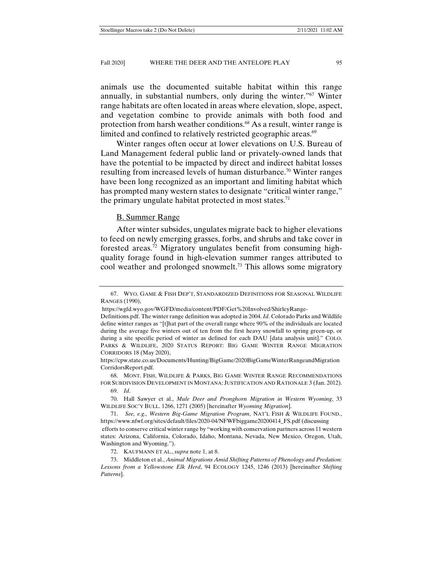animals use the documented suitable habitat within this range annually, in substantial numbers, only during the winter."67 Winter range habitats are often located in areas where elevation, slope, aspect, and vegetation combine to provide animals with both food and protection from harsh weather conditions.<sup>68</sup> As a result, winter range is limited and confined to relatively restricted geographic areas.<sup>69</sup>

Winter ranges often occur at lower elevations on U.S. Bureau of Land Management federal public land or privately-owned lands that have the potential to be impacted by direct and indirect habitat losses resulting from increased levels of human disturbance.<sup>70</sup> Winter ranges have been long recognized as an important and limiting habitat which has prompted many western states to designate "critical winter range," the primary ungulate habitat protected in most states.<sup>71</sup>

#### B. Summer Range

After winter subsides, ungulates migrate back to higher elevations to feed on newly emerging grasses, forbs, and shrubs and take cover in forested areas.72 Migratory ungulates benefit from consuming highquality forage found in high-elevation summer ranges attributed to cool weather and prolonged snowmelt.73 This allows some migratory

 68. MONT. FISH, WILDLIFE & PARKS, BIG GAME WINTER RANGE RECOMMENDATIONS FOR SUBDIVISION DEVELOPMENT IN MONTANA: JUSTIFICATION AND RATIONALE 3 (Jan. 2012).

 <sup>67.</sup> WYO. GAME & FISH DEP'T, STANDARDIZED DEFINITIONS FOR SEASONAL WILDLIFE RANGES (1990),

https://wgfd.wyo.gov/WGFD/media/content/PDF/Get%20Involved/ShirleyRange-

Definitions.pdf. The winter range definition was adopted in 2004. *Id*. Colorado Parks and Wildlife define winter ranges as "[t]hat part of the overall range where 90% of the individuals are located during the average five winters out of ten from the first heavy snowfall to spring green-up, or during a site specific period of winter as defined for each DAU [data analysis unit]." COLO. PARKS & WILDLIFE, 2020 STATUS REPORT: BIG GAME WINTER RANGE MIGRATION CORRIDORS 18 (May 2020),

https://cpw.state.co.us/Documents/Hunting/BigGame/2020BigGameWinterRangeandMigration CorridorsReport.pdf.

 <sup>69.</sup> *Id*.

 <sup>70.</sup> Hall Sawyer et al., *Mule Deer and Pronghorn Migration in Western Wyoming*, 33 WILDLIFE SOC'Y BULL. 1266, 1271 (2005) [hereinafter *Wyoming Migration*].

 <sup>71.</sup> *See, e.g., Western Big-Game Migration Program*, NAT'L FISH & WILDLIFE FOUND., https://www.nfwf.org/sites/default/files/2020-04/NFWFbiggame20200414\_FS.pdf (discussing efforts to conserve critical winter range by "working with conservation partners across 11 western states: Arizona, California, Colorado, Idaho, Montana, Nevada, New Mexico, Oregon, Utah, Washington and Wyoming.").

 <sup>72.</sup> KAUFMANN ET AL., *supra* note 1, at 8.

 <sup>73.</sup> Middleton et al., *Animal Migrations Amid Shifting Patterns of Phenology and Predation: Lessons from a Yellowstone Elk Herd*, 94 ECOLOGY 1245, 1246 (2013) [hereinafter *Shifting Patterns*].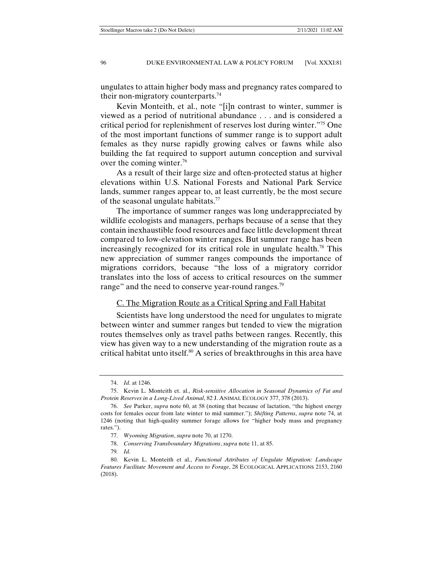ungulates to attain higher body mass and pregnancy rates compared to their non-migratory counterparts.74

Kevin Monteith, et al., note "[i]n contrast to winter, summer is viewed as a period of nutritional abundance . . . and is considered a critical period for replenishment of reserves lost during winter."75 One of the most important functions of summer range is to support adult females as they nurse rapidly growing calves or fawns while also building the fat required to support autumn conception and survival over the coming winter.76

As a result of their large size and often-protected status at higher elevations within U.S. National Forests and National Park Service lands, summer ranges appear to, at least currently, be the most secure of the seasonal ungulate habitats.<sup>77</sup>

The importance of summer ranges was long underappreciated by wildlife ecologists and managers, perhaps because of a sense that they contain inexhaustible food resources and face little development threat compared to low-elevation winter ranges. But summer range has been increasingly recognized for its critical role in ungulate health.<sup>78</sup> This new appreciation of summer ranges compounds the importance of migrations corridors, because "the loss of a migratory corridor translates into the loss of access to critical resources on the summer range" and the need to conserve year-round ranges.<sup>79</sup>

## C. The Migration Route as a Critical Spring and Fall Habitat

Scientists have long understood the need for ungulates to migrate between winter and summer ranges but tended to view the migration routes themselves only as travel paths between ranges. Recently, this view has given way to a new understanding of the migration route as a critical habitat unto itself.<sup>80</sup> A series of breakthroughs in this area have

78. *Conserving Transboundary Migrations*, *supra* note 11, at 85.

79*. Id*.

 <sup>74.</sup> *Id*. at 1246.

 <sup>75.</sup> Kevin L. Monteith et. al., *Risk-sensitive Allocation in Seasonal Dynamics of Fat and Protein Reserves in a Long-Lived Animal*, 82 J. ANIMAL ECOLOGY 377, 378 (2013).

 <sup>76.</sup> *See* Parker, *supra* note 60, at 58 (noting that because of lactation, "the highest energy costs for females occur from late winter to mid summer."); *Shifting Patterns*, *supra* note 74, at 1246 (noting that high-quality summer forage allows for "higher body mass and pregnancy rates.").

 <sup>77.</sup> *Wyoming Migration*, *supra* note 70, at 1270.

 <sup>80.</sup> Kevin L. Monteith et al., *Functional Attributes of Ungulate Migration: Landscape Features Facilitate Movement and Access to Forage*, 28 ECOLOGICAL APPLICATIONS 2153, 2160 (2018).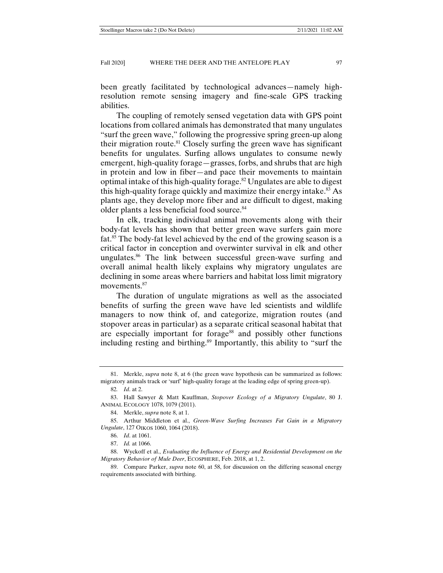been greatly facilitated by technological advances—namely highresolution remote sensing imagery and fine-scale GPS tracking abilities.

The coupling of remotely sensed vegetation data with GPS point locations from collared animals has demonstrated that many ungulates "surf the green wave," following the progressive spring green-up along their migration route.<sup>81</sup> Closely surfing the green wave has significant benefits for ungulates. Surfing allows ungulates to consume newly emergent, high-quality forage—grasses, forbs, and shrubs that are high in protein and low in fiber—and pace their movements to maintain optimal intake of this high-quality forage.<sup>82</sup> Ungulates are able to digest this high-quality forage quickly and maximize their energy intake.83 As plants age, they develop more fiber and are difficult to digest, making older plants a less beneficial food source.84

In elk, tracking individual animal movements along with their body-fat levels has shown that better green wave surfers gain more fat.85 The body-fat level achieved by the end of the growing season is a critical factor in conception and overwinter survival in elk and other ungulates.<sup>86</sup> The link between successful green-wave surfing and overall animal health likely explains why migratory ungulates are declining in some areas where barriers and habitat loss limit migratory movements.<sup>87</sup>

The duration of ungulate migrations as well as the associated benefits of surfing the green wave have led scientists and wildlife managers to now think of, and categorize, migration routes (and stopover areas in particular) as a separate critical seasonal habitat that are especially important for forage<sup>88</sup> and possibly other functions including resting and birthing.89 Importantly, this ability to "surf the

 <sup>81.</sup> Merkle, *supra* note 8, at 6 (the green wave hypothesis can be summarized as follows: migratory animals track or 'surf' high-quality forage at the leading edge of spring green-up).

<sup>82</sup>*. Id*. at 2.

 <sup>83.</sup> Hall Sawyer & Matt Kauffman, *Stopover Ecology of a Migratory Ungulate*, 80 J. ANIMAL ECOLOGY 1078, 1079 (2011).

 <sup>84.</sup> Merkle, *supra* note 8, at 1.

 <sup>85.</sup> Arthur Middleton et al., *Green-Wave Surfing Increases Fat Gain in a Migratory Ungulate*, 127 OIKOS 1060, 1064 (2018).

 <sup>86.</sup> *Id*. at 1061.

 <sup>87.</sup> *Id.* at 1066.

 <sup>88.</sup> Wyckoff et al., *Evaluating the Influence of Energy and Residential Development on the Migratory Behavior of Mule Deer*, ECOSPHERE, Feb. 2018, at 1, 2.

 <sup>89.</sup> Compare Parker, *supra* note 60, at 58, for discussion on the differing seasonal energy requirements associated with birthing.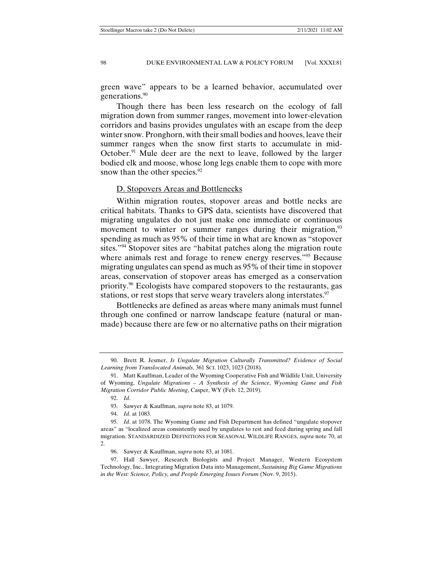green wave" appears to be a learned behavior, accumulated over generations.<sup>90</sup>

Though there has been less research on the ecology of fall migration down from summer ranges, movement into lower-elevation corridors and basins provides ungulates with an escape from the deep winter snow. Pronghorn, with their small bodies and hooves, leave their summer ranges when the snow first starts to accumulate in mid-October.<sup>91</sup> Mule deer are the next to leave, followed by the larger bodied elk and moose, whose long legs enable them to cope with more snow than the other species.<sup>92</sup>

#### D. Stopovers Areas and Bottlenecks

Within migration routes, stopover areas and bottle necks are critical habitats. Thanks to GPS data, scientists have discovered that migrating ungulates do not just make one immediate or continuous movement to winter or summer ranges during their migration,<sup>93</sup> spending as much as 95% of their time in what are known as "stopover sites."94 Stopover sites are "habitat patches along the migration route where animals rest and forage to renew energy reserves."<sup>95</sup> Because migrating ungulates can spend as much as 95% of their time in stopover areas, conservation of stopover areas has emerged as a conservation priority.<sup>96</sup> Ecologists have compared stopovers to the restaurants, gas stations, or rest stops that serve weary travelers along interstates.<sup>97</sup>

Bottlenecks are defined as areas where many animals must funnel through one confined or narrow landscape feature (natural or manmade) because there are few or no alternative paths on their migration

 <sup>90.</sup> Brett R. Jesmer, *Is Ungulate Migration Culturally Transmitted? Evidence of Social Learning from Translocated Animals*, 361 SCI. 1023, 1023 (2018).

 <sup>91.</sup> Matt Kauffman, Leader of the Wyoming Cooperative Fish and Wildlife Unit, University of Wyoming, *Ungulate Migrations – A Synthesis of the Science*, *Wyoming Game and Fish Migration Corridor Public Meeting*, Casper, WY (Feb. 12, 2019).

 <sup>92.</sup> *Id*.

 <sup>93.</sup> Sawyer & Kauffman, *supra* note 83, at 1079.

 <sup>94.</sup> *Id*. at 1083.

 <sup>95.</sup> *Id*. at 1078. The Wyoming Game and Fish Department has defined "ungulate stopover areas" as "localized areas consistently used by ungulates to rest and feed during spring and fall migration. STANDARDIZED DEFINITIONS FOR SEASONAL WILDLIFE RANGES, *supra* note 70, at  $\mathcal{L}$ 

 <sup>96.</sup> Sawyer & Kauffman, *supra* note 83, at 1081.

 <sup>97.</sup> Hall Sawyer, Research Biologists and Project Manager, Western Ecosystem Technology, Inc., Integrating Migration Data into Management, *Sustaining Big Game Migrations in the West: Science, Policy, and People Emerging Issues Forum (Nov. 9, 2015).*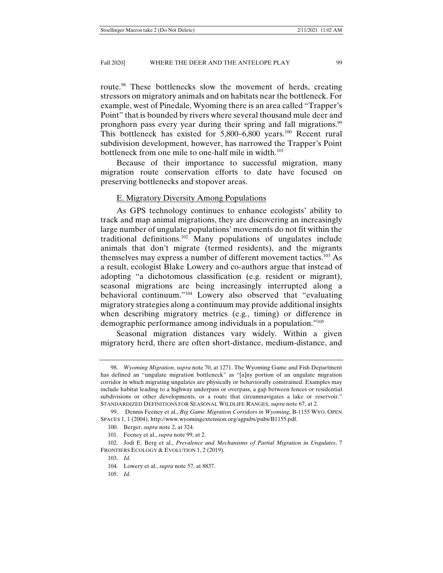route.<sup>98</sup> These bottlenecks slow the movement of herds, creating stressors on migratory animals and on habitats near the bottleneck. For example, west of Pinedale, Wyoming there is an area called "Trapper's Point" that is bounded by rivers where several thousand mule deer and pronghorn pass every year during their spring and fall migrations.<sup>99</sup> This bottleneck has existed for  $5,800-6,800$  years.<sup>100</sup> Recent rural subdivision development, however, has narrowed the Trapper's Point bottleneck from one mile to one-half mile in width.<sup>101</sup>

Because of their importance to successful migration, many migration route conservation efforts to date have focused on preserving bottlenecks and stopover areas.

#### E. Migratory Diversity Among Populations

As GPS technology continues to enhance ecologists' ability to track and map animal migrations, they are discovering an increasingly large number of ungulate populations' movements do not fit within the traditional definitions.<sup>102</sup> Many populations of ungulates include animals that don't migrate (termed residents), and the migrants themselves may express a number of different movement tactics.103 As a result, ecologist Blake Lowery and co-authors argue that instead of adopting "a dichotomous classification (e.g. resident or migrant), seasonal migrations are being increasingly interrupted along a behavioral continuum."104 Lowery also observed that "evaluating migratory strategies along a continuum may provide additional insights when describing migratory metrics (e.g., timing) or difference in demographic performance among individuals in a population."105

Seasonal migration distances vary widely. Within a given migratory herd, there are often short-distance, medium-distance, and

 <sup>98.</sup> *Wyoming Migration*, *supra* note 70, at 1271. The Wyoming Game and Fish Department has defined an "ungulate migration bottleneck" as "[a]ny portion of an ungulate migration corridor in which migrating ungulates are physically or behaviorally constrained. Examples may include habitat leading to a highway underpass or overpass, a gap between fences or residential subdivisions or other developments, or a route that circumnavigates a lake or reservoir." STANDARDIZED DEFINITIONS FOR SEASONAL WILDLIFE RANGES, *supra* note 67, at 2.

 <sup>99.</sup> Dennis Feeney et al., *Big Game Migration Corridors in Wyoming*, B-1155 WYO. OPEN SPACES 1, 1 (2004), http://www.wyomingextension.org/agpubs/pubs/B1155.pdf.

 <sup>100.</sup> Berger, *supra* note 2, at 324.

 <sup>101.</sup> Feeney et al., *supra* note 99, at 2.

 <sup>102.</sup> Jodi E. Berg et al., *Prevalence and Mechanisms of Partial Migration in Ungulates*, 7 FRONTIERS ECOLOGY & EVOLUTION 1, 2 (2019).

 <sup>103.</sup> *Id.*

 <sup>104.</sup> Lowery et al., *supra* note 57, at 8837.

 <sup>105.</sup> *Id.*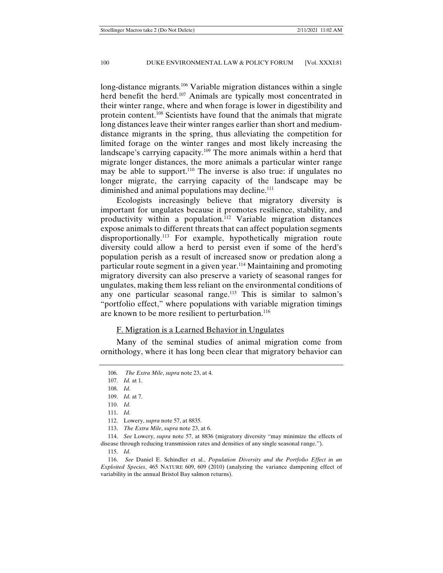long-distance migrants.<sup>106</sup> Variable migration distances within a single herd benefit the herd.<sup>107</sup> Animals are typically most concentrated in their winter range, where and when forage is lower in digestibility and protein content.108 Scientists have found that the animals that migrate long distances leave their winter ranges earlier than short and mediumdistance migrants in the spring, thus alleviating the competition for limited forage on the winter ranges and most likely increasing the landscape's carrying capacity.109 The more animals within a herd that migrate longer distances, the more animals a particular winter range may be able to support.<sup>110</sup> The inverse is also true: if ungulates no longer migrate, the carrying capacity of the landscape may be diminished and animal populations may decline.<sup>111</sup>

Ecologists increasingly believe that migratory diversity is important for ungulates because it promotes resilience, stability, and productivity within a population.<sup>112</sup> Variable migration distances expose animals to different threats that can affect population segments disproportionally.<sup>113</sup> For example, hypothetically migration route diversity could allow a herd to persist even if some of the herd's population perish as a result of increased snow or predation along a particular route segment in a given year.<sup>114</sup> Maintaining and promoting migratory diversity can also preserve a variety of seasonal ranges for ungulates, making them less reliant on the environmental conditions of any one particular seasonal range.<sup>115</sup> This is similar to salmon's "portfolio effect," where populations with variable migration timings are known to be more resilient to perturbation.<sup>116</sup>

## F. Migration is a Learned Behavior in Ungulates

Many of the seminal studies of animal migration come from ornithology, where it has long been clear that migratory behavior can

113. *The Extra Mile*, *supra* note 23, at 6.

 114. *See* Lowery, *supra* note 57, at 8836 (migratory diversity "may minimize the effects of disease through reducing transmission rates and densities of any single seasonal range.").

115. *Id*.

 116. *See* Daniel E. Schindler et al., *Population Diversity and the Portfolio Effect in an Exploited Species*, 465 NATURE 609, 609 (2010) (analyzing the variance dampening effect of variability in the annual Bristol Bay salmon returns).

<sup>106</sup>*. The Extra Mile*, *supra* note 23, at 4.

 <sup>107.</sup> *Id.* at 1.

 <sup>108.</sup> *Id*.

 <sup>109.</sup> *Id*. at 7.

 <sup>110.</sup> *Id*.

 <sup>111.</sup> *Id.*

 <sup>112.</sup> Lowery, *supra* note 57, at 8835.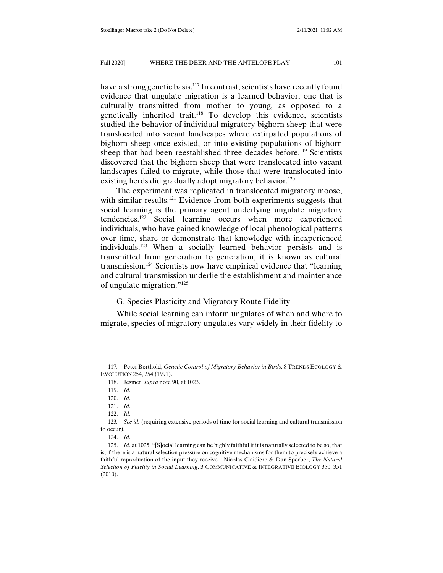have a strong genetic basis.<sup>117</sup> In contrast, scientists have recently found evidence that ungulate migration is a learned behavior, one that is culturally transmitted from mother to young, as opposed to a genetically inherited trait.118 To develop this evidence, scientists studied the behavior of individual migratory bighorn sheep that were translocated into vacant landscapes where extirpated populations of bighorn sheep once existed, or into existing populations of bighorn sheep that had been reestablished three decades before.<sup>119</sup> Scientists discovered that the bighorn sheep that were translocated into vacant landscapes failed to migrate, while those that were translocated into existing herds did gradually adopt migratory behavior.<sup>120</sup>

The experiment was replicated in translocated migratory moose, with similar results.<sup>121</sup> Evidence from both experiments suggests that social learning is the primary agent underlying ungulate migratory tendencies.122 Social learning occurs when more experienced individuals, who have gained knowledge of local phenological patterns over time, share or demonstrate that knowledge with inexperienced individuals.123 When a socially learned behavior persists and is transmitted from generation to generation, it is known as cultural transmission.124 Scientists now have empirical evidence that "learning and cultural transmission underlie the establishment and maintenance of ungulate migration."125

## G. Species Plasticity and Migratory Route Fidelity

While social learning can inform ungulates of when and where to migrate, species of migratory ungulates vary widely in their fidelity to

<sup>117</sup>*.* Peter Berthold, *Genetic Control of Migratory Behavior in Birds,* 8 TRENDS ECOLOGY & EVOLUTION 254, 254 (1991).

 <sup>118.</sup> Jesmer, *supra* note 90, at 1023.

 <sup>119.</sup> *Id*.

 <sup>120.</sup> *Id*.

 <sup>121.</sup> *Id.*

 <sup>122.</sup> *Id.* 

<sup>123</sup>*. See id.* (requiring extensive periods of time for social learning and cultural transmission to occur).

 <sup>124.</sup> *Id*.

 <sup>125.</sup> *Id.* at 1025. "[S]ocial learning can be highly faithful if it is naturally selected to be so, that is, if there is a natural selection pressure on cognitive mechanisms for them to precisely achieve a faithful reproduction of the input they receive." Nicolas Claidiere & Dan Sperber, *The Natural Selection of Fidelity in Social Learning*, 3 COMMUNICATIVE & INTEGRATIVE BIOLOGY 350, 351 (2010).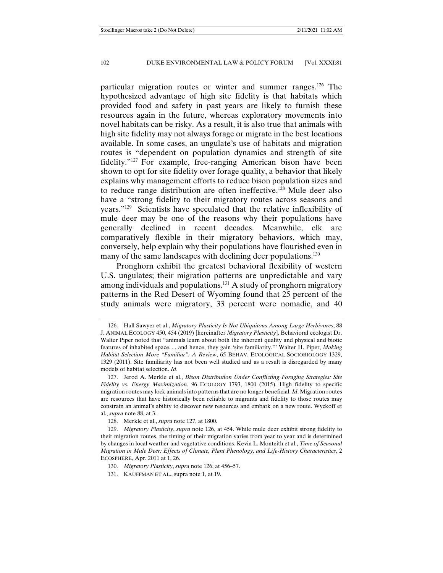particular migration routes or winter and summer ranges.126 The hypothesized advantage of high site fidelity is that habitats which provided food and safety in past years are likely to furnish these resources again in the future, whereas exploratory movements into novel habitats can be risky. As a result, it is also true that animals with high site fidelity may not always forage or migrate in the best locations available. In some cases, an ungulate's use of habitats and migration routes is "dependent on population dynamics and strength of site fidelity."127 For example, free-ranging American bison have been shown to opt for site fidelity over forage quality, a behavior that likely explains why management efforts to reduce bison population sizes and to reduce range distribution are often ineffective.128 Mule deer also have a "strong fidelity to their migratory routes across seasons and years."129 Scientists have speculated that the relative inflexibility of mule deer may be one of the reasons why their populations have generally declined in recent decades. Meanwhile, elk are comparatively flexible in their migratory behaviors, which may, conversely, help explain why their populations have flourished even in many of the same landscapes with declining deer populations.<sup>130</sup>

Pronghorn exhibit the greatest behavioral flexibility of western U.S. ungulates; their migration patterns are unpredictable and vary among individuals and populations.<sup>131</sup> A study of pronghorn migratory patterns in the Red Desert of Wyoming found that 25 percent of the study animals were migratory, 33 percent were nomadic, and 40

 <sup>126.</sup> Hall Sawyer et al., *Migratory Plasticity Is Not Ubiquitous Among Large Herbivores*, 88 J. ANIMAL ECOLOGY 450, 454 (2019) [hereinafter *Migratory Plasticity*]. Behavioral ecologist Dr. Walter Piper noted that "animals learn about both the inherent quality and physical and biotic features of inhabited space. . . and hence, they gain 'site familiarity.'" Walter H. Piper, *Making Habitat Selection More "Familiar": A Review*, 65 BEHAV. ECOLOGICAL SOCIOBIOLOGY 1329, 1329 (2011). Site familiarity has not been well studied and as a result is disregarded by many models of habitat selection. *Id*.

 <sup>127.</sup> Jerod A. Merkle et al., *Bison Distribution Under Conflicting Foraging Strategies: Site Fidelity vs. Energy Maximization*, 96 ECOLOGY 1793, 1800 (2015). High fidelity to specific migration routes may lock animals into patterns that are no longer beneficial. *Id*. Migration routes are resources that have historically been reliable to migrants and fidelity to those routes may constrain an animal's ability to discover new resources and embark on a new route. Wyckoff et al., *supra* note 88, at 3.

 <sup>128.</sup> Merkle et al., *supra* note 127, at 1800.

 <sup>129.</sup> *Migratory Plasticity*, *supra* note 126, at 454. While mule deer exhibit strong fidelity to their migration routes, the timing of their migration varies from year to year and is determined by changes in local weather and vegetative conditions. Kevin L. Monteith et al., *Time of Seasonal Migration in Mule Deer: Effects of Climate, Plant Phenology, and Life-History Characteristics*, 2 ECOSPHERE, Apr. 2011 at 1, 26.

 <sup>130.</sup> *Migratory Plasticity*, *supra* note 126, at 456–57.

 <sup>131.</sup> KAUFFMAN ET AL., supra note 1, at 19.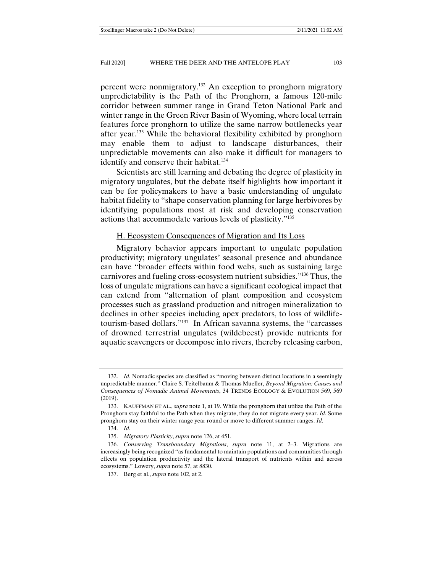percent were nonmigratory.132 An exception to pronghorn migratory unpredictability is the Path of the Pronghorn, a famous 120-mile corridor between summer range in Grand Teton National Park and winter range in the Green River Basin of Wyoming, where local terrain features force pronghorn to utilize the same narrow bottlenecks year after year.133 While the behavioral flexibility exhibited by pronghorn may enable them to adjust to landscape disturbances, their unpredictable movements can also make it difficult for managers to identify and conserve their habitat.<sup>134</sup>

Scientists are still learning and debating the degree of plasticity in migratory ungulates, but the debate itself highlights how important it can be for policymakers to have a basic understanding of ungulate habitat fidelity to "shape conservation planning for large herbivores by identifying populations most at risk and developing conservation actions that accommodate various levels of plasticity."135

## H. Ecosystem Consequences of Migration and Its Loss

Migratory behavior appears important to ungulate population productivity; migratory ungulates' seasonal presence and abundance can have "broader effects within food webs, such as sustaining large carnivores and fueling cross-ecosystem nutrient subsidies."136 Thus, the loss of ungulate migrations can have a significant ecological impact that can extend from "alternation of plant composition and ecosystem processes such as grassland production and nitrogen mineralization to declines in other species including apex predators, to loss of wildlifetourism-based dollars."137 In African savanna systems, the "carcasses of drowned terrestrial ungulates (wildebeest) provide nutrients for aquatic scavengers or decompose into rivers, thereby releasing carbon,

 <sup>132.</sup> *Id*. Nomadic species are classified as "moving between distinct locations in a seemingly unpredictable manner." Claire S. Teitelbaum & Thomas Mueller, *Beyond Migration: Causes and Consequences of Nomadic Animal Movements*, 34 TRENDS ECOLOGY & EVOLUTION 569, 569 (2019).

 <sup>133.</sup> KAUFFMAN ET AL., *supra* note 1, at 19. While the pronghorn that utilize the Path of the Pronghorn stay faithful to the Path when they migrate, they do not migrate every year. *Id.* Some pronghorn stay on their winter range year round or move to different summer ranges. *Id*.

 <sup>134.</sup> *Id*.

 <sup>135.</sup> *Migratory Plasticity*, *supra* note 126, at 451.

 <sup>136.</sup> *Conserving Transboundary Migrations*, *supra* note 11, at 2–3. Migrations are increasingly being recognized "as fundamental to maintain populations and communities through effects on population productivity and the lateral transport of nutrients within and across ecosystems." Lowery, *supra* note 57, at 8830.

 <sup>137.</sup> Berg et al., *supra* note 102, at 2.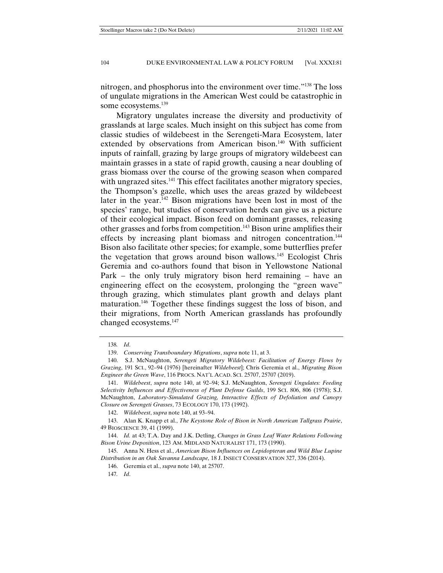nitrogen, and phosphorus into the environment over time."138 The loss of ungulate migrations in the American West could be catastrophic in some ecosystems.<sup>139</sup>

Migratory ungulates increase the diversity and productivity of grasslands at large scales. Much insight on this subject has come from classic studies of wildebeest in the Serengeti-Mara Ecosystem, later extended by observations from American bison.<sup>140</sup> With sufficient inputs of rainfall, grazing by large groups of migratory wildebeest can maintain grasses in a state of rapid growth, causing a near doubling of grass biomass over the course of the growing season when compared with ungrazed sites.<sup>141</sup> This effect facilitates another migratory species, the Thompson's gazelle, which uses the areas grazed by wildebeest later in the year.142 Bison migrations have been lost in most of the species' range, but studies of conservation herds can give us a picture of their ecological impact. Bison feed on dominant grasses, releasing other grasses and forbs from competition.143 Bison urine amplifies their effects by increasing plant biomass and nitrogen concentration.<sup>144</sup> Bison also facilitate other species; for example, some butterflies prefer the vegetation that grows around bison wallows.145 Ecologist Chris Geremia and co-authors found that bison in Yellowstone National Park – the only truly migratory bison herd remaining – have an engineering effect on the ecosystem, prolonging the "green wave" through grazing, which stimulates plant growth and delays plant maturation.146 Together these findings suggest the loss of bison, and their migrations, from North American grasslands has profoundly changed ecosystems.147

<sup>138</sup>*. Id*.

 <sup>139.</sup> *Conserving Transboundary Migrations*, *supra* note 11, at 3.

 <sup>140.</sup> S.J. McNaughton, *Serengeti Migratory Wildebeest: Facilitation of Energy Flows by Grazing*, 191 SCI., 92–94 (1976) [hereinafter *Wildebeest*]; Chris Geremia et al., *Migrating Bison Engineer the Green Wave*, 116 PROCS. NAT'L ACAD. SCI. 25707, 25707 (2019).

 <sup>141.</sup> *Wildebeest*, *supra* note 140, at 92–94; S.J. McNaughton, *Serengeti Ungulates: Feeding Selectivity Influences and Effectiveness of Plant Defense Guilds*, 199 SCI. 806, 806 (1978); S.J. McNaughton, *Laboratory-Simulated Grazing, Interactive Effects of Defoliation and Canopy Closure on Serengeti Grasses*, 73 ECOLOGY 170, 173 (1992).

 <sup>142.</sup> *Wildebeest*, *supra* note 140, at 93–94.

 <sup>143.</sup> Alan K. Knapp et al., *The Keystone Role of Bison in North American Tallgrass Prairie*, 49 BIOSCIENCE 39, 41 (1999).

 <sup>144.</sup> *Id.* at 43; T.A. Day and J.K. Detling, *Changes in Grass Leaf Water Relations Following Bison Urine Deposition*, 123 AM. MIDLAND NATURALIST 171, 173 (1990).

 <sup>145.</sup> Anna N. Hess et al., *American Bison Influences on Lepidopteran and Wild Blue Lupine Distribution in an Oak Savanna Landscape,* 18 J. INSECT CONSERVATION 327, 336 (2014).

 <sup>146.</sup> Geremia et al., *supra* note 140, at 25707.

<sup>147</sup>*. Id*.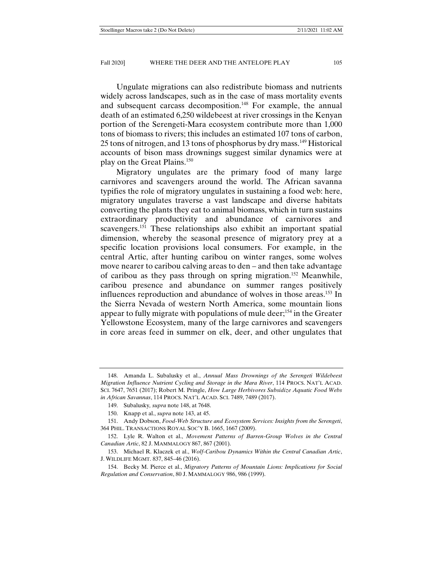Ungulate migrations can also redistribute biomass and nutrients widely across landscapes, such as in the case of mass mortality events and subsequent carcass decomposition.<sup>148</sup> For example, the annual death of an estimated 6,250 wildebeest at river crossings in the Kenyan portion of the Serengeti-Mara ecosystem contribute more than 1,000 tons of biomass to rivers; this includes an estimated 107 tons of carbon, 25 tons of nitrogen, and 13 tons of phosphorus by dry mass.<sup>149</sup> Historical accounts of bison mass drownings suggest similar dynamics were at play on the Great Plains.150

Migratory ungulates are the primary food of many large carnivores and scavengers around the world. The African savanna typifies the role of migratory ungulates in sustaining a food web: here, migratory ungulates traverse a vast landscape and diverse habitats converting the plants they eat to animal biomass, which in turn sustains extraordinary productivity and abundance of carnivores and scavengers.<sup>151</sup> These relationships also exhibit an important spatial dimension, whereby the seasonal presence of migratory prey at a specific location provisions local consumers. For example, in the central Artic, after hunting caribou on winter ranges, some wolves move nearer to caribou calving areas to den – and then take advantage of caribou as they pass through on spring migration.152 Meanwhile, caribou presence and abundance on summer ranges positively influences reproduction and abundance of wolves in those areas.<sup>153</sup> In the Sierra Nevada of western North America, some mountain lions appear to fully migrate with populations of mule deer;154 in the Greater Yellowstone Ecosystem, many of the large carnivores and scavengers in core areas feed in summer on elk, deer, and other ungulates that

 <sup>148.</sup> Amanda L. Subalusky et al., *Annual Mass Drownings of the Serengeti Wildebeest Migration Influence Nutrient Cycling and Storage in the Mara River*, 114 PROCS. NAT'L ACAD. SCI. 7647, 7651 (2017); Robert M. Pringle, *How Large Herbivores Subsidize Aquatic Food Webs in African Savannas*, 114 PROCS. NAT'L ACAD. SCI. 7489, 7489 (2017).

 <sup>149.</sup> Subalusky*, supra* note 148, at 7648.

 <sup>150.</sup> Knapp et al., *supra* note 143, at 45.

 <sup>151.</sup> Andy Dobson, *Food-Web Structure and Ecosystem Services: Insights from the Serengeti*, 364 PHIL. TRANSACTIONS ROYAL SOC'Y B. 1665, 1667 (2009).

 <sup>152.</sup> Lyle R. Walton et al., *Movement Patterns of Barren-Group Wolves in the Central Canadian Artic*, 82 J. MAMMALOGY 867, 867 (2001).

 <sup>153.</sup> Michael R. Klaczek et al., *Wolf-Caribou Dynamics Within the Central Canadian Artic*, J. WILDLIFE MGMT. 837, 845–46 (2016).

 <sup>154.</sup> Becky M. Pierce et al., *Migratory Patterns of Mountain Lions: Implications for Social Regulation and Conservation*, 80 J. MAMMALOGY 986, 986 (1999).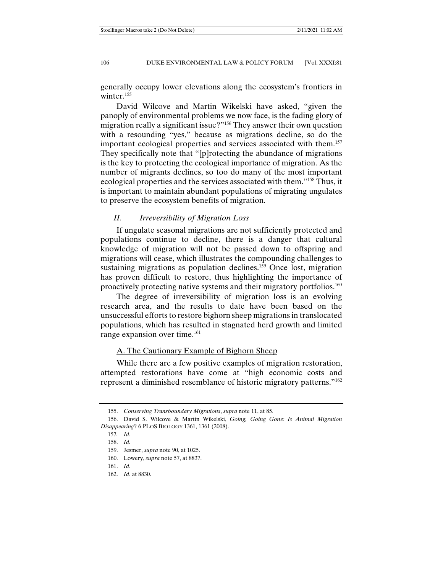generally occupy lower elevations along the ecosystem's frontiers in winter.<sup>155</sup>

David Wilcove and Martin Wikelski have asked, "given the panoply of environmental problems we now face, is the fading glory of migration really a significant issue?"156 They answer their own question with a resounding "yes," because as migrations decline, so do the important ecological properties and services associated with them.157 They specifically note that "[p]rotecting the abundance of migrations is the key to protecting the ecological importance of migration. As the number of migrants declines, so too do many of the most important ecological properties and the services associated with them."158 Thus, it is important to maintain abundant populations of migrating ungulates to preserve the ecosystem benefits of migration.

## *II. Irreversibility of Migration Loss*

If ungulate seasonal migrations are not sufficiently protected and populations continue to decline, there is a danger that cultural knowledge of migration will not be passed down to offspring and migrations will cease, which illustrates the compounding challenges to sustaining migrations as population declines.<sup>159</sup> Once lost, migration has proven difficult to restore, thus highlighting the importance of proactively protecting native systems and their migratory portfolios.160

The degree of irreversibility of migration loss is an evolving research area, and the results to date have been based on the unsuccessful efforts to restore bighorn sheep migrations in translocated populations, which has resulted in stagnated herd growth and limited range expansion over time.<sup>161</sup>

## A. The Cautionary Example of Bighorn Sheep

While there are a few positive examples of migration restoration, attempted restorations have come at "high economic costs and represent a diminished resemblance of historic migratory patterns."162

 <sup>155.</sup> *Conserving Transboundary Migrations*, *supra* note 11, at 85.

 <sup>156.</sup> David S. Wilcove & Martin Wikelski, *Going, Going Gone: Is Animal Migration Disappearing*? 6 PLOS BIOLOGY 1361, 1361 (2008).

<sup>157</sup>*. Id*.

 <sup>158.</sup> *Id.*

 <sup>159.</sup> Jesmer, *supra* note 90, at 1025.

 <sup>160.</sup> Lowery, *supra* note 57, at 8837.

 <sup>161.</sup> *Id*.

 <sup>162.</sup> *Id*. at 8830.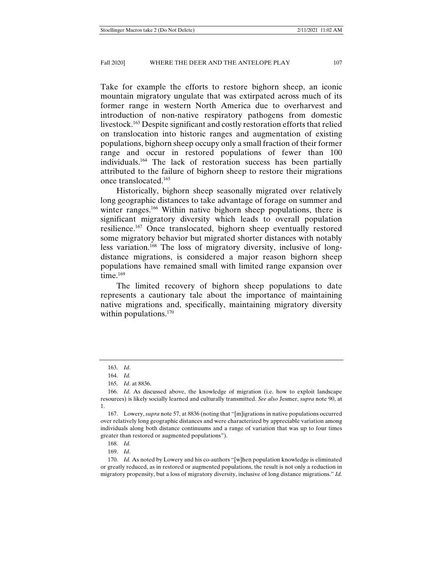Take for example the efforts to restore bighorn sheep, an iconic mountain migratory ungulate that was extirpated across much of its former range in western North America due to overharvest and introduction of non-native respiratory pathogens from domestic livestock.163 Despite significant and costly restoration efforts that relied on translocation into historic ranges and augmentation of existing populations, bighorn sheep occupy only a small fraction of their former range and occur in restored populations of fewer than 100 individuals.164 The lack of restoration success has been partially attributed to the failure of bighorn sheep to restore their migrations once translocated.165

Historically, bighorn sheep seasonally migrated over relatively long geographic distances to take advantage of forage on summer and winter ranges.<sup>166</sup> Within native bighorn sheep populations, there is significant migratory diversity which leads to overall population resilience.167 Once translocated, bighorn sheep eventually restored some migratory behavior but migrated shorter distances with notably less variation.168 The loss of migratory diversity, inclusive of longdistance migrations, is considered a major reason bighorn sheep populations have remained small with limited range expansion over time. $169$ 

The limited recovery of bighorn sheep populations to date represents a cautionary tale about the importance of maintaining native migrations and, specifically, maintaining migratory diversity within populations. $170$ 

169. *Id*.

 <sup>163.</sup> *Id*.

 <sup>164.</sup> *Id.*

 <sup>165.</sup> *Id*. at 8836.

 <sup>166.</sup> *Id*. As discussed above, the knowledge of migration (i.e. how to exploit landscape resources) is likely socially learned and culturally transmitted. *See also* Jesmer, *supra* note 90, at 1.

 <sup>167.</sup> Lowery, *supra* note 57, at 8836 (noting that "[m]igrations in native populations occurred over relatively long geographic distances and were characterized by appreciable variation among individuals along both distance continuums and a range of variation that was up to four times greater than restored or augmented populations").

 <sup>168.</sup> *Id.*

 <sup>170.</sup> *Id.* As noted by Lowery and his co-authors "[w]hen population knowledge is eliminated or greatly reduced, as in restored or augmented populations, the result is not only a reduction in migratory propensity, but a loss of migratory diversity, inclusive of long distance migrations." *Id.*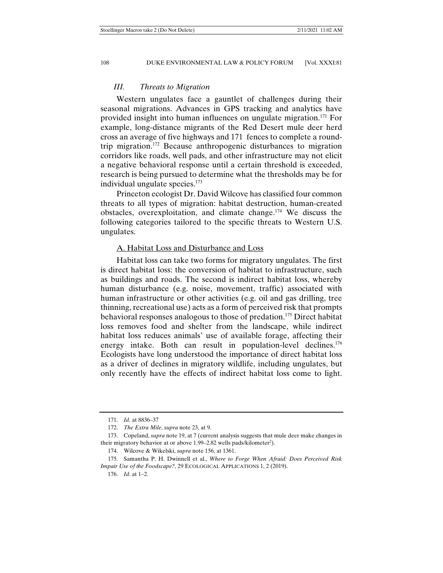## *III. Threats to Migration*

Western ungulates face a gauntlet of challenges during their seasonal migrations. Advances in GPS tracking and analytics have provided insight into human influences on ungulate migration.171 For example, long-distance migrants of the Red Desert mule deer herd cross an average of five highways and 171 fences to complete a roundtrip migration.172 Because anthropogenic disturbances to migration corridors like roads, well pads, and other infrastructure may not elicit a negative behavioral response until a certain threshold is exceeded, research is being pursued to determine what the thresholds may be for individual ungulate species.<sup>173</sup>

Princeton ecologist Dr. David Wilcove has classified four common threats to all types of migration: habitat destruction, human-created obstacles, overexploitation, and climate change.174 We discuss the following categories tailored to the specific threats to Western U.S. ungulates.

#### A. Habitat Loss and Disturbance and Loss

Habitat loss can take two forms for migratory ungulates. The first is direct habitat loss: the conversion of habitat to infrastructure, such as buildings and roads. The second is indirect habitat loss, whereby human disturbance (e.g. noise, movement, traffic) associated with human infrastructure or other activities (e.g. oil and gas drilling, tree thinning, recreational use) acts as a form of perceived risk that prompts behavioral responses analogous to those of predation.175 Direct habitat loss removes food and shelter from the landscape, while indirect habitat loss reduces animals' use of available forage, affecting their energy intake. Both can result in population-level declines.<sup>176</sup> Ecologists have long understood the importance of direct habitat loss as a driver of declines in migratory wildlife, including ungulates, but only recently have the effects of indirect habitat loss come to light.

 <sup>171.</sup> *Id.* at 8836–37

 <sup>172.</sup> *The Extra Mile*, *supra* note 23, at 9.

 <sup>173.</sup> Copeland, *supra* note 19, at 7 (current analysis suggests that mule deer make changes in their migratory behavior at or above 1.99-2.82 wells pads/kilometer<sup>2</sup>).

 <sup>174.</sup> Wilcove & Wikelski, *supra* note 156, at 1361.

 <sup>175.</sup> Samantha P. H. Dwinnell et al., *Where to Forge When Afraid: Does Perceived Risk Impair Use of the Foodscape?*, 29 ECOLOGICAL APPLICATIONS 1, 2 (2019).

 <sup>176.</sup> *Id*. at 1–2.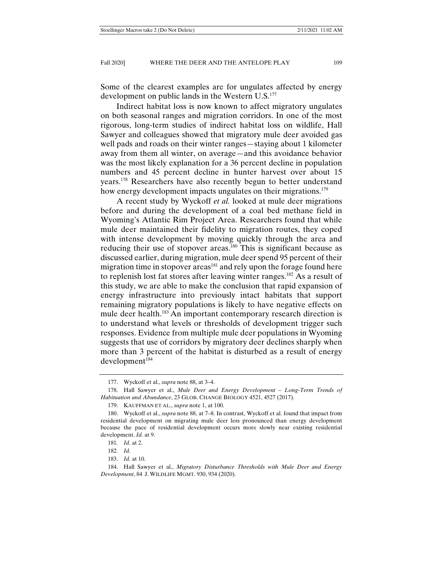Some of the clearest examples are for ungulates affected by energy development on public lands in the Western U.S.177

Indirect habitat loss is now known to affect migratory ungulates on both seasonal ranges and migration corridors. In one of the most rigorous, long-term studies of indirect habitat loss on wildlife, Hall Sawyer and colleagues showed that migratory mule deer avoided gas well pads and roads on their winter ranges—staying about 1 kilometer away from them all winter, on average—and this avoidance behavior was the most likely explanation for a 36 percent decline in population numbers and 45 percent decline in hunter harvest over about 15 years.<sup>178</sup> Researchers have also recently begun to better understand how energy development impacts ungulates on their migrations.<sup>179</sup>

A recent study by Wyckoff *et al.* looked at mule deer migrations before and during the development of a coal bed methane field in Wyoming's Atlantic Rim Project Area. Researchers found that while mule deer maintained their fidelity to migration routes, they coped with intense development by moving quickly through the area and reducing their use of stopover areas.<sup>180</sup> This is significant because as discussed earlier, during migration, mule deer spend 95 percent of their migration time in stopover areas<sup>181</sup> and rely upon the forage found here to replenish lost fat stores after leaving winter ranges.182 As a result of this study, we are able to make the conclusion that rapid expansion of energy infrastructure into previously intact habitats that support remaining migratory populations is likely to have negative effects on mule deer health.<sup>183</sup> An important contemporary research direction is to understand what levels or thresholds of development trigger such responses. Evidence from multiple mule deer populations in Wyoming suggests that use of corridors by migratory deer declines sharply when more than 3 percent of the habitat is disturbed as a result of energy  $d$ evelopment $184$ 

 <sup>177.</sup> Wyckoff et al., *supra* note 88, at 3–4.

 <sup>178.</sup> Hall Sawyer et al., *Mule Deer and Energy Development – Long-Term Trends of Habituation and Abundance*, 23 GLOB. CHANGE BIOLOGY 4521, 4527 (2017).

 <sup>179.</sup> KAUFFMAN ET AL., *supra* note 1, at 100.

 <sup>180.</sup> Wyckoff et al., *supra* note 88, at 7–8. In contrast, Wyckoff et al. found that impact from residential development on migrating mule deer less pronounced than energy development because the pace of residential development occurs more slowly near existing residential development. *Id.* at 9.

<sup>181</sup>*. Id*. at 2.

 <sup>182.</sup> *Id*.

 <sup>183.</sup> *Id.* at 10.

 <sup>184.</sup> Hall Sawyer et al., *Migratory Disturbance Thresholds with Mule Deer and Energy Development*, 84 J. WILDLIFE MGMT. 930, 934 (2020).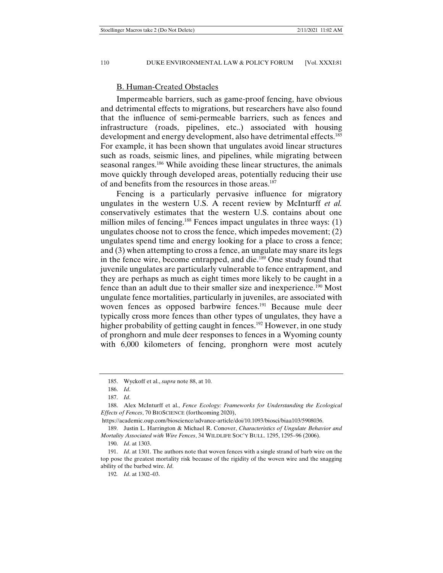## B. Human-Created Obstacles

Impermeable barriers, such as game-proof fencing, have obvious and detrimental effects to migrations, but researchers have also found that the influence of semi-permeable barriers, such as fences and infrastructure (roads, pipelines, etc..) associated with housing development and energy development, also have detrimental effects.<sup>185</sup> For example, it has been shown that ungulates avoid linear structures such as roads, seismic lines, and pipelines, while migrating between seasonal ranges.<sup>186</sup> While avoiding these linear structures, the animals move quickly through developed areas, potentially reducing their use of and benefits from the resources in those areas.<sup>187</sup>

Fencing is a particularly pervasive influence for migratory ungulates in the western U.S. A recent review by McInturff *et al.* conservatively estimates that the western U.S. contains about one million miles of fencing.<sup>188</sup> Fences impact ungulates in three ways: (1) ungulates choose not to cross the fence, which impedes movement; (2) ungulates spend time and energy looking for a place to cross a fence; and (3) when attempting to cross a fence, an ungulate may snare its legs in the fence wire, become entrapped, and die.189 One study found that juvenile ungulates are particularly vulnerable to fence entrapment, and they are perhaps as much as eight times more likely to be caught in a fence than an adult due to their smaller size and inexperience.190 Most ungulate fence mortalities, particularly in juveniles, are associated with woven fences as opposed barbwire fences.<sup>191</sup> Because mule deer typically cross more fences than other types of ungulates, they have a higher probability of getting caught in fences.<sup>192</sup> However, in one study of pronghorn and mule deer responses to fences in a Wyoming county with 6,000 kilometers of fencing, pronghorn were most acutely

 <sup>185.</sup> Wyckoff et al., *supra* note 88, at 10.

 <sup>186.</sup> *Id*.

 <sup>187.</sup> *Id*.

 <sup>188.</sup> Alex McInturff et al., *Fence Ecology: Frameworks for Understanding the Ecological Effects of Fences*, 70 BIOSCIENCE (forthcoming 2020),

https://academic.oup.com/bioscience/advance-article/doi/10.1093/biosci/biaa103/5908036.

 <sup>189.</sup> Justin L. Harrington & Michael R. Conover, *Characteristics of Ungulate Behavior and Mortality Associated with Wire Fences*, 34 WILDLIFE SOC'Y BULL. 1295, 1295–96 (2006).

 <sup>190.</sup> *Id*. at 1303.

 <sup>191.</sup> *Id*. at 1301. The authors note that woven fences with a single strand of barb wire on the top pose the greatest mortality risk because of the rigidity of the woven wire and the snagging ability of the barbed wire. *Id*.

<sup>192</sup>*. Id*. at 1302–03.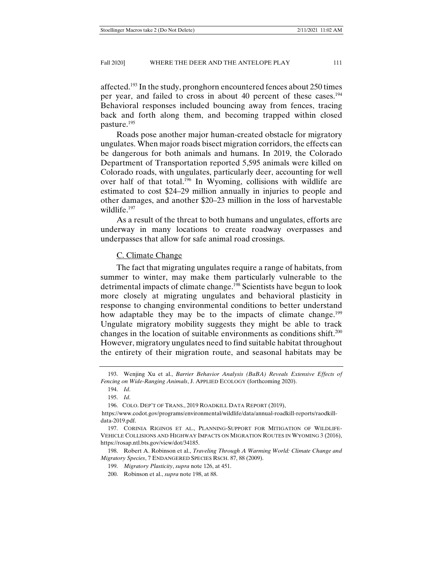affected.<sup>193</sup> In the study, pronghorn encountered fences about 250 times per year, and failed to cross in about 40 percent of these cases.194 Behavioral responses included bouncing away from fences, tracing back and forth along them, and becoming trapped within closed pasture.195

Roads pose another major human-created obstacle for migratory ungulates. When major roads bisect migration corridors, the effects can be dangerous for both animals and humans. In 2019, the Colorado Department of Transportation reported 5,595 animals were killed on Colorado roads, with ungulates, particularly deer, accounting for well over half of that total.<sup>196</sup> In Wyoming, collisions with wildlife are estimated to cost \$24–29 million annually in injuries to people and other damages, and another \$20–23 million in the loss of harvestable wildlife.<sup>197</sup>

As a result of the threat to both humans and ungulates, efforts are underway in many locations to create roadway overpasses and underpasses that allow for safe animal road crossings.

## C. Climate Change

The fact that migrating ungulates require a range of habitats, from summer to winter, may make them particularly vulnerable to the detrimental impacts of climate change.<sup>198</sup> Scientists have begun to look more closely at migrating ungulates and behavioral plasticity in response to changing environmental conditions to better understand how adaptable they may be to the impacts of climate change.<sup>199</sup> Ungulate migratory mobility suggests they might be able to track changes in the location of suitable environments as conditions shift.<sup>200</sup> However, migratory ungulates need to find suitable habitat throughout the entirety of their migration route, and seasonal habitats may be

 <sup>193.</sup> Wenjing Xu et al., *Barrier Behavior Analysis (BaBA) Reveals Extensive Effects of Fencing on Wide-Ranging Animals*, J. APPLIED ECOLOGY (forthcoming 2020).

 <sup>194.</sup> *Id*.

 <sup>195.</sup> *Id*.

 <sup>196.</sup> COLO. DEP'T OF TRANS., 2019 ROADKILL DATA REPORT (2019),

https://www.codot.gov/programs/environmental/wildlife/data/annual-roadkill-reports/raodkilldata-2019.pdf.

 <sup>197.</sup> CORINIA RIGINOS ET AL., PLANNING-SUPPORT FOR MITIGATION OF WILDLIFE-VEHICLE COLLISIONS AND HIGHWAY IMPACTS ON MIGRATION ROUTES IN WYOMING 3 (2016), https://rosap.ntl.bts.gov/view/dot/34185.

 <sup>198.</sup> Robert A. Robinson et al., *Traveling Through A Warming World: Climate Change and Migratory Species*, 7 ENDANGERED SPECIES RSCH. 87, 88 (2009).

 <sup>199.</sup> *Migratory Plasticity*, *supra* note 126, at 451.

 <sup>200.</sup> Robinson et al., *supra* note 198, at 88.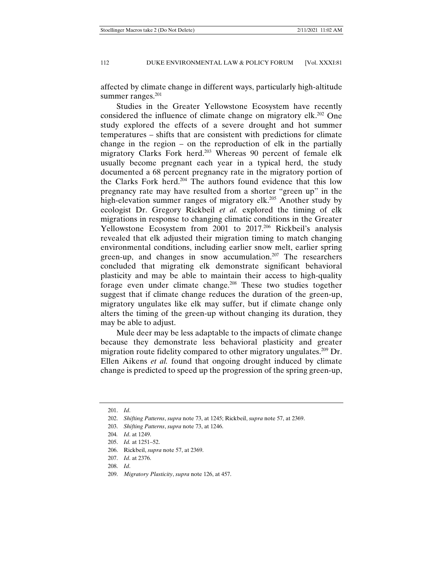affected by climate change in different ways, particularly high-altitude summer ranges.<sup>201</sup>

Studies in the Greater Yellowstone Ecosystem have recently considered the influence of climate change on migratory elk.202 One study explored the effects of a severe drought and hot summer temperatures – shifts that are consistent with predictions for climate change in the region – on the reproduction of elk in the partially migratory Clarks Fork herd.<sup>203</sup> Whereas 90 percent of female elk usually become pregnant each year in a typical herd, the study documented a 68 percent pregnancy rate in the migratory portion of the Clarks Fork herd.204 The authors found evidence that this low pregnancy rate may have resulted from a shorter "green up" in the high-elevation summer ranges of migratory elk.<sup>205</sup> Another study by ecologist Dr. Gregory Rickbeil *et al.* explored the timing of elk migrations in response to changing climatic conditions in the Greater Yellowstone Ecosystem from 2001 to 2017.<sup>206</sup> Rickbeil's analysis revealed that elk adjusted their migration timing to match changing environmental conditions, including earlier snow melt, earlier spring green-up, and changes in snow accumulation.<sup>207</sup> The researchers concluded that migrating elk demonstrate significant behavioral plasticity and may be able to maintain their access to high-quality forage even under climate change.<sup>208</sup> These two studies together suggest that if climate change reduces the duration of the green-up, migratory ungulates like elk may suffer, but if climate change only alters the timing of the green-up without changing its duration, they may be able to adjust.

Mule deer may be less adaptable to the impacts of climate change because they demonstrate less behavioral plasticity and greater migration route fidelity compared to other migratory ungulates.<sup>209</sup> Dr. Ellen Aikens *et al.* found that ongoing drought induced by climate change is predicted to speed up the progression of the spring green-up,

 <sup>201.</sup> *Id*.

 <sup>202.</sup> *Shifting Patterns*, *supra* note 73, at 1245; Rickbeil, *supra* note 57, at 2369.

 <sup>203.</sup> *Shifting Patterns*, *supra* note 73, at 1246.

<sup>204</sup>*. Id*. at 1249.

 <sup>205.</sup> *Id.* at 1251–52.

 <sup>206.</sup> Rickbeil, *supra* note 57, at 2369.

 <sup>207.</sup> *Id*. at 2376.

 <sup>208.</sup> *Id*.

 <sup>209.</sup> *Migratory Plasticity*, *supra* note 126, at 457.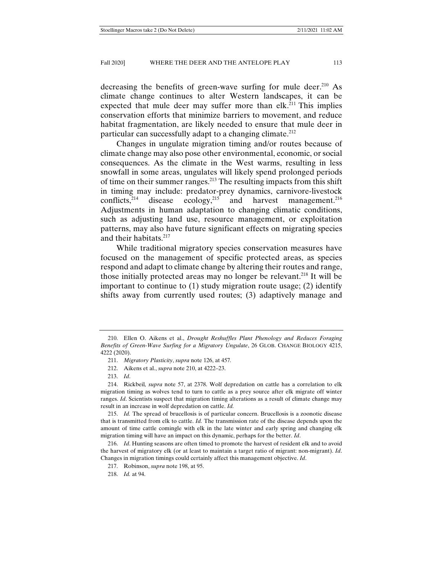decreasing the benefits of green-wave surfing for mule deer.<sup>210</sup> As climate change continues to alter Western landscapes, it can be expected that mule deer may suffer more than elk.<sup>211</sup> This implies conservation efforts that minimize barriers to movement, and reduce habitat fragmentation, are likely needed to ensure that mule deer in particular can successfully adapt to a changing climate.<sup>212</sup>

Changes in ungulate migration timing and/or routes because of climate change may also pose other environmental, economic, or social consequences. As the climate in the West warms, resulting in less snowfall in some areas, ungulates will likely spend prolonged periods of time on their summer ranges.213 The resulting impacts from this shift in timing may include: predator-prey dynamics, carnivore-livestock conflicts,<sup>214</sup> disease ecology,<sup>215</sup> and harvest management.<sup>216</sup> Adjustments in human adaptation to changing climatic conditions, such as adjusting land use, resource management, or exploitation patterns, may also have future significant effects on migrating species and their habitats.<sup>217</sup>

While traditional migratory species conservation measures have focused on the management of specific protected areas, as species respond and adapt to climate change by altering their routes and range, those initially protected areas may no longer be relevant.218 It will be important to continue to (1) study migration route usage; (2) identify shifts away from currently used routes; (3) adaptively manage and

218. *Id.* at 94.

 <sup>210.</sup> Ellen O. Aikens et al., *Drought Reshuffles Plant Phenology and Reduces Foraging Benefits of Green-Wave Surfing for a Migratory Ungulate*, 26 GLOB. CHANGE BIOLOGY 4215, 4222 (2020).

 <sup>211.</sup> *Migratory Plasticity*, *supra* note 126, at 457*.* 

 <sup>212.</sup> Aikens et al., *supra* note 210, at 4222–23.

 <sup>213.</sup> *Id*.

 <sup>214.</sup> Rickbeil*, supra* note 57, at 2378. Wolf depredation on cattle has a correlation to elk migration timing as wolves tend to turn to cattle as a prey source after elk migrate off winter ranges. *Id*. Scientists suspect that migration timing alterations as a result of climate change may result in an increase in wolf depredation on cattle. *Id.*

 <sup>215.</sup> *Id.* The spread of brucellosis is of particular concern. Brucellosis is a zoonotic disease that is transmitted from elk to cattle. *Id.* The transmission rate of the disease depends upon the amount of time cattle comingle with elk in the late winter and early spring and changing elk migration timing will have an impact on this dynamic, perhaps for the better. *Id*.

 <sup>216.</sup> *Id*. Hunting seasons are often timed to promote the harvest of resident elk and to avoid the harvest of migratory elk (or at least to maintain a target ratio of migrant: non-migrant). *Id*. Changes in migration timings could certainly affect this management objective. *Id*.

 <sup>217.</sup> Robinson, *supra* note 198, at 95.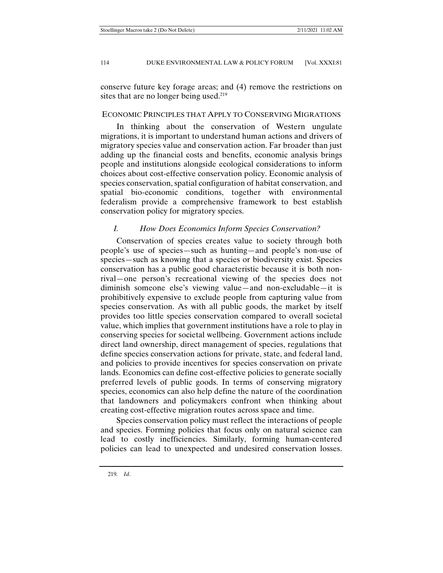conserve future key forage areas; and (4) remove the restrictions on sites that are no longer being used.<sup>219</sup>

## ECONOMIC PRINCIPLES THAT APPLY TO CONSERVING MIGRATIONS

In thinking about the conservation of Western ungulate migrations, it is important to understand human actions and drivers of migratory species value and conservation action. Far broader than just adding up the financial costs and benefits, economic analysis brings people and institutions alongside ecological considerations to inform choices about cost-effective conservation policy. Economic analysis of species conservation, spatial configuration of habitat conservation, and spatial bio-economic conditions, together with environmental federalism provide a comprehensive framework to best establish conservation policy for migratory species.

## *I. How Does Economics Inform Species Conservation?*

Conservation of species creates value to society through both people's use of species—such as hunting—and people's non-use of species—such as knowing that a species or biodiversity exist. Species conservation has a public good characteristic because it is both nonrival—one person's recreational viewing of the species does not diminish someone else's viewing value—and non-excludable—it is prohibitively expensive to exclude people from capturing value from species conservation. As with all public goods, the market by itself provides too little species conservation compared to overall societal value, which implies that government institutions have a role to play in conserving species for societal wellbeing. Government actions include direct land ownership, direct management of species, regulations that define species conservation actions for private, state, and federal land, and policies to provide incentives for species conservation on private lands. Economics can define cost-effective policies to generate socially preferred levels of public goods. In terms of conserving migratory species, economics can also help define the nature of the coordination that landowners and policymakers confront when thinking about creating cost-effective migration routes across space and time.

Species conservation policy must reflect the interactions of people and species. Forming policies that focus only on natural science can lead to costly inefficiencies. Similarly, forming human-centered policies can lead to unexpected and undesired conservation losses.

219*. Id*.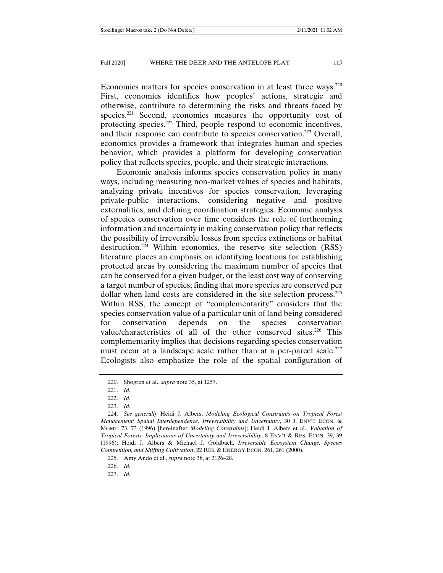Economics matters for species conservation in at least three ways.<sup>220</sup> First, economics identifies how peoples' actions, strategic and otherwise, contribute to determining the risks and threats faced by species.<sup>221</sup> Second, economics measures the opportunity cost of protecting species.222 Third, people respond to economic incentives, and their response can contribute to species conservation.<sup>223</sup> Overall, economics provides a framework that integrates human and species behavior, which provides a platform for developing conservation policy that reflects species, people, and their strategic interactions.

Economic analysis informs species conservation policy in many ways, including measuring non-market values of species and habitats, analyzing private incentives for species conservation, leveraging private-public interactions, considering negative and positive externalities, and defining coordination strategies. Economic analysis of species conservation over time considers the role of forthcoming information and uncertainty in making conservation policy that reflects the possibility of irreversible losses from species extinctions or habitat destruction.224 Within economics, the reserve site selection (RSS) literature places an emphasis on identifying locations for establishing protected areas by considering the maximum number of species that can be conserved for a given budget, or the least cost way of conserving a target number of species; finding that more species are conserved per dollar when land costs are considered in the site selection process.225 Within RSS, the concept of "complementarity" considers that the species conservation value of a particular unit of land being considered for conservation depends on the species conservation value/characteristics of all of the other conserved sites.<sup>226</sup> This complementarity implies that decisions regarding species conservation must occur at a landscape scale rather than at a per-parcel scale. $227$ Ecologists also emphasize the role of the spatial configuration of

226. *Id.*

227. *Id.*

 <sup>220.</sup> Shogren et al., *supra* note 35, at 1257.

 <sup>221.</sup> *Id*.

 <sup>222.</sup> *Id*.

 <sup>223.</sup> *Id*.

 <sup>224.</sup> *See generally* Heidi J. Albers, *Modeling Ecological Constraints on Tropical Forest Management: Spatial Interdependence, Irreversibility and Uncertainty*, 30 J. ENV'T ECON. & MGMT. 73, 73 (1996) [hereinafter *Modeling Constraints*]; Heidi J. Albers et al., *Valuation of Tropical Forests: Implications of Uncertainty and Irreversibility*, 8 ENV'T & RES. ECON. 39, 39 (1996); Heidi J. Albers & Michael J. Goldbach, *Irreversible Ecosystem Change, Species Competition, and Shifting Cultivation*, 22 RES. & ENERGY ECON. 261, 261 (2000).

 <sup>225.</sup> Amy Ando et al., *supra* note 38, at 2126–28.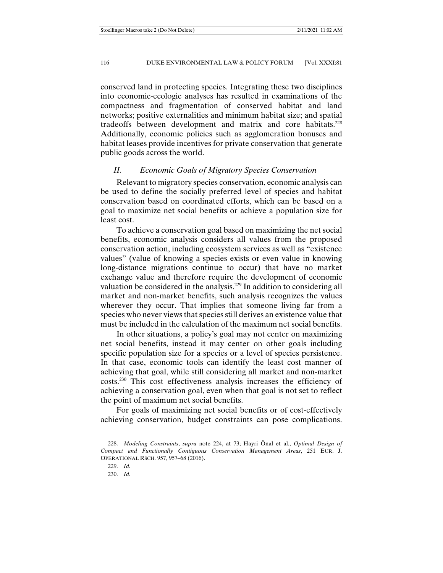conserved land in protecting species. Integrating these two disciplines into economic-ecologic analyses has resulted in examinations of the compactness and fragmentation of conserved habitat and land networks; positive externalities and minimum habitat size; and spatial tradeoffs between development and matrix and core habitats.228 Additionally, economic policies such as agglomeration bonuses and habitat leases provide incentives for private conservation that generate public goods across the world.

## *II. Economic Goals of Migratory Species Conservation*

Relevant to migratory species conservation, economic analysis can be used to define the socially preferred level of species and habitat conservation based on coordinated efforts, which can be based on a goal to maximize net social benefits or achieve a population size for least cost.

To achieve a conservation goal based on maximizing the net social benefits, economic analysis considers all values from the proposed conservation action, including ecosystem services as well as "existence values" (value of knowing a species exists or even value in knowing long-distance migrations continue to occur) that have no market exchange value and therefore require the development of economic valuation be considered in the analysis.<sup>229</sup> In addition to considering all market and non-market benefits, such analysis recognizes the values wherever they occur. That implies that someone living far from a species who never views that species still derives an existence value that must be included in the calculation of the maximum net social benefits.

In other situations, a policy's goal may not center on maximizing net social benefits, instead it may center on other goals including specific population size for a species or a level of species persistence. In that case, economic tools can identify the least cost manner of achieving that goal, while still considering all market and non-market costs.230 This cost effectiveness analysis increases the efficiency of achieving a conservation goal, even when that goal is not set to reflect the point of maximum net social benefits.

For goals of maximizing net social benefits or of cost-effectively achieving conservation, budget constraints can pose complications.

 <sup>228.</sup> *Modeling Constraints*, *supra* note 224, at 73; Hayri Önal et al., *Optimal Design of Compact and Functionally Contiguous Conservation Management Areas*, 251 EUR. J. OPERATIONAL RSCH. 957, 957–68 (2016).

 <sup>229.</sup> *Id.*

 <sup>230.</sup> *Id.*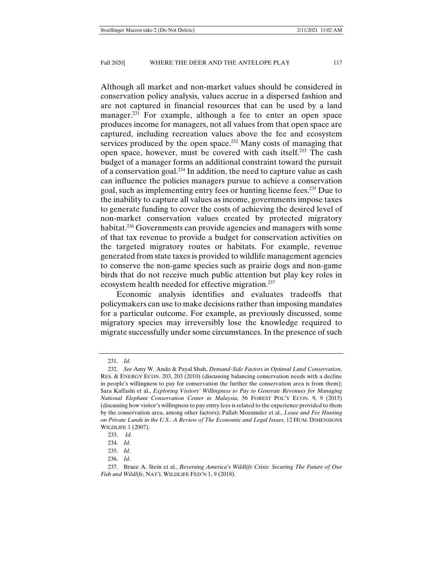Although all market and non-market values should be considered in conservation policy analysis, values accrue in a dispersed fashion and are not captured in financial resources that can be used by a land manager.<sup>231</sup> For example, although a fee to enter an open space produces income for managers, not all values from that open space are captured, including recreation values above the fee and ecosystem services produced by the open space.<sup>232</sup> Many costs of managing that open space, however, must be covered with cash itself.233 The cash budget of a manager forms an additional constraint toward the pursuit of a conservation goal.234 In addition, the need to capture value as cash can influence the policies managers pursue to achieve a conservation goal, such as implementing entry fees or hunting license fees.235 Due to the inability to capture all values as income, governments impose taxes to generate funding to cover the costs of achieving the desired level of non-market conservation values created by protected migratory habitat.<sup>236</sup> Governments can provide agencies and managers with some of that tax revenue to provide a budget for conservation activities on the targeted migratory routes or habitats. For example, revenue generated from state taxes is provided to wildlife management agencies to conserve the non-game species such as prairie dogs and non-game birds that do not receive much public attention but play key roles in ecosystem health needed for effective migration.<sup>237</sup>

Economic analysis identifies and evaluates tradeoffs that policymakers can use to make decisions rather than imposing mandates for a particular outcome. For example, as previously discussed, some migratory species may irreversibly lose the knowledge required to migrate successfully under some circumstances. In the presence of such

 <sup>231.</sup> *Id.* 

 <sup>232.</sup> *See* Amy W. Ando & Payal Shah, *Demand-Side Factors in Optimal Land Conservation*, RES. & ENERGY ECON. 203, 203 (2010) (discussing balancing conservation needs with a decline in people's willingness to pay for conservation the further the conservation area is from them); Sara Kaffashi et al., *Exploring Visitors' Willingness to Pay to Generate Revenues for Managing National Elephant Conservation Center in Malaysia*, 56 FOREST POL'Y ECON. 9, 9 (2015) (discussing how visitor's willingness to pay entry fees is related to the experience provided to them by the conservation area, among other factors); Pallab Mozumder et al., *Lease and Fee Hunting on Private Lands in the U.S.: A Review of The Economic and Legal Issues*, 12 HUM. DIMENSIONS WILDLIFE 1 (2007).

 <sup>233.</sup> *Id*.

 <sup>234.</sup> *Id*.

 <sup>235.</sup> *Id.* 

 <sup>236.</sup> *Id*.

 <sup>237.</sup> Bruce A. Stein et al., *Reversing America's Wildlife Crisis: Securing The Future of Our Fish and Wildlife*, NAT'L WILDLIFE FED'N 1, 9 (2018).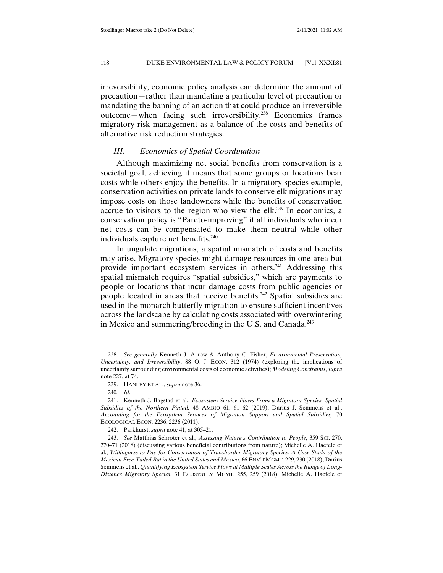irreversibility, economic policy analysis can determine the amount of precaution—rather than mandating a particular level of precaution or mandating the banning of an action that could produce an irreversible outcome—when facing such irreversibility.238 Economics frames migratory risk management as a balance of the costs and benefits of alternative risk reduction strategies.

### *III. Economics of Spatial Coordination*

Although maximizing net social benefits from conservation is a societal goal, achieving it means that some groups or locations bear costs while others enjoy the benefits. In a migratory species example, conservation activities on private lands to conserve elk migrations may impose costs on those landowners while the benefits of conservation accrue to visitors to the region who view the elk.<sup>239</sup> In economics, a conservation policy is "Pareto-improving" if all individuals who incur net costs can be compensated to make them neutral while other individuals capture net benefits.<sup>240</sup>

In ungulate migrations, a spatial mismatch of costs and benefits may arise. Migratory species might damage resources in one area but provide important ecosystem services in others.241 Addressing this spatial mismatch requires "spatial subsidies," which are payments to people or locations that incur damage costs from public agencies or people located in areas that receive benefits.242 Spatial subsidies are used in the monarch butterfly migration to ensure sufficient incentives across the landscape by calculating costs associated with overwintering in Mexico and summering/breeding in the U.S. and Canada.243

242. Parkhurst, *supra* note 41, at 305–21.

 <sup>238.</sup> *See generally* Kenneth J. Arrow & Anthony C. Fisher, *Environmental Preservation, Uncertainty, and Irreversibility*, 88 Q. J. ECON. 312 (1974) (exploring the implications of uncertainty surrounding environmental costs of economic activities); *Modeling Constraints*, *supra* note 227, at 74.

 <sup>239.</sup> HANLEY ET AL., *supra* note 36.

<sup>240</sup>*. Id*.

 <sup>241.</sup> Kenneth J. Bagstad et al., *Ecosystem Service Flows From a Migratory Species: Spatial Subsidies of the Northern Pintail,* 48 AMBIO 61, 61–62 (2019); Darius J. Semmens et al., *Accounting for the Ecosystem Services of Migration Support and Spatial Subsidies,* 70 ECOLOGICAL ECON. 2236, 2236 (2011).

 <sup>243.</sup> *See* Matthias Schroter et al., *Assessing Nature's Contribution to People*, 359 SCI. 270, 270–71 (2018) (discussing various beneficial contributions from nature); Michelle A. Haefele et al., *Willingness to Pay for Conservation of Transborder Migratory Species: A Case Study of the Mexican Free-Tailed Bat in the United States and Mexico*, 66 ENV'T MGMT. 229, 230 (2018); Darius Semmens et al., *Quantifying Ecosystem Service Flows at Multiple Scales Across the Range of Long-Distance Migratory Species*, 31 ECOSYSTEM MGMT. 255, 259 (2018); Michelle A. Haefele et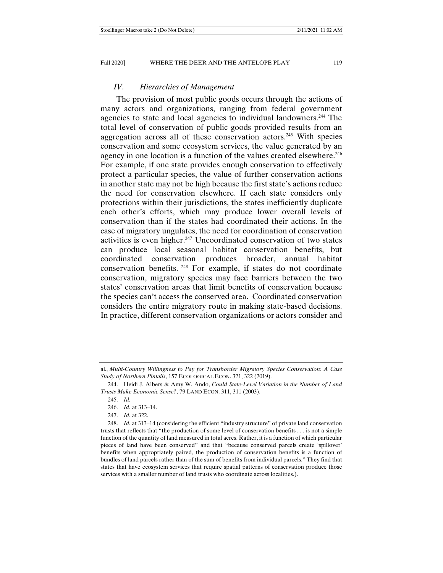### *IV. Hierarchies of Management*

The provision of most public goods occurs through the actions of many actors and organizations, ranging from federal government agencies to state and local agencies to individual landowners.244 The total level of conservation of public goods provided results from an aggregation across all of these conservation actors.<sup>245</sup> With species conservation and some ecosystem services, the value generated by an agency in one location is a function of the values created elsewhere.<sup>246</sup> For example, if one state provides enough conservation to effectively protect a particular species, the value of further conservation actions in another state may not be high because the first state's actions reduce the need for conservation elsewhere. If each state considers only protections within their jurisdictions, the states inefficiently duplicate each other's efforts, which may produce lower overall levels of conservation than if the states had coordinated their actions. In the case of migratory ungulates, the need for coordination of conservation activities is even higher.<sup>247</sup> Uncoordinated conservation of two states can produce local seasonal habitat conservation benefits, but coordinated conservation produces broader, annual habitat conservation benefits. 248 For example, if states do not coordinate conservation, migratory species may face barriers between the two states' conservation areas that limit benefits of conservation because the species can't access the conserved area. Coordinated conservation considers the entire migratory route in making state-based decisions. In practice, different conservation organizations or actors consider and

al., *Multi-Country Willingness to Pay for Transborder Migratory Species Conservation: A Case Study of Northern Pintails*, 157 ECOLOGICAL ECON. 321, 322 (2019).

 <sup>244.</sup> Heidi J. Albers & Amy W. Ando, *Could State-Level Variation in the Number of Land Trusts Make Economic Sense?*, 79 LAND ECON. 311, 311 (2003).

 <sup>245.</sup> *Id.*

 <sup>246.</sup> *Id.* at 313–14.

 <sup>247.</sup> *Id.* at 322.

 <sup>248.</sup> *Id.* at 313–14 (considering the efficient "industry structure" of private land conservation trusts that reflects that "the production of some level of conservation benefits . . . is not a simple function of the quantity of land measured in total acres. Rather, it is a function of which particular pieces of land have been conserved" and that "because conserved parcels create 'spillover' benefits when appropriately paired, the production of conservation benefits is a function of bundles of land parcels rather than of the sum of benefits from individual parcels." They find that states that have ecosystem services that require spatial patterns of conservation produce those services with a smaller number of land trusts who coordinate across localities.).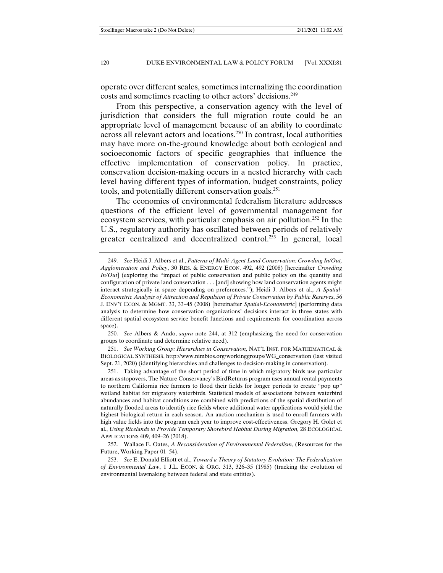operate over different scales, sometimes internalizing the coordination costs and sometimes reacting to other actors' decisions.249

From this perspective, a conservation agency with the level of jurisdiction that considers the full migration route could be an appropriate level of management because of an ability to coordinate across all relevant actors and locations.250 In contrast, local authorities may have more on-the-ground knowledge about both ecological and socioeconomic factors of specific geographies that influence the effective implementation of conservation policy. In practice, conservation decision-making occurs in a nested hierarchy with each level having different types of information, budget constraints, policy tools, and potentially different conservation goals.251

The economics of environmental federalism literature addresses questions of the efficient level of governmental management for ecosystem services, with particular emphasis on air pollution.252 In the U.S., regulatory authority has oscillated between periods of relatively greater centralized and decentralized control.<sup>253</sup> In general, local

 251. *See Working Group: Hierarchies in Conservation,* NAT'L INST. FOR MATHEMATICAL & BIOLOGICAL SYNTHESIS, http://www.nimbios.org/workinggroups/WG\_conservation (last visited Sept. 21, 2020) (identifying hierarchies and challenges to decision-making in conservation).

 <sup>249.</sup> *See* Heidi J. Albers et al., *Patterns of Multi-Agent Land Conservation: Crowding In/Out, Agglomeration and Policy*, 30 RES. & ENERGY ECON. 492, 492 (2008) [hereinafter *Crowding In/Out*] (exploring the "impact of public conservation and public policy on the quantity and configuration of private land conservation . . . [and] showing how land conservation agents might interact strategically in space depending on preferences."); Heidi J. Albers et al., *A Spatial-Econometric Analysis of Attraction and Repulsion of Private Conservation by Public Reserves*, 56 J. ENV'T ECON. & MGMT. 33, 33–45 (2008) [hereinafter *Spatial-Econometric*] (performing data analysis to determine how conservation organizations' decisions interact in three states with different spatial ecosystem service benefit functions and requirements for coordination across space).

 <sup>250.</sup> *See* Albers & Ando, *supra* note 244, at 312 (emphasizing the need for conservation groups to coordinate and determine relative need).

 <sup>251.</sup> Taking advantage of the short period of time in which migratory birds use particular areas as stopovers, The Nature Conservancy's BirdReturns program uses annual rental payments to northern California rice farmers to flood their fields for longer periods to create "pop up" wetland habitat for migratory waterbirds. Statistical models of associations between waterbird abundances and habitat conditions are combined with predictions of the spatial distribution of naturally flooded areas to identify rice fields where additional water applications would yield the highest biological return in each season. An auction mechanism is used to enroll farmers with high value fields into the program each year to improve cost-effectiveness. Gregory H. Golet et al., *Using Ricelands to Provide Temporary Shorebird Habitat During Migration,* 28 ECOLOGICAL APPLICATIONS 409, 409–26 (2018).

 <sup>252.</sup> Wallace E. Oates, *A Reconsideration of Environmental Federalism*, (Resources for the Future, Working Paper 01–54).

 <sup>253.</sup> *See* E. Donald Elliott et al., *Toward a Theory of Statutory Evolution: The Federalization of Environmental Law*, 1 J.L. ECON. & ORG. 313, 326–35 (1985) (tracking the evolution of environmental lawmaking between federal and state entities).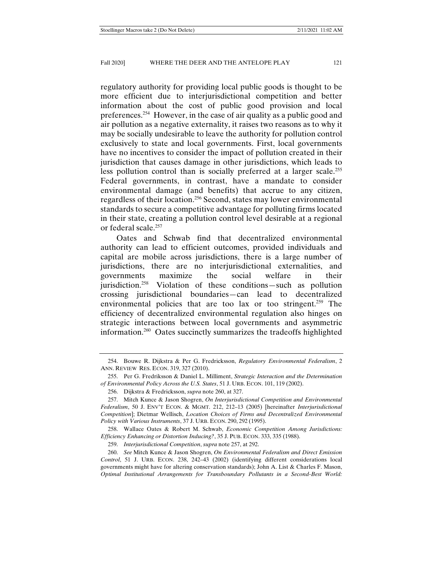regulatory authority for providing local public goods is thought to be more efficient due to interjurisdictional competition and better information about the cost of public good provision and local preferences.254 However, in the case of air quality as a public good and air pollution as a negative externality, it raises two reasons as to why it may be socially undesirable to leave the authority for pollution control exclusively to state and local governments. First, local governments have no incentives to consider the impact of pollution created in their jurisdiction that causes damage in other jurisdictions, which leads to less pollution control than is socially preferred at a larger scale.<sup>255</sup> Federal governments, in contrast, have a mandate to consider environmental damage (and benefits) that accrue to any citizen, regardless of their location.256 Second, states may lower environmental standards to secure a competitive advantage for polluting firms located in their state, creating a pollution control level desirable at a regional or federal scale.257

Oates and Schwab find that decentralized environmental authority can lead to efficient outcomes, provided individuals and capital are mobile across jurisdictions, there is a large number of jurisdictions, there are no interjurisdictional externalities, and governments maximize the social welfare in their jurisdiction.258 Violation of these conditions—such as pollution crossing jurisdictional boundaries—can lead to decentralized environmental policies that are too lax or too stringent.<sup>259</sup> The efficiency of decentralized environmental regulation also hinges on strategic interactions between local governments and asymmetric information.260 Oates succinctly summarizes the tradeoffs highlighted

 258. Wallace Oates & Robert M. Schwab, *Economic Competition Among Jurisdictions: Efficiency Enhancing or Distortion Inducing?*, 35 J. PUB. ECON. 333, 335 (1988).

 <sup>254.</sup> Bouwe R. Dijkstra & Per G. Fredricksson, *Regulatory Environmental Federalism*, 2 ANN. REVIEW RES. ECON. 319, 327 (2010).

 <sup>255.</sup> Per G. Fredriksson & Daniel L. Milliment, *Strategic Interaction and the Determination of Environmental Policy Across the U.S. States*, 51 J. URB. ECON. 101, 119 (2002).

 <sup>256.</sup> Dijkstra & Fredricksson, *supra* note 260, at 327.

 <sup>257.</sup> Mitch Kunce & Jason Shogren, *On Interjurisdictional Competition and Environmental Federalism*, 50 J. ENV'T ECON. & MGMT. 212, 212–13 (2005) [hereinafter *Interjurisdictional Competition*]; Dietmar Wellisch, *Location Choices of Firms and Decentralized Environmental Policy with Various Instruments*, 37 J. URB. ECON. 290, 292 (1995).

 <sup>259.</sup> *Interjurisdictional Competition*, *supra* note 257, at 292.

 <sup>260.</sup> *See* Mitch Kunce & Jason Shogren, *On Environmental Federalism and Direct Emission Control*, 51 J. URB. ECON. 238, 242–43 (2002) (identifying different considerations local governments might have for altering conservation standards); John A. List & Charles F. Mason, *Optimal Institutional Arrangements for Transboundary Pollutants in a Second-Best World:*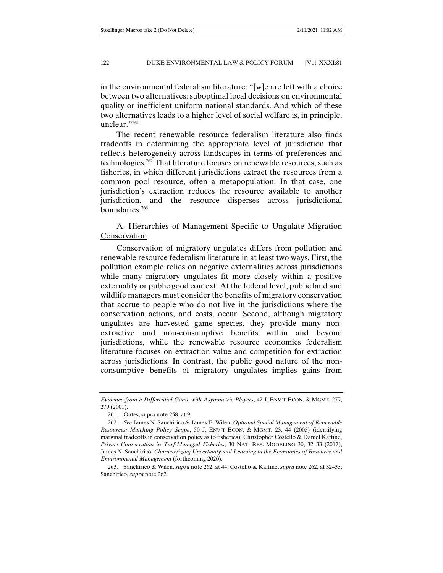in the environmental federalism literature: "[w]e are left with a choice between two alternatives: suboptimal local decisions on environmental quality or inefficient uniform national standards. And which of these two alternatives leads to a higher level of social welfare is, in principle, unclear."261

The recent renewable resource federalism literature also finds tradeoffs in determining the appropriate level of jurisdiction that reflects heterogeneity across landscapes in terms of preferences and technologies.262 That literature focuses on renewable resources, such as fisheries, in which different jurisdictions extract the resources from a common pool resource, often a metapopulation. In that case, one jurisdiction's extraction reduces the resource available to another jurisdiction, and the resource disperses across jurisdictional boundaries.263

# A. Hierarchies of Management Specific to Ungulate Migration Conservation

Conservation of migratory ungulates differs from pollution and renewable resource federalism literature in at least two ways. First, the pollution example relies on negative externalities across jurisdictions while many migratory ungulates fit more closely within a positive externality or public good context. At the federal level, public land and wildlife managers must consider the benefits of migratory conservation that accrue to people who do not live in the jurisdictions where the conservation actions, and costs, occur. Second, although migratory ungulates are harvested game species, they provide many nonextractive and non-consumptive benefits within and beyond jurisdictions, while the renewable resource economics federalism literature focuses on extraction value and competition for extraction across jurisdictions. In contrast, the public good nature of the nonconsumptive benefits of migratory ungulates implies gains from

*Evidence from a Differential Game with Asymmetric Players*, 42 J. ENV'T ECON. & MGMT. 277, 279 (2001).

 <sup>261.</sup> Oates, supra note 258, at 9.

 <sup>262.</sup> *See* James N. Sanchirico & James E. Wilen, *Optional Spatial Management of Renewable Resources: Matching Policy Scope*, 50 J. ENV'T ECON. & MGMT. 23, 44 (2005) (identifying marginal tradeoffs in conservation policy as to fisheries); Christopher Costello & Daniel Kaffine, *Private Conservation in Turf-Managed Fisheries*, 30 NAT. RES. MODELING 30, 32–33 (2017); James N. Sanchirico, *Characterizing Uncertainty and Learning in the Economics of Resource and Environmental Management* (forthcoming 2020).

 <sup>263.</sup> Sanchirico & Wilen, *supra* note 262, at 44; Costello & Kaffine, *supra* note 262, at 32–33; Sanchirico, *supra* note 262.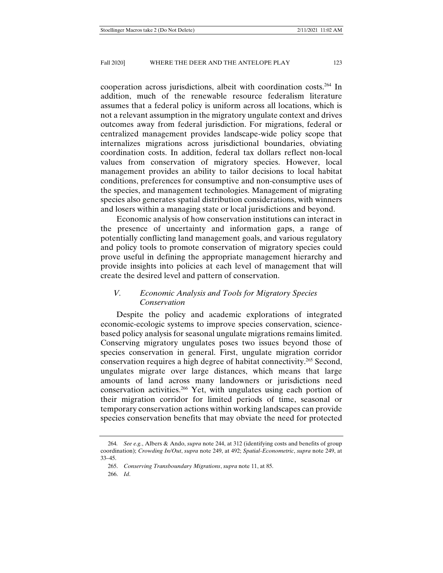cooperation across jurisdictions, albeit with coordination costs.264 In addition, much of the renewable resource federalism literature assumes that a federal policy is uniform across all locations, which is not a relevant assumption in the migratory ungulate context and drives outcomes away from federal jurisdiction. For migrations, federal or centralized management provides landscape-wide policy scope that internalizes migrations across jurisdictional boundaries, obviating coordination costs. In addition, federal tax dollars reflect non-local values from conservation of migratory species. However, local management provides an ability to tailor decisions to local habitat conditions, preferences for consumptive and non-consumptive uses of the species, and management technologies. Management of migrating species also generates spatial distribution considerations, with winners and losers within a managing state or local jurisdictions and beyond.

Economic analysis of how conservation institutions can interact in the presence of uncertainty and information gaps, a range of potentially conflicting land management goals, and various regulatory and policy tools to promote conservation of migratory species could prove useful in defining the appropriate management hierarchy and provide insights into policies at each level of management that will create the desired level and pattern of conservation.

## *V. Economic Analysis and Tools for Migratory Species Conservation*

Despite the policy and academic explorations of integrated economic-ecologic systems to improve species conservation, sciencebased policy analysis for seasonal ungulate migrations remains limited. Conserving migratory ungulates poses two issues beyond those of species conservation in general. First, ungulate migration corridor conservation requires a high degree of habitat connectivity.265 Second, ungulates migrate over large distances, which means that large amounts of land across many landowners or jurisdictions need conservation activities.266 Yet, with ungulates using each portion of their migration corridor for limited periods of time, seasonal or temporary conservation actions within working landscapes can provide species conservation benefits that may obviate the need for protected

<sup>264</sup>*. See e.g.*, Albers & Ando, *supra* note 244, at 312 (identifying costs and benefits of group coordination); *Crowding In/Out*, *supra* note 249, at 492; *Spatial-Econometric*, *supra* note 249, at 33–45.

 <sup>265.</sup> *Conserving Transboundary Migrations*, *supra* note 11, at 85.

 <sup>266.</sup> *Id*.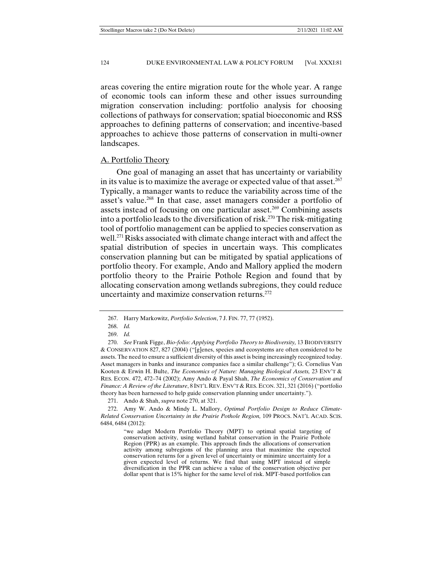areas covering the entire migration route for the whole year. A range of economic tools can inform these and other issues surrounding migration conservation including: portfolio analysis for choosing collections of pathways for conservation; spatial bioeconomic and RSS approaches to defining patterns of conservation; and incentive-based approaches to achieve those patterns of conservation in multi-owner landscapes.

#### A. Portfolio Theory

One goal of managing an asset that has uncertainty or variability in its value is to maximize the average or expected value of that asset.<sup>267</sup> Typically, a manager wants to reduce the variability across time of the asset's value.<sup>268</sup> In that case, asset managers consider a portfolio of assets instead of focusing on one particular asset.<sup>269</sup> Combining assets into a portfolio leads to the diversification of risk.<sup>270</sup> The risk-mitigating tool of portfolio management can be applied to species conservation as well.<sup>271</sup> Risks associated with climate change interact with and affect the spatial distribution of species in uncertain ways. This complicates conservation planning but can be mitigated by spatial applications of portfolio theory. For example, Ando and Mallory applied the modern portfolio theory to the Prairie Pothole Region and found that by allocating conservation among wetlands subregions, they could reduce uncertainty and maximize conservation returns.272

271. Ando & Shah, *supra* note 270, at 321.

 272. Amy W. Ando & Mindy L. Mallory, *Optimal Portfolio Design to Reduce Climate-Related Conservation Uncertainty in the Prairie Pothole Region,* 109 PROCS. NAT'L ACAD. SCIS. 6484, 6484 (2012):

 <sup>267.</sup> Harry Markowitz, *Portfolio Selection*, 7 J. FIN. 77, 77 (1952).

 <sup>268.</sup> *Id.*

 <sup>269.</sup> *Id.*

 <sup>270.</sup> *See* Frank Figge, *Bio-folio: Applying Portfolio Theory to Biodiversity,* 13 BIODIVERSITY & CONSERVATION 827, 827 (2004) ("[g]enes, species and ecosystems are often considered to be assets. The need to ensure a sufficient diversity of this asset is being increasingly recognized today. Asset managers in banks and insurance companies face a similar challenge"); G. Cornelius Van Kooten & Erwin H. Bulte, *The Economics of Nature: Managing Biological Assets,* 23 ENV'T & RES. ECON. 472, 472–74 (2002); Amy Ando & Payal Shah, *The Economics of Conservation and Finance: A Review of the Literature*, 8 INT'L REV. ENV'T & RES. ECON. 321, 321 (2016) ("portfolio theory has been harnessed to help guide conservation planning under uncertainty.").

<sup>&</sup>quot;we adapt Modern Portfolio Theory (MPT) to optimal spatial targeting of conservation activity, using wetland habitat conservation in the Prairie Pothole Region (PPR) as an example. This approach finds the allocations of conservation activity among subregions of the planning area that maximize the expected conservation returns for a given level of uncertainty or minimize uncertainty for a given expected level of returns. We find that using MPT instead of simple diversification in the PPR can achieve a value of the conservation objective per dollar spent that is 15% higher for the same level of risk. MPT-based portfolios can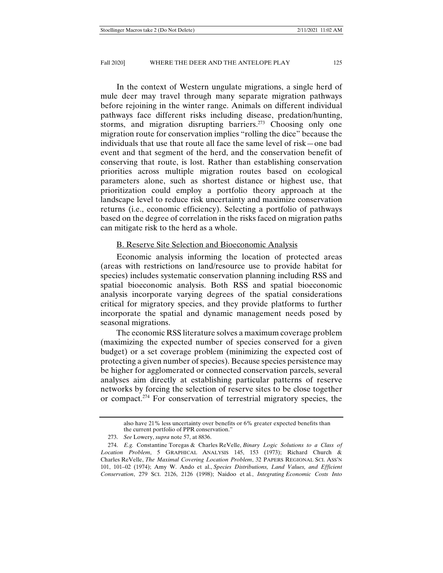In the context of Western ungulate migrations, a single herd of mule deer may travel through many separate migration pathways before rejoining in the winter range. Animals on different individual pathways face different risks including disease, predation/hunting, storms, and migration disrupting barriers.<sup>273</sup> Choosing only one migration route for conservation implies "rolling the dice" because the individuals that use that route all face the same level of risk—one bad event and that segment of the herd, and the conservation benefit of conserving that route, is lost. Rather than establishing conservation priorities across multiple migration routes based on ecological parameters alone, such as shortest distance or highest use, that prioritization could employ a portfolio theory approach at the landscape level to reduce risk uncertainty and maximize conservation returns (i.e., economic efficiency). Selecting a portfolio of pathways based on the degree of correlation in the risks faced on migration paths can mitigate risk to the herd as a whole.

## B. Reserve Site Selection and Bioeconomic Analysis

Economic analysis informing the location of protected areas (areas with restrictions on land/resource use to provide habitat for species) includes systematic conservation planning including RSS and spatial bioeconomic analysis. Both RSS and spatial bioeconomic analysis incorporate varying degrees of the spatial considerations critical for migratory species, and they provide platforms to further incorporate the spatial and dynamic management needs posed by seasonal migrations.

The economic RSS literature solves a maximum coverage problem (maximizing the expected number of species conserved for a given budget) or a set coverage problem (minimizing the expected cost of protecting a given number of species). Because species persistence may be higher for agglomerated or connected conservation parcels, several analyses aim directly at establishing particular patterns of reserve networks by forcing the selection of reserve sites to be close together or compact.274 For conservation of terrestrial migratory species, the

also have 21% less uncertainty over benefits or 6% greater expected benefits than the current portfolio of PPR conservation."

 <sup>273.</sup> *See* Lowery, *supra* note 57, at 8836.

 <sup>274.</sup> *E.g.* Constantine Toregas & Charles ReVelle, *Binary Logic Solutions to a Class of Location Problem*, 5 GRAPHICAL ANALYSIS 145, 153 (1973); Richard Church & Charles ReVelle, *The Maximal Covering Location Problem*, 32 PAPERS REGIONAL SCI. ASS'N 101, 101–02 (1974); Amy W. Ando et al., *Species Distributions, Land Values, and Efficient Conservation*, 279 SCI. 2126, 2126 (1998); Naidoo et al*.*, *Integrating Economic Costs Into*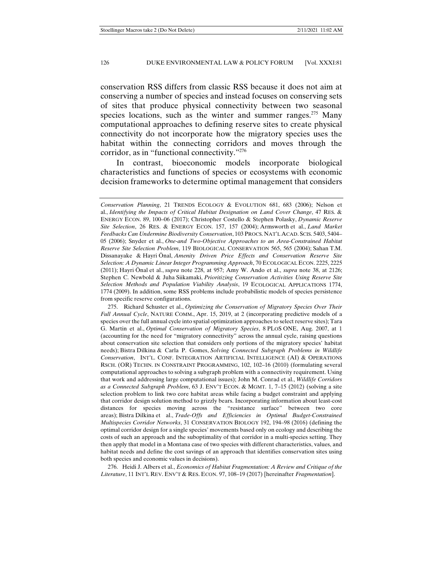conservation RSS differs from classic RSS because it does not aim at conserving a number of species and instead focuses on conserving sets of sites that produce physical connectivity between two seasonal species locations, such as the winter and summer ranges.<sup>275</sup> Many computational approaches to defining reserve sites to create physical connectivity do not incorporate how the migratory species uses the habitat within the connecting corridors and moves through the corridor, as in "functional connectivity."276

In contrast, bioeconomic models incorporate biological characteristics and functions of species or ecosystems with economic decision frameworks to determine optimal management that considers

 276. Heidi J. Albers et al., *Economics of Habitat Fragmentation: A Review and Critique of the Literature*, 11 INT'L REV. ENV'T & RES. ECON. 97, 108–19 (2017) [hereinafter *Fragmentation*].

*Conservation Planning*, 21 TRENDS ECOLOGY & EVOLUTION 681, 683 (2006); Nelson et al., *Identifying the Impacts of Critical Habitat Designation on Land Cover Change*, 47 RES. & ENERGY ECON. 89, 100–06 (2017); Christopher Costello & Stephen Polasky, *Dynamic Reserve Site Selection*, 26 RES. & ENERGY ECON. 157, 157 (2004); Armsworth et al., *Land Market Feedbacks Can Undermine Biodiversity Conservation*, 103 PROCS. NAT'L ACAD. SCIS. 5403, 5404– 05 (2006); Snyder et al., *One-and Two-Objective Approaches to an Area-Constrained Habitat Reserve Site Selection Problem*, 119 BIOLOGICAL CONSERVATION 565, 565 (2004); Sahan T.M. Dissanayake & Hayri Önal, *Amenity Driven Price Effects and Conservation Reserve Site Selection: A Dynamic Linear Integer Programming Approach*, 70 ECOLOGICAL ECON. 2225, 2225 (2011); Hayri Önal et al., *supra* note 228, at 957; Amy W. Ando et al., *supra* note 38, at 2126; Stephen C. Newbold & Juha Siikamaki, *Prioritizing Conservation Activities Using Reserve Site Selection Methods and Population Viability Analysis*, 19 ECOLOGICAL APPLICATIONS 1774, 1774 (2009). In addition, some RSS problems include probabilistic models of species persistence from specific reserve configurations.

 <sup>275.</sup> Richard Schuster et al., *Optimizing the Conservation of Migratory Species Over Their Full Annual Cycle*, NATURE COMM., Apr. 15, 2019, at 2 (incorporating predictive models of a species over the full annual cycle into spatial optimization approaches to select reserve sites); Tara G. Martin et al., *Optimal Conservation of Migratory Species*, 8 PLOS ONE, Aug. 2007, at 1 (accounting for the need for "migratory connectivity" across the annual cycle, raising questions about conservation site selection that considers only portions of the migratory species' habitat needs); Bistra Dilkina & Carla P. Gomes, *Solving Connected Subgraph Problems in Wildlife Conservation*, INT'L. CONF. INTEGRATION ARTIFICIAL INTELLIGENCE (AI) & OPERATIONS RSCH. (OR) TECHN. IN CONSTRAINT PROGRAMMING, 102, 102–16 (2010) (formulating several computational approaches to solving a subgraph problem with a connectivity requirement. Using that work and addressing large computational issues); John M. Conrad et al., *Wildlife Corridors as a Connected Subgraph Problem*, 63 J. ENV'T ECON. & MGMT. 1, 7–15 (2012) (solving a site selection problem to link two core habitat areas while facing a budget constraint and applying that corridor design solution method to grizzly bears. Incorporating information about least-cost distances for species moving across the "resistance surface" between two core areas); Bistra Dilkina et al., *Trade-Offs and Efficiencies in Optimal Budget-Constrained Multispecies Corridor Networks*, 31 CONSERVATION BIOLOGY 192, 194–98 (2016) (defining the optimal corridor design for a single species' movements based only on ecology and describing the costs of such an approach and the suboptimality of that corridor in a multi-species setting. They then apply that model in a Montana case of two species with different characteristics, values, and habitat needs and define the cost savings of an approach that identifies conservation sites using both species and economic values in decisions).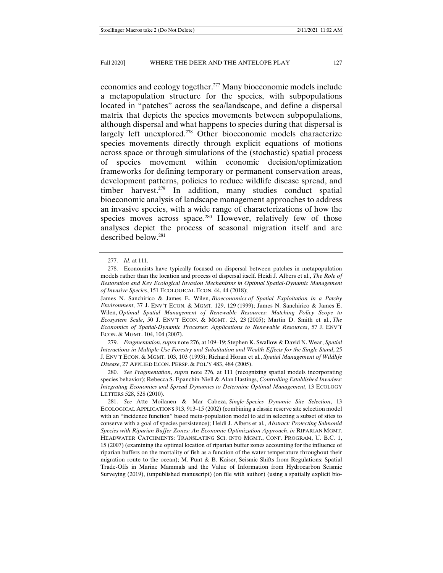economics and ecology together.277 Many bioeconomic models include a metapopulation structure for the species, with subpopulations located in "patches" across the sea/landscape, and define a dispersal matrix that depicts the species movements between subpopulations, although dispersal and what happens to species during that dispersal is largely left unexplored.<sup>278</sup> Other bioeconomic models characterize species movements directly through explicit equations of motions across space or through simulations of the (stochastic) spatial process of species movement within economic decision/optimization frameworks for defining temporary or permanent conservation areas, development patterns, policies to reduce wildlife disease spread, and timber harvest.<sup>279</sup> In addition, many studies conduct spatial bioeconomic analysis of landscape management approaches to address an invasive species, with a wide range of characterizations of how the species moves across space.<sup>280</sup> However, relatively few of those analyses depict the process of seasonal migration itself and are described below.281

James N. Sanchirico & James E. Wilen, *Bioeconomics of Spatial Exploitation in a Patchy Environment*, 37 J. ENV'T ECON. & MGMT. 129, 129 (1999); James N. Sanchirico & James E. Wilen, *Optimal Spatial Management of Renewable Resources: Matching Policy Scope to Ecosystem Scale*, 50 J. ENV'T ECON. & MGMT. 23, 23 (2005); Martin D. Smith et al., *The Economics of Spatial-Dynamic Processes: Applications to Renewable Resources*, 57 J. ENV'T ECON. & MGMT. 104, 104 (2007).

 279. *Fragmentation*, *supra* note 276, at 109–19; Stephen K. Swallow & David N. Wear, *Spatial Interactions in Multiple-Use Forestry and Substitution and Wealth Effects for the Single Stand*, 25 J. ENV'T ECON. & MGMT. 103, 103 (1993); Richard Horan et al., *Spatial Management of Wildlife Disease*, 27 APPLIED ECON. PERSP. & POL'Y 483, 484 (2005).

 280. *See Fragmentation*, *supra* note 276, at 111 (recognizing spatial models incorporating species behavior); Rebecca S. Epanchin-Niell & Alan Hastings, *Controlling Established Invaders: Integrating Economics and Spread Dynamics to Determine Optimal Management*, 13 ECOLOGY LETTERS 528, 528 (2010).

 281. *See* Atte Moilanen & Mar Cabeza, *Single-Species Dynamic Site Selection*, 13 ECOLOGICAL APPLICATIONS 913, 913–15 (2002) (combining a classic reserve site selection model with an "incidence function" based meta-population model to aid in selecting a subset of sites to conserve with a goal of species persistence); Heidi J. Albers et al., *Abstract: Protecting Salmonid Species with Riparian Buffer Zones: An Economic Optimization Approach*, *in* RIPARIAN MGMT. HEADWATER CATCHMENTS: TRANSLATING SCI. INTO MGMT., CONF. PROGRAM, U. B.C. 1, 15 (2007) (examining the optimal location of riparian buffer zones accounting for the influence of riparian buffers on the mortality of fish as a function of the water temperature throughout their migration route to the ocean); M. Punt & B. Kaiser, Seismic Shifts from Regulations: Spatial Trade-Offs in Marine Mammals and the Value of Information from Hydrocarbon Seismic Surveying (2019), (unpublished manuscript) (on file with author) (using a spatially explicit bio-

 <sup>277.</sup> *Id.* at 111.

 <sup>278.</sup> Economists have typically focused on dispersal between patches in metapopulation models rather than the location and process of dispersal itself. Heidi J. Albers et al., *The Role of Restoration and Key Ecological Invasion Mechanisms in Optimal Spatial-Dynamic Management of Invasive Species*, 151 ECOLOGICAL ECON. 44, 44 (2018);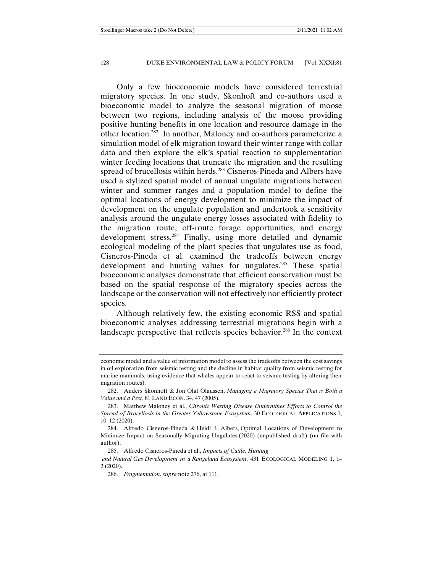Only a few bioeconomic models have considered terrestrial migratory species. In one study, Skonhoft and co-authors used a bioeconomic model to analyze the seasonal migration of moose between two regions, including analysis of the moose providing positive hunting benefits in one location and resource damage in the other location.282 In another, Maloney and co-authors parameterize a simulation model of elk migration toward their winter range with collar data and then explore the elk's spatial reaction to supplementation winter feeding locations that truncate the migration and the resulting spread of brucellosis within herds.<sup>283</sup> Cisneros-Pineda and Albers have used a stylized spatial model of annual ungulate migrations between winter and summer ranges and a population model to define the optimal locations of energy development to minimize the impact of development on the ungulate population and undertook a sensitivity analysis around the ungulate energy losses associated with fidelity to the migration route, off-route forage opportunities, and energy development stress.284 Finally, using more detailed and dynamic ecological modeling of the plant species that ungulates use as food, Cisneros-Pineda et al. examined the tradeoffs between energy development and hunting values for ungulates.285 These spatial bioeconomic analyses demonstrate that efficient conservation must be based on the spatial response of the migratory species across the landscape or the conservation will not effectively nor efficiently protect species.

Although relatively few, the existing economic RSS and spatial bioeconomic analyses addressing terrestrial migrations begin with a landscape perspective that reflects species behavior.<sup>286</sup> In the context

economic model and a value of information model to assess the tradeoffs between the cost savings in oil exploration from seismic testing and the decline in habitat quality from seismic testing for marine mammals, using evidence that whales appear to react to seismic testing by altering their migration routes).

 <sup>282.</sup> Anders Skonhoft & Jon Olaf Olaussen, *Managing a Migratory Species That is Both a Value and a Pest,* 81 LAND ECON. 34, 47 (2005).

 <sup>283.</sup> Matthew Maloney et al., *Chronic Wasting Disease Undermines Efforts to Control the Spread of Brucellosis in the Greater Yellowstone Ecosystem*, 30 ECOLOGICAL APPLICATIONS 1, 10–12 (2020).

 <sup>284.</sup> Alfredo Cisneros-Pineda & Heidi J. Albers, Optimal Locations of Development to Minimize Impact on Seasonally Migrating Ungulates (2020) (unpublished draft) (on file with author).

 <sup>285.</sup> Alfredo Cisneros-Pineda et al., *Impacts of Cattle, Hunting* 

*and Natural Gas Development in a Rangeland Ecosystem*, 431 ECOLOGICAL MODELING 1, 1– 2 (2020).

 <sup>286.</sup> *Fragmentation*, *supra* note 276, at 111.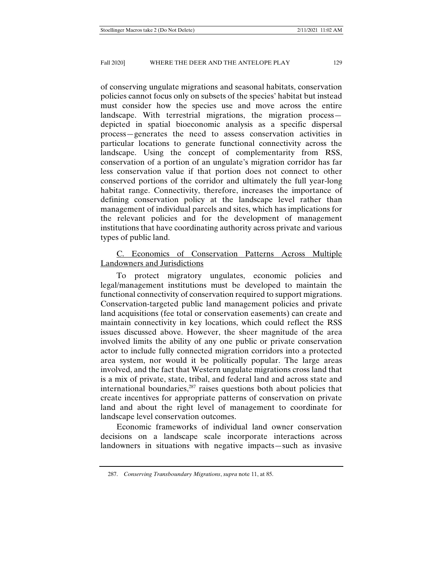of conserving ungulate migrations and seasonal habitats, conservation policies cannot focus only on subsets of the species' habitat but instead must consider how the species use and move across the entire landscape. With terrestrial migrations, the migration process depicted in spatial bioeconomic analysis as a specific dispersal process—generates the need to assess conservation activities in particular locations to generate functional connectivity across the landscape. Using the concept of complementarity from RSS, conservation of a portion of an ungulate's migration corridor has far less conservation value if that portion does not connect to other conserved portions of the corridor and ultimately the full year-long habitat range. Connectivity, therefore, increases the importance of defining conservation policy at the landscape level rather than management of individual parcels and sites, which has implications for the relevant policies and for the development of management institutions that have coordinating authority across private and various types of public land.

# C. Economics of Conservation Patterns Across Multiple Landowners and Jurisdictions

To protect migratory ungulates, economic policies and legal/management institutions must be developed to maintain the functional connectivity of conservation required to support migrations. Conservation-targeted public land management policies and private land acquisitions (fee total or conservation easements) can create and maintain connectivity in key locations, which could reflect the RSS issues discussed above. However, the sheer magnitude of the area involved limits the ability of any one public or private conservation actor to include fully connected migration corridors into a protected area system, nor would it be politically popular. The large areas involved, and the fact that Western ungulate migrations cross land that is a mix of private, state, tribal, and federal land and across state and international boundaries, $287$  raises questions both about policies that create incentives for appropriate patterns of conservation on private land and about the right level of management to coordinate for landscape level conservation outcomes.

Economic frameworks of individual land owner conservation decisions on a landscape scale incorporate interactions across landowners in situations with negative impacts—such as invasive

 <sup>287.</sup> *Conserving Transboundary Migrations*, *supra* note 11, at 85.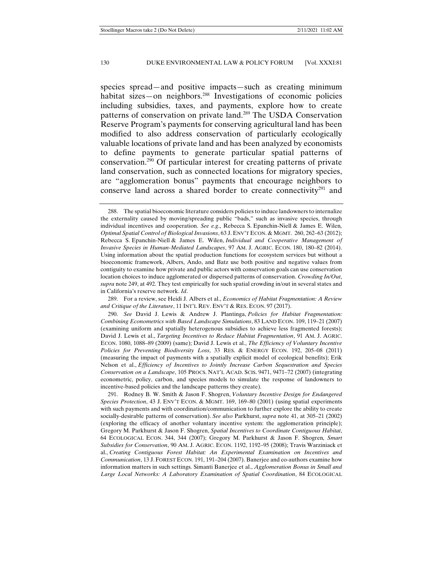species spread—and positive impacts—such as creating minimum habitat sizes—on neighbors.<sup>288</sup> Investigations of economic policies including subsidies, taxes, and payments, explore how to create patterns of conservation on private land.289 The USDA Conservation Reserve Program's payments for conserving agricultural land has been modified to also address conservation of particularly ecologically valuable locations of private land and has been analyzed by economists to define payments to generate particular spatial patterns of conservation.290 Of particular interest for creating patterns of private land conservation, such as connected locations for migratory species, are "agglomeration bonus" payments that encourage neighbors to conserve land across a shared border to create connectivity<sup>291</sup> and

 289. For a review, see Heidi J. Albers et al., *Economics of Habitat Fragmentation: A Review and Critique of the Literature*, 11 INT'L REV. ENV'T & RES. ECON. 97 (2017).

 290. *See* David J. Lewis & Andrew J. Plantinga, *Policies for Habitat Fragmentation: Combining Econometrics with Based Landscape Simulations*, 83 LAND ECON. 109, 119–21 (2007) (examining uniform and spatially heterogenous subsidies to achieve less fragmented forests); David J. Lewis et al., *Targeting Incentives to Reduce Habitat Fragmentation*, 91 AM. J. AGRIC. ECON. 1080, 1088–89 (2009) (same); David J. Lewis et al., *The Efficiency of Voluntary Incentive Policies for Preventing Biodiversity Loss*, 33 RES. & ENERGY ECON. 192, 205–08 (2011) (measuring the impact of payments with a spatially explicit model of ecological benefits); Erik Nelson et al., *Efficiency of Incentives to Jointly Increase Carbon Sequestration and Species Conservation on a Landscape*, 105 PROCS. NAT'L ACAD. SCIS. 9471, 9471–72 (2007) (integrating econometric, policy, carbon, and species models to simulate the response of landowners to incentive-based policies and the landscape patterns they create).

 291. Rodney B. W. Smith & Jason F. Shogren, *Voluntary Incentive Design for Endangered Species Protection*, 43 J. ENV'T ECON. & MGMT. 169, 169–80 (2001) (using spatial experiments with such payments and with coordination/communication to further explore the ability to create socially-desirable patterns of conservation). *See also* Parkhurst, *supra* note 41, at 305–21 (2002) (exploring the efficacy of another voluntary incentive system: the agglomeration principle); Gregory M. Parkhurst & Jason F. Shogren, *Spatial Incentives to Coordinate Contiguous Habitat*, 64 ECOLOGICAL ECON. 344, 344 (2007); Gregory M. Parkhurst & Jason F. Shogren*, Smart Subsidies for Conservation*, 90 AM. J. AGRIC. ECON. 1192, 1192–95 (2008); Travis Warziniack et al., *Creating Contiguous Forest Habitat: An Experimental Examination on Incentives and Communication*, 13 J. FOREST ECON. 191, 191–204 (2007). Banerjee and co-authors examine how information matters in such settings. Simanti Banerjee et al., *Agglomeration Bonus in Small and Large Local Networks: A Laboratory Examination of Spatial Coordination*, 84 ECOLOGICAL

 <sup>288.</sup> The spatial bioeconomic literature considers policies to induce landowners to internalize the externality caused by moving/spreading public "bads," such as invasive species, through individual incentives and cooperation. *See e.g*., Rebecca S. Epanchin-Niell & James E. Wilen*, Optimal Spatial Control of Biological Invasions*, 63 J. ENV'T ECON. & MGMT. 260, 262–63 (2012); Rebecca S. Epanchin-Niell & James E. Wilen, *Individual and Cooperative Management of Invasive Species in Human-Mediated Landscapes*, 97 AM. J. AGRIC. ECON. 180, 180–82 (2014). Using information about the spatial production functions for ecosystem services but without a bioeconomic framework, Albers, Ando, and Batz use both positive and negative values from contiguity to examine how private and public actors with conservation goals can use conservation location choices to induce agglomerated or dispersed patterns of conservation. *Crowding In/Out*, *supra* note 249, at 492. They test empirically for such spatial crowding in/out in several states and in California's reserve network. *Id*.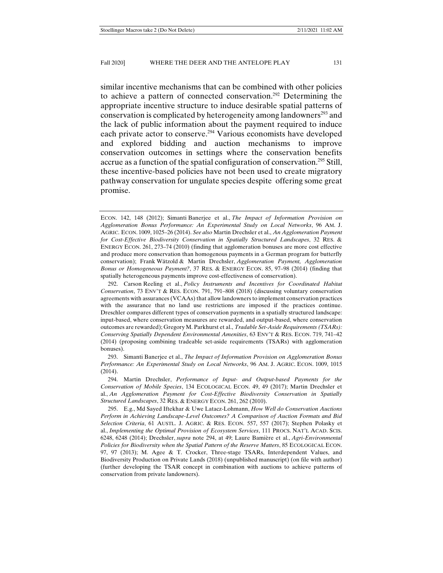similar incentive mechanisms that can be combined with other policies to achieve a pattern of connected conservation.292 Determining the appropriate incentive structure to induce desirable spatial patterns of conservation is complicated by heterogeneity among landowners<sup>293</sup> and the lack of public information about the payment required to induce each private actor to conserve.<sup>294</sup> Various economists have developed and explored bidding and auction mechanisms to improve conservation outcomes in settings where the conservation benefits accrue as a function of the spatial configuration of conservation.<sup>295</sup> Still, these incentive-based policies have not been used to create migratory pathway conservation for ungulate species despite offering some great promise.

 293. Simanti Banerjee et al., *The Impact of Information Provision on Agglomeration Bonus Performance: An Experimental Study on Local Networks*, 96 AM. J. AGRIC. ECON. 1009, 1015 (2014).

ECON. 142, 148 (2012); Simanti Banerjee et al., *The Impact of Information Provision on Agglomeration Bonus Performance: An Experimental Study on Local Networks*, 96 AM. J. AGRIC. ECON. 1009, 1025–26 (2014). *See also* Martin Drechsler et al., *An Agglomeration Payment for Cost-Effective Biodiversity Conservation in Spatially Structured Landscapes*, 32 RES. & ENERGY ECON. 261, 273–74 (2010) (finding that agglomeration bonuses are more cost effective and produce more conservation than homogenous payments in a German program for butterfly conservation); Frank Wätzold & Martin Drechsler, *Agglomeration Payment, Agglomeration Bonus or Homogeneous Payment?*, 37 RES. & ENERGY ECON. 85, 97–98 (2014) (finding that spatially heterogeneous payments improve cost-effectiveness of conservation).

 <sup>292.</sup> Carson Reeling et al., *Policy Instruments and Incentives for Coordinated Habitat Conservation*, 73 ENV'T & RES. ECON. 791, 791–808 (2018) (discussing voluntary conservation agreements with assurances (VCAAs) that allow landowners to implement conservation practices with the assurance that no land use restrictions are imposed if the practices continue. Dreschler compares different types of conservation payments in a spatially structured landscape: input-based, where conservation measures are rewarded, and output-based, where conservation outcomes are rewarded); Gregory M. Parkhurst et al., *Tradable Set-Aside Requirements (TSARs): Conserving Spatially Dependent Environmental Amenities*, 63 ENV'T & RES. ECON. 719, 741–42 (2014) (proposing combining tradeable set-aside requirements (TSARs) with agglomeration bonuses).

 <sup>294.</sup> Martin Drechsler, *Performance of Input- and Output-based Payments for the Conservation of Mobile Species*, 134 ECOLOGICAL ECON. 49, 49 (2017); Martin Drechsler et al., *An Agglomeration Payment for Cost-Effective Biodiversity Conservation in Spatially Structured Landscapes*, 32 RES. & ENERGY ECON. 261, 262 (2010).

 <sup>295.</sup> E.g., Md Sayed Iftekhar & Uwe Latacz-Lohmann, *How Well do Conservation Auctions Perform in Achieving Landscape-Level Outcomes? A Comparison of Auction Formats and Bid Selection Criteria*, 61 AUSTL. J. AGRIC. & RES. ECON. 557, 557 (2017); Stephen Polasky et al., *Implementing the Optimal Provision of Ecosystem Services*, 111 PROCS. NAT'L ACAD. SCIS. 6248, 6248 (2014); Drechsler, *supra* note 294, at 49; Laure Bamière et al., *Agri-Environmental Policies for Biodiversity when the Spatial Pattern of the Reserve Matters*, 85 ECOLOGICAL ECON. 97, 97 (2013); M. Agee & T. Crocker, Three-stage TSARs, Interdependent Values, and Biodiversity Production on Private Lands (2018) (unpublished manuscript) (on file with author) (further developing the TSAR concept in combination with auctions to achieve patterns of conservation from private landowners).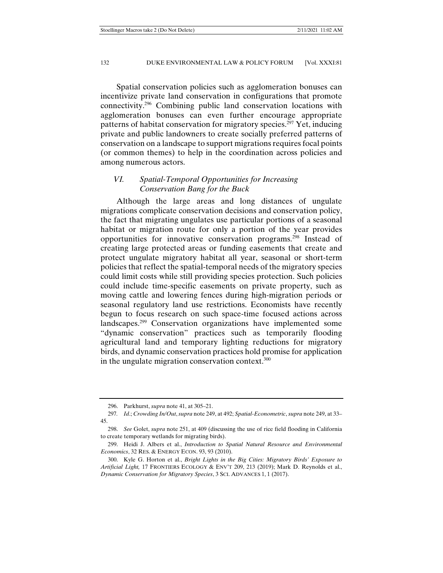Spatial conservation policies such as agglomeration bonuses can incentivize private land conservation in configurations that promote connectivity.296 Combining public land conservation locations with agglomeration bonuses can even further encourage appropriate patterns of habitat conservation for migratory species.<sup>297</sup> Yet, inducing private and public landowners to create socially preferred patterns of conservation on a landscape to support migrations requires focal points (or common themes) to help in the coordination across policies and among numerous actors.

## *VI. Spatial-Temporal Opportunities for Increasing Conservation Bang for the Buck*

Although the large areas and long distances of ungulate migrations complicate conservation decisions and conservation policy, the fact that migrating ungulates use particular portions of a seasonal habitat or migration route for only a portion of the year provides opportunities for innovative conservation programs.298 Instead of creating large protected areas or funding easements that create and protect ungulate migratory habitat all year, seasonal or short-term policies that reflect the spatial-temporal needs of the migratory species could limit costs while still providing species protection. Such policies could include time-specific easements on private property, such as moving cattle and lowering fences during high-migration periods or seasonal regulatory land use restrictions. Economists have recently begun to focus research on such space-time focused actions across landscapes.299 Conservation organizations have implemented some "dynamic conservation" practices such as temporarily flooding agricultural land and temporary lighting reductions for migratory birds, and dynamic conservation practices hold promise for application in the ungulate migration conservation context.<sup>300</sup>

 <sup>296.</sup> Parkhurst, *supra* note 41, at 305–21.

<sup>297</sup>*. Id*.; *Crowding In/Out*, *supra* note 249, at 492; *Spatial-Econometric*, *supra* note 249, at 33– 45.

 <sup>298.</sup> *See* Golet, *supra* note 251, at 409 (discussing the use of rice field flooding in California to create temporary wetlands for migrating birds).

 <sup>299.</sup> Heidi J. Albers et al., *Introduction to Spatial Natural Resource and Environmental Economics*, 32 RES. & ENERGY ECON. 93, 93 (2010).

 <sup>300.</sup> Kyle G. Horton et al., *Bright Lights in the Big Cities: Migratory Birds' Exposure to Artificial Light,* 17 FRONTIERS ECOLOGY & ENV'T 209, 213 (2019); Mark D. Reynolds et al., *Dynamic Conservation for Migratory Species*, 3 SCI. ADVANCES 1, 1 (2017).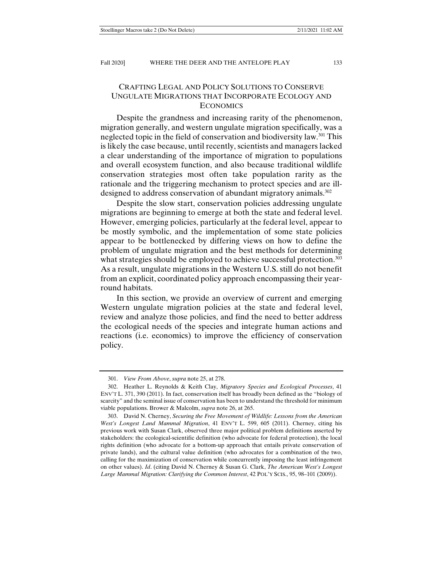# CRAFTING LEGAL AND POLICY SOLUTIONS TO CONSERVE UNGULATE MIGRATIONS THAT INCORPORATE ECOLOGY AND **ECONOMICS**

Despite the grandness and increasing rarity of the phenomenon, migration generally, and western ungulate migration specifically, was a neglected topic in the field of conservation and biodiversity law.<sup>301</sup> This is likely the case because, until recently, scientists and managers lacked a clear understanding of the importance of migration to populations and overall ecosystem function, and also because traditional wildlife conservation strategies most often take population rarity as the rationale and the triggering mechanism to protect species and are illdesigned to address conservation of abundant migratory animals.<sup>302</sup>

Despite the slow start, conservation policies addressing ungulate migrations are beginning to emerge at both the state and federal level. However, emerging policies, particularly at the federal level, appear to be mostly symbolic, and the implementation of some state policies appear to be bottlenecked by differing views on how to define the problem of ungulate migration and the best methods for determining what strategies should be employed to achieve successful protection.<sup>303</sup> As a result, ungulate migrations in the Western U.S. still do not benefit from an explicit, coordinated policy approach encompassing their yearround habitats.

In this section, we provide an overview of current and emerging Western ungulate migration policies at the state and federal level, review and analyze those policies, and find the need to better address the ecological needs of the species and integrate human actions and reactions (i.e. economics) to improve the efficiency of conservation policy.

 <sup>301.</sup> *View From Above*, *supra* note 25, at 278.

 <sup>302.</sup> Heather L. Reynolds & Keith Clay, *Migratory Species and Ecological Processes*, 41 ENV'T L. 371, 390 (2011). In fact, conservation itself has broadly been defined as the "biology of scarcity" and the seminal issue of conservation has been to understand the threshold for minimum viable populations. Brower & Malcolm, *supra* note 26, at 265.

 <sup>303.</sup> David N. Cherney, *Securing the Free Movement of Wildlife: Lessons from the American West's Longest Land Mammal Migration*, 41 ENV'T L. 599, 605 (2011). Cherney, citing his previous work with Susan Clark, observed three major political problem definitions asserted by stakeholders: the ecological-scientific definition (who advocate for federal protection), the local rights definition (who advocate for a bottom-up approach that entails private conservation of private lands), and the cultural value definition (who advocates for a combination of the two, calling for the maximization of conservation while concurrently imposing the least infringement on other values). *Id*. (citing David N. Cherney & Susan G. Clark, *The American West's Longest*  Large Mammal Migration: Clarifying the Common Interest, 42 POL'Y SCIS., 95, 98-101 (2009)).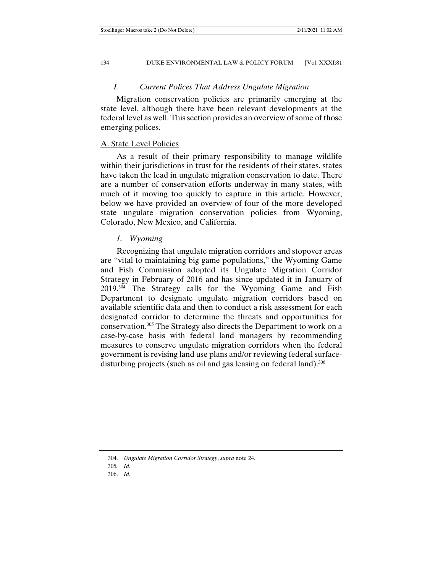### *I. Current Polices That Address Ungulate Migration*

Migration conservation policies are primarily emerging at the state level, although there have been relevant developments at the federal level as well. This section provides an overview of some of those emerging polices.

### A. State Level Policies

As a result of their primary responsibility to manage wildlife within their jurisdictions in trust for the residents of their states, states have taken the lead in ungulate migration conservation to date. There are a number of conservation efforts underway in many states, with much of it moving too quickly to capture in this article. However, below we have provided an overview of four of the more developed state ungulate migration conservation policies from Wyoming, Colorado, New Mexico, and California.

#### *1. Wyoming*

Recognizing that ungulate migration corridors and stopover areas are "vital to maintaining big game populations," the Wyoming Game and Fish Commission adopted its Ungulate Migration Corridor Strategy in February of 2016 and has since updated it in January of  $2019.^{304}$  The Strategy calls for the Wyoming Game and Fish Department to designate ungulate migration corridors based on available scientific data and then to conduct a risk assessment for each designated corridor to determine the threats and opportunities for conservation.305 The Strategy also directs the Department to work on a case-by-case basis with federal land managers by recommending measures to conserve ungulate migration corridors when the federal government is revising land use plans and/or reviewing federal surfacedisturbing projects (such as oil and gas leasing on federal land).<sup>306</sup>

 <sup>304.</sup> *Ungulate Migration Corridor Strategy*, *supra* note 24.

<sup>305</sup>*. Id*.

 <sup>306.</sup> *Id*.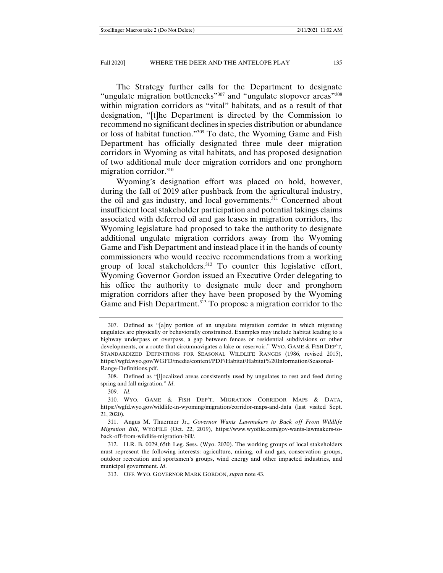The Strategy further calls for the Department to designate "ungulate migration bottlenecks"<sup>307</sup> and "ungulate stopover areas"<sup>308</sup> within migration corridors as "vital" habitats, and as a result of that designation, "[t]he Department is directed by the Commission to recommend no significant declines in species distribution or abundance or loss of habitat function."309 To date, the Wyoming Game and Fish Department has officially designated three mule deer migration corridors in Wyoming as vital habitats, and has proposed designation of two additional mule deer migration corridors and one pronghorn migration corridor.<sup>310</sup>

Wyoming's designation effort was placed on hold, however, during the fall of 2019 after pushback from the agricultural industry, the oil and gas industry, and local governments.<sup>311</sup> Concerned about insufficient local stakeholder participation and potential takings claims associated with deferred oil and gas leases in migration corridors, the Wyoming legislature had proposed to take the authority to designate additional ungulate migration corridors away from the Wyoming Game and Fish Department and instead place it in the hands of county commissioners who would receive recommendations from a working group of local stakeholders. $312$  To counter this legislative effort, Wyoming Governor Gordon issued an Executive Order delegating to his office the authority to designate mule deer and pronghorn migration corridors after they have been proposed by the Wyoming Game and Fish Department.<sup>313</sup> To propose a migration corridor to the

 308. Defined as "[l]ocalized areas consistently used by ungulates to rest and feed during spring and fall migration." *Id*.

 <sup>307.</sup> Defined as "[a]ny portion of an ungulate migration corridor in which migrating ungulates are physically or behaviorally constrained. Examples may include habitat leading to a highway underpass or overpass, a gap between fences or residential subdivisions or other developments, or a route that circumnavigates a lake or reservoir." WYO. GAME & FISH DEP'T, STANDARDIZED DEFINITIONS FOR SEASONAL WILDLIFE RANGES (1986, revised 2015), https://wgfd.wyo.gov/WGFD/media/content/PDF/Habitat/Habitat%20Information/Seasonal-Range-Definitions.pdf.

 <sup>309.</sup> *Id*.

 <sup>310.</sup> WYO. GAME & FISH DEP'T, MIGRATION CORRIDOR MAPS & DATA, https://wgfd.wyo.gov/wildlife-in-wyoming/migration/corridor-maps-and-data (last visited Sept. 21, 2020).

 <sup>311.</sup> Angus M. Thuermer Jr., *Governor Wants Lawmakers to Back off From Wildlife Migration Bill*, WYOFILE (Oct. 22, 2019), https://www.wyofile.com/gov-wants-lawmakers-toback-off-from-wildlife-migration-bill/.

 <sup>312.</sup> H.R. B. 0029, 65th Leg. Sess. (Wyo. 2020). The working groups of local stakeholders must represent the following interests: agriculture, mining, oil and gas, conservation groups, outdoor recreation and sportsmen's groups, wind energy and other impacted industries, and municipal government. *Id*.

 <sup>313.</sup> OFF. WYO. GOVERNOR MARK GORDON, *supra* note 43.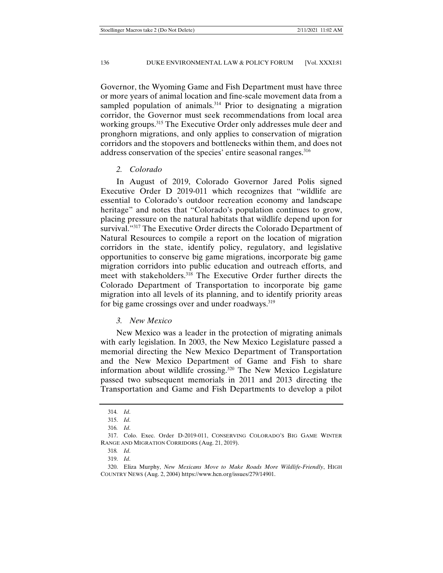Governor, the Wyoming Game and Fish Department must have three or more years of animal location and fine-scale movement data from a sampled population of animals.<sup>314</sup> Prior to designating a migration corridor, the Governor must seek recommendations from local area working groups.<sup>315</sup> The Executive Order only addresses mule deer and pronghorn migrations, and only applies to conservation of migration corridors and the stopovers and bottlenecks within them, and does not address conservation of the species' entire seasonal ranges.<sup>316</sup>

#### *2. Colorado*

In August of 2019, Colorado Governor Jared Polis signed Executive Order D 2019-011 which recognizes that "wildlife are essential to Colorado's outdoor recreation economy and landscape heritage" and notes that "Colorado's population continues to grow, placing pressure on the natural habitats that wildlife depend upon for survival."<sup>317</sup> The Executive Order directs the Colorado Department of Natural Resources to compile a report on the location of migration corridors in the state, identify policy, regulatory, and legislative opportunities to conserve big game migrations, incorporate big game migration corridors into public education and outreach efforts, and meet with stakeholders.<sup>318</sup> The Executive Order further directs the Colorado Department of Transportation to incorporate big game migration into all levels of its planning, and to identify priority areas for big game crossings over and under roadways.<sup>319</sup>

### *3. New Mexico*

New Mexico was a leader in the protection of migrating animals with early legislation. In 2003, the New Mexico Legislature passed a memorial directing the New Mexico Department of Transportation and the New Mexico Department of Game and Fish to share information about wildlife crossing.320 The New Mexico Legislature passed two subsequent memorials in 2011 and 2013 directing the Transportation and Game and Fish Departments to develop a pilot

<sup>314</sup>*. Id*.

 <sup>315.</sup> *Id*.

<sup>316</sup>*. Id*.

 <sup>317.</sup> Colo. Exec. Order D-2019-011, CONSERVING COLORADO'S BIG GAME WINTER RANGE AND MIGRATION CORRIDORS (Aug. 21, 2019).

<sup>318</sup>*. Id*.

 <sup>319.</sup> *Id*.

 <sup>320.</sup> Eliza Murphy, *New Mexicans Move to Make Roads More Wildlife-Friendly*, HIGH COUNTRY NEWS (Aug. 2, 2004) https://www.hcn.org/issues/279/14901.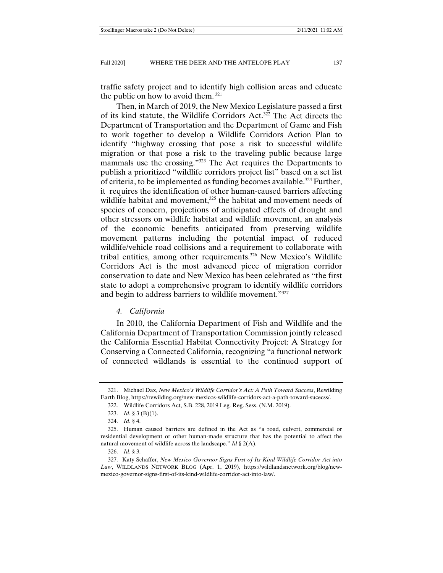traffic safety project and to identify high collision areas and educate the public on how to avoid them. 321

Then, in March of 2019, the New Mexico Legislature passed a first of its kind statute, the Wildlife Corridors Act.322 The Act directs the Department of Transportation and the Department of Game and Fish to work together to develop a Wildlife Corridors Action Plan to identify "highway crossing that pose a risk to successful wildlife migration or that pose a risk to the traveling public because large mammals use the crossing."323 The Act requires the Departments to publish a prioritized "wildlife corridors project list" based on a set list of criteria, to be implemented as funding becomes available.324 Further, it requires the identification of other human-caused barriers affecting wildlife habitat and movement,<sup>325</sup> the habitat and movement needs of species of concern, projections of anticipated effects of drought and other stressors on wildlife habitat and wildlife movement, an analysis of the economic benefits anticipated from preserving wildlife movement patterns including the potential impact of reduced wildlife/vehicle road collisions and a requirement to collaborate with tribal entities, among other requirements.<sup>326</sup> New Mexico's Wildlife Corridors Act is the most advanced piece of migration corridor conservation to date and New Mexico has been celebrated as "the first state to adopt a comprehensive program to identify wildlife corridors and begin to address barriers to wildlife movement."327

#### *4. California*

In 2010, the California Department of Fish and Wildlife and the California Department of Transportation Commission jointly released the California Essential Habitat Connectivity Project: A Strategy for Conserving a Connected California, recognizing "a functional network of connected wildlands is essential to the continued support of

 <sup>321.</sup> Michael Dax, *New Mexico's Wildlife Corridor's Act: A Path Toward Success*, Rewilding Earth Blog, https://rewilding.org/new-mexicos-wildlife-corridors-act-a-path-toward-sucecss/.

 <sup>322.</sup> Wildlife Corridors Act, S.B. 228, 2019 Leg. Reg. Sess. (N.M. 2019).

 <sup>323.</sup> *Id*. § 3 (B)(1).

 <sup>324.</sup> *Id*. § 4.

 <sup>325.</sup> Human caused barriers are defined in the Act as "a road, culvert, commercial or residential development or other human-made structure that has the potential to affect the natural movement of wildlife across the landscape." *Id* § 2(A).

 <sup>326.</sup> *Id*. § 3.

 <sup>327.</sup> Katy Schaffer, *New Mexico Governor Signs First-of-Its-Kind Wildlife Corridor Act into Law*, WILDLANDS NETWORK BLOG (Apr. 1, 2019), https://wildlandsnetwork.org/blog/newmexico-governor-signs-first-of-its-kind-wildlife-corridor-act-into-law/.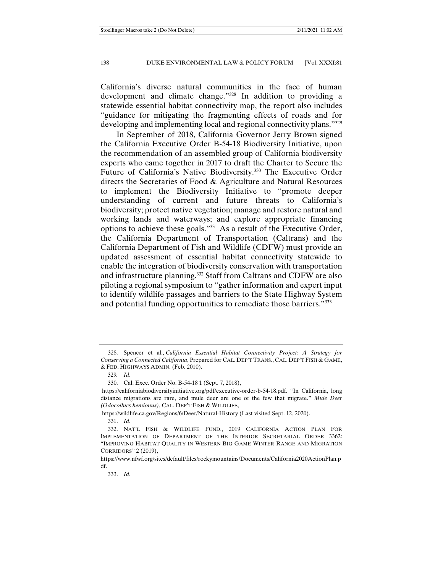California's diverse natural communities in the face of human development and climate change."328 In addition to providing a statewide essential habitat connectivity map, the report also includes "guidance for mitigating the fragmenting effects of roads and for developing and implementing local and regional connectivity plans."329

In September of 2018, California Governor Jerry Brown signed the California Executive Order B-54-18 Biodiversity Initiative, upon the recommendation of an assembled group of California biodiversity experts who came together in 2017 to draft the Charter to Secure the Future of California's Native Biodiversity.330 The Executive Order directs the Secretaries of Food & Agriculture and Natural Resources to implement the Biodiversity Initiative to "promote deeper understanding of current and future threats to California's biodiversity; protect native vegetation; manage and restore natural and working lands and waterways; and explore appropriate financing options to achieve these goals."331 As a result of the Executive Order, the California Department of Transportation (Caltrans) and the California Department of Fish and Wildlife (CDFW) must provide an updated assessment of essential habitat connectivity statewide to enable the integration of biodiversity conservation with transportation and infrastructure planning.332 Staff from Caltrans and CDFW are also piloting a regional symposium to "gather information and expert input to identify wildlife passages and barriers to the State Highway System and potential funding opportunities to remediate those barriers."333

 <sup>328.</sup> Spencer et al., *California Essential Habitat Connectivity Project: A Strategy for Conserving a Connected California*, Prepared for CAL. DEP'T TRANS., CAL. DEP'T FISH & GAME, & FED. HIGHWAYS ADMIN. (Feb. 2010).

<sup>329</sup>*. Id*.

 <sup>330.</sup> Cal. Exec. Order No. B-54-18 1 (Sept. 7, 2018),

https://californiabiodiversityinitiative.org/pdf/executive-order-b-54-18.pdf. "In California, long distance migrations are rare, and mule deer are one of the few that migrate." *Mule Deer (Odocoilues hemionus)*, CAL. DEP'T FISH & WILDLIFE,

https://wildlife.ca.gov/Regions/6/Deer/Natural-History (Last visited Sept. 12, 2020).

 <sup>331.</sup> *Id*.

 <sup>332.</sup> NAT'L FISH & WILDLIFE FUND., 2019 CALIFORNIA ACTION PLAN FOR IMPLEMENTATION OF DEPARTMENT OF THE INTERIOR SECRETARIAL ORDER 3362: "IMPROVING HABITAT QUALITY IN WESTERN BIG-GAME WINTER RANGE AND MIGRATION CORRIDORS" 2 (2019),

https://www.nfwf.org/sites/default/files/rockymountains/Documents/California2020ActionPlan.p df.

 <sup>333.</sup> *Id*.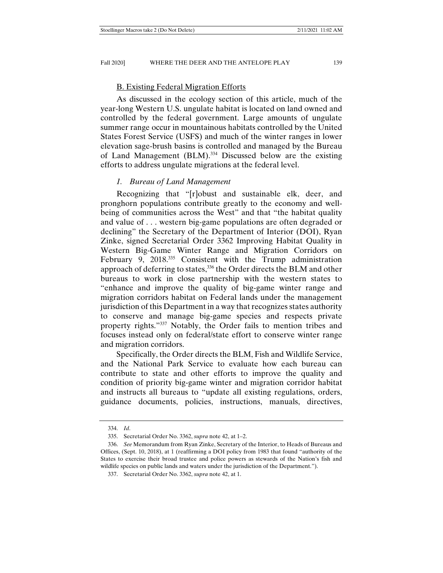### B. Existing Federal Migration Efforts

As discussed in the ecology section of this article, much of the year-long Western U.S. ungulate habitat is located on land owned and controlled by the federal government. Large amounts of ungulate summer range occur in mountainous habitats controlled by the United States Forest Service (USFS) and much of the winter ranges in lower elevation sage-brush basins is controlled and managed by the Bureau of Land Management (BLM).334 Discussed below are the existing efforts to address ungulate migrations at the federal level.

#### *1. Bureau of Land Management*

Recognizing that "[r]obust and sustainable elk, deer, and pronghorn populations contribute greatly to the economy and wellbeing of communities across the West" and that "the habitat quality and value of . . . western big-game populations are often degraded or declining" the Secretary of the Department of Interior (DOI), Ryan Zinke, signed Secretarial Order 3362 Improving Habitat Quality in Western Big-Game Winter Range and Migration Corridors on February 9, 2018.<sup>335</sup> Consistent with the Trump administration approach of deferring to states,336 the Order directs the BLM and other bureaus to work in close partnership with the western states to "enhance and improve the quality of big-game winter range and migration corridors habitat on Federal lands under the management jurisdiction of this Department in a way that recognizes states authority to conserve and manage big-game species and respects private property rights."337 Notably, the Order fails to mention tribes and focuses instead only on federal/state effort to conserve winter range and migration corridors.

Specifically, the Order directs the BLM, Fish and Wildlife Service, and the National Park Service to evaluate how each bureau can contribute to state and other efforts to improve the quality and condition of priority big-game winter and migration corridor habitat and instructs all bureaus to "update all existing regulations, orders, guidance documents, policies, instructions, manuals, directives,

 <sup>334.</sup> *Id*.

 <sup>335.</sup> Secretarial Order No. 3362, *supra* note 42, at 1–2.

 <sup>336.</sup> *See* Memorandum from Ryan Zinke, Secretary of the Interior, to Heads of Bureaus and Offices, (Sept. 10, 2018), at 1 (reaffirming a DOI policy from 1983 that found "authority of the States to exercise their broad trustee and police powers as stewards of the Nation's fish and wildlife species on public lands and waters under the jurisdiction of the Department.").

 <sup>337.</sup> Secretarial Order No. 3362, *supra* note 42, at 1.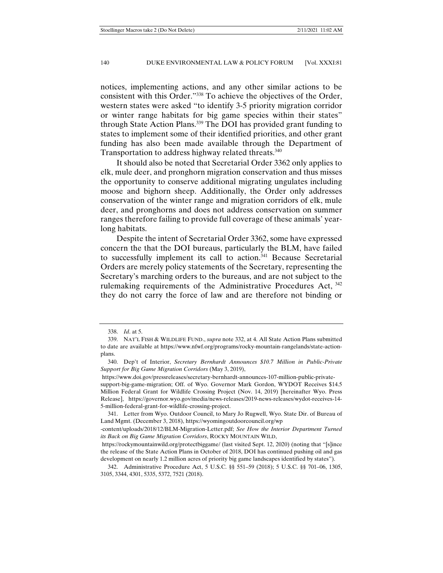notices, implementing actions, and any other similar actions to be consistent with this Order."338 To achieve the objectives of the Order, western states were asked "to identify 3-5 priority migration corridor or winter range habitats for big game species within their states" through State Action Plans.339 The DOI has provided grant funding to states to implement some of their identified priorities, and other grant funding has also been made available through the Department of Transportation to address highway related threats.<sup>340</sup>

It should also be noted that Secretarial Order 3362 only applies to elk, mule deer, and pronghorn migration conservation and thus misses the opportunity to conserve additional migrating ungulates including moose and bighorn sheep. Additionally, the Order only addresses conservation of the winter range and migration corridors of elk, mule deer, and pronghorns and does not address conservation on summer ranges therefore failing to provide full coverage of these animals' yearlong habitats.

Despite the intent of Secretarial Order 3362, some have expressed concern the that the DOI bureaus, particularly the BLM, have failed to successfully implement its call to action.<sup>341</sup> Because Secretarial Orders are merely policy statements of the Secretary, representing the Secretary's marching orders to the bureaus, and are not subject to the rulemaking requirements of the Administrative Procedures Act, 342 they do not carry the force of law and are therefore not binding or

 <sup>338.</sup> *Id*. at 5.

 <sup>339.</sup> NAT'L FISH & WILDLIFE FUND., *supra* note 332, at 4. All State Action Plans submitted to date are available at https://www.nfwf.org/programs/rocky-mountain-rangelands/state-actionplans.

 <sup>340.</sup> Dep't of Interior, *Secretary Bernhardt Announces \$10.7 Million in Public-Private Support for Big Game Migration Corridors* (May 3, 2019),

https://www.doi.gov/pressreleases/secretary-bernhardt-announces-107-million-public-privatesupport-big-game-migration; Off. of Wyo. Governor Mark Gordon, WYDOT Receives \$14.5 Million Federal Grant for Wildlife Crossing Project (Nov. 14, 2019) [hereinafter Wyo. Press Release], https://governor.wyo.gov/media/news-releases/2019-news-releases/wydot-receives-14- 5-million-federal-grant-for-wildlife-crossing-project.

 <sup>341.</sup> Letter from Wyo. Outdoor Council, to Mary Jo Rugwell, Wyo. State Dir. of Bureau of Land Mgmt. (December 3, 2018), https://wyomingoutdoorcouncil.org/wp

<sup>-</sup>content/uploads/2018/12/BLM-Migration-Letter.pdf; *See How the Interior Department Turned its Back on Big Game Migration Corridors*, ROCKY MOUNTAIN WILD,

https://rockymountainwild.org/protectbiggame/ (last visited Sept. 12, 2020) (noting that "[s]ince the release of the State Action Plans in October of 2018, DOI has continued pushing oil and gas development on nearly 1.2 million acres of priority big game landscapes identified by states").

 <sup>342.</sup> Administrative Procedure Act, 5 U.S.C. §§ 551–59 (2018); 5 U.S.C. §§ 701–06, 1305, 3105, 3344, 4301, 5335, 5372, 7521 (2018).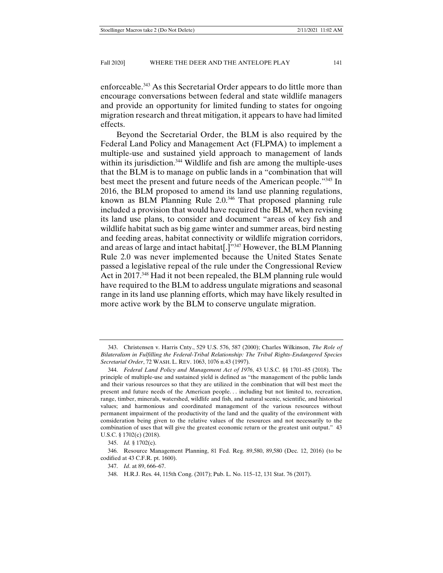enforceable.343 As this Secretarial Order appears to do little more than encourage conversations between federal and state wildlife managers and provide an opportunity for limited funding to states for ongoing migration research and threat mitigation, it appears to have had limited effects.

Beyond the Secretarial Order, the BLM is also required by the Federal Land Policy and Management Act (FLPMA) to implement a multiple-use and sustained yield approach to management of lands within its jurisdiction.<sup>344</sup> Wildlife and fish are among the multiple-uses that the BLM is to manage on public lands in a "combination that will best meet the present and future needs of the American people."345 In 2016, the BLM proposed to amend its land use planning regulations, known as BLM Planning Rule 2.0.346 That proposed planning rule included a provision that would have required the BLM, when revising its land use plans, to consider and document "areas of key fish and wildlife habitat such as big game winter and summer areas, bird nesting and feeding areas, habitat connectivity or wildlife migration corridors, and areas of large and intact habitat[.]"347 However, the BLM Planning Rule 2.0 was never implemented because the United States Senate passed a legislative repeal of the rule under the Congressional Review Act in 2017.<sup>348</sup> Had it not been repealed, the BLM planning rule would have required to the BLM to address ungulate migrations and seasonal range in its land use planning efforts, which may have likely resulted in more active work by the BLM to conserve ungulate migration.

 <sup>343.</sup> Christensen v. Harris Cnty., 529 U.S. 576, 587 (2000); Charles Wilkinson, *The Role of Bilateralism in Fulfilling the Federal-Tribal Relationship: The Tribal Rights-Endangered Species Secretarial Order*, 72 WASH. L. REV. 1063, 1076 n.43 (1997).

 <sup>344.</sup> *Federal Land Policy and Management Act of 1976*, 43 U.S.C. §§ 1701–85 (2018). The principle of multiple-use and sustained yield is defined as "the management of the public lands and their various resources so that they are utilized in the combination that will best meet the present and future needs of the American people. . . including but not limited to, recreation, range, timber, minerals, watershed, wildlife and fish, and natural scenic, scientific, and historical values; and harmonious and coordinated management of the various resources without permanent impairment of the productivity of the land and the quality of the environment with consideration being given to the relative values of the resources and not necessarily to the combination of uses that will give the greatest economic return or the greatest unit output." 43 U.S.C. § 1702(c) (2018).

 <sup>345.</sup> *Id.* § 1702(c).

 <sup>346.</sup> Resource Management Planning, 81 Fed. Reg. 89,580, 89,580 (Dec. 12, 2016) (to be codified at 43 C.F.R. pt. 1600).

 <sup>347.</sup> *Id*. at 89, 666–67.

 <sup>348.</sup> H.R.J. Res. 44, 115th Cong. (2017); Pub. L. No. 115–12, 131 Stat. 76 (2017).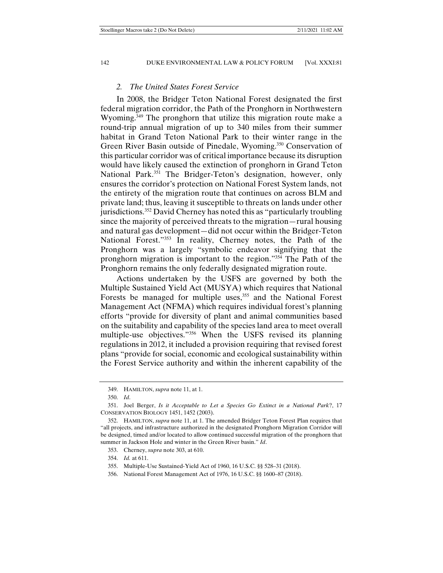### *2. The United States Forest Service*

In 2008, the Bridger Teton National Forest designated the first federal migration corridor, the Path of the Pronghorn in Northwestern Wyoming.<sup>349</sup> The pronghorn that utilize this migration route make a round-trip annual migration of up to 340 miles from their summer habitat in Grand Teton National Park to their winter range in the Green River Basin outside of Pinedale, Wyoming.<sup>350</sup> Conservation of this particular corridor was of critical importance because its disruption would have likely caused the extinction of pronghorn in Grand Teton National Park.<sup>351</sup> The Bridger-Teton's designation, however, only ensures the corridor's protection on National Forest System lands, not the entirety of the migration route that continues on across BLM and private land; thus, leaving it susceptible to threats on lands under other jurisdictions.<sup>352</sup> David Cherney has noted this as "particularly troubling since the majority of perceived threats to the migration—rural housing and natural gas development—did not occur within the Bridger-Teton National Forest."353 In reality, Cherney notes, the Path of the Pronghorn was a largely "symbolic endeavor signifying that the pronghorn migration is important to the region."354 The Path of the Pronghorn remains the only federally designated migration route.

Actions undertaken by the USFS are governed by both the Multiple Sustained Yield Act (MUSYA) which requires that National Forests be managed for multiple uses,<sup>355</sup> and the National Forest Management Act (NFMA) which requires individual forest's planning efforts "provide for diversity of plant and animal communities based on the suitability and capability of the species land area to meet overall multiple-use objectives."<sup>356</sup> When the USFS revised its planning regulations in 2012, it included a provision requiring that revised forest plans "provide for social, economic and ecological sustainability within the Forest Service authority and within the inherent capability of the

 <sup>349.</sup> HAMILTON, *supra* note 11, at 1.

 <sup>350.</sup> *Id*.

 <sup>351.</sup> Joel Berger, *Is it Acceptable to Let a Species Go Extinct in a National Park*?, 17 CONSERVATION BIOLOGY 1451, 1452 (2003).

 <sup>352.</sup> HAMILTON, *supra* note 11, at 1. The amended Bridger Teton Forest Plan requires that "all projects, and infrastructure authorized in the designated Pronghorn Migration Corridor will be designed, timed and/or located to allow continued successful migration of the pronghorn that summer in Jackson Hole and winter in the Green River basin." *Id*.

 <sup>353.</sup> Cherney, *supra* note 303, at 610.

 <sup>354.</sup> *Id.* at 611.

 <sup>355.</sup> Multiple-Use Sustained-Yield Act of 1960, 16 U.S.C. §§ 528–31 (2018).

 <sup>356.</sup> National Forest Management Act of 1976, 16 U.S.C. §§ 1600–87 (2018).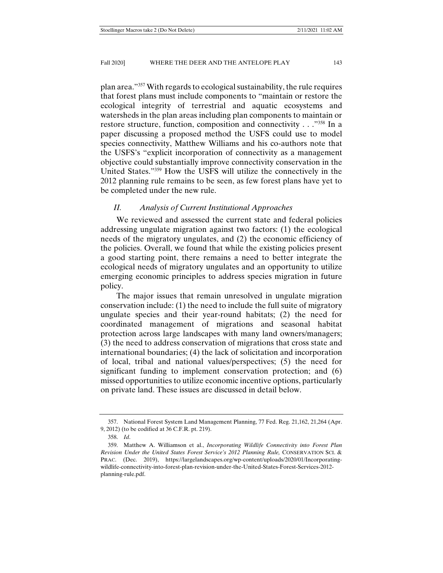plan area."357 With regards to ecological sustainability, the rule requires that forest plans must include components to "maintain or restore the ecological integrity of terrestrial and aquatic ecosystems and watersheds in the plan areas including plan components to maintain or restore structure, function, composition and connectivity . . ."358 In a paper discussing a proposed method the USFS could use to model species connectivity, Matthew Williams and his co-authors note that the USFS's "explicit incorporation of connectivity as a management objective could substantially improve connectivity conservation in the United States."359 How the USFS will utilize the connectively in the 2012 planning rule remains to be seen, as few forest plans have yet to be completed under the new rule.

#### *II. Analysis of Current Institutional Approaches*

We reviewed and assessed the current state and federal policies addressing ungulate migration against two factors: (1) the ecological needs of the migratory ungulates, and (2) the economic efficiency of the policies. Overall, we found that while the existing policies present a good starting point, there remains a need to better integrate the ecological needs of migratory ungulates and an opportunity to utilize emerging economic principles to address species migration in future policy.

The major issues that remain unresolved in ungulate migration conservation include: (1) the need to include the full suite of migratory ungulate species and their year-round habitats; (2) the need for coordinated management of migrations and seasonal habitat protection across large landscapes with many land owners/managers; (3) the need to address conservation of migrations that cross state and international boundaries; (4) the lack of solicitation and incorporation of local, tribal and national values/perspectives; (5) the need for significant funding to implement conservation protection; and (6) missed opportunities to utilize economic incentive options, particularly on private land. These issues are discussed in detail below.

 <sup>357.</sup> National Forest System Land Management Planning, 77 Fed. Reg. 21,162, 21,264 (Apr. 9, 2012) (to be codified at 36 C.F.R. pt. 219).

 <sup>358.</sup> *Id*.

 <sup>359.</sup> Matthew A. Williamson et al., *Incorporating Wildlife Connectivity into Forest Plan Revision Under the United States Forest Service's 2012 Planning Rule,* CONSERVATION SCI. & PRAC. (Dec. 2019), https://largelandscapes.org/wp-content/uploads/2020/01/Incorporatingwildlife-connectivity-into-forest-plan-revision-under-the-United-States-Forest-Services-2012 planning-rule.pdf.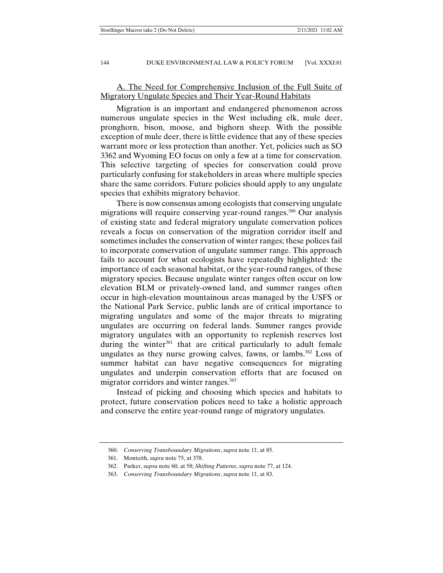## A. The Need for Comprehensive Inclusion of the Full Suite of Migratory Ungulate Species and Their Year-Round Habitats

Migration is an important and endangered phenomenon across numerous ungulate species in the West including elk, mule deer, pronghorn, bison, moose, and bighorn sheep. With the possible exception of mule deer, there is little evidence that any of these species warrant more or less protection than another. Yet, policies such as SO 3362 and Wyoming EO focus on only a few at a time for conservation. This selective targeting of species for conservation could prove particularly confusing for stakeholders in areas where multiple species share the same corridors. Future policies should apply to any ungulate species that exhibits migratory behavior.

There is now consensus among ecologists that conserving ungulate migrations will require conserving year-round ranges.<sup>360</sup> Our analysis of existing state and federal migratory ungulate conservation polices reveals a focus on conservation of the migration corridor itself and sometimes includes the conservation of winter ranges; these polices fail to incorporate conservation of ungulate summer range. This approach fails to account for what ecologists have repeatedly highlighted: the importance of each seasonal habitat, or the year-round ranges, of these migratory species. Because ungulate winter ranges often occur on low elevation BLM or privately-owned land, and summer ranges often occur in high-elevation mountainous areas managed by the USFS or the National Park Service, public lands are of critical importance to migrating ungulates and some of the major threats to migrating ungulates are occurring on federal lands. Summer ranges provide migratory ungulates with an opportunity to replenish reserves lost during the winter<sup>361</sup> that are critical particularly to adult female ungulates as they nurse growing calves, fawns, or lambs.<sup>362</sup> Loss of summer habitat can have negative consequences for migrating ungulates and underpin conservation efforts that are focused on migrator corridors and winter ranges.<sup>363</sup>

Instead of picking and choosing which species and habitats to protect, future conservation polices need to take a holistic approach and conserve the entire year-round range of migratory ungulates.

 <sup>360.</sup> *Conserving Transboundary Migrations*, *supra* note 11, at 85.

 <sup>361.</sup> Monteith, *supra* note 75, at 378.

 <sup>362.</sup> Parker, *supra* note 60, at 58; *Shifting Patterns*, *supra* note 77, at 124.

 <sup>363.</sup> *Conserving Transboundary Migrations*, *supra* note 11, at 83.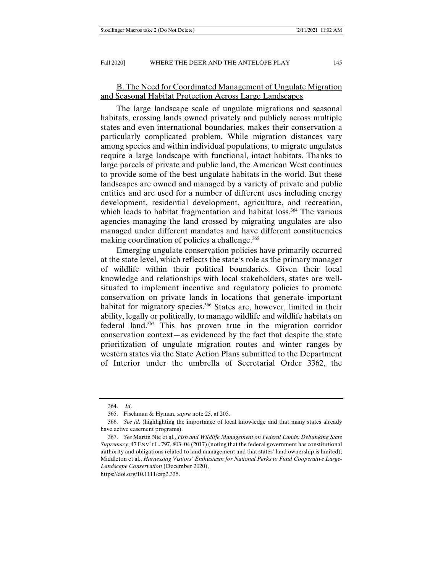## B. The Need for Coordinated Management of Ungulate Migration and Seasonal Habitat Protection Across Large Landscapes

The large landscape scale of ungulate migrations and seasonal habitats, crossing lands owned privately and publicly across multiple states and even international boundaries, makes their conservation a particularly complicated problem. While migration distances vary among species and within individual populations, to migrate ungulates require a large landscape with functional, intact habitats. Thanks to large parcels of private and public land, the American West continues to provide some of the best ungulate habitats in the world. But these landscapes are owned and managed by a variety of private and public entities and are used for a number of different uses including energy development, residential development, agriculture, and recreation, which leads to habitat fragmentation and habitat loss.<sup>364</sup> The various agencies managing the land crossed by migrating ungulates are also managed under different mandates and have different constituencies making coordination of policies a challenge.<sup>365</sup>

Emerging ungulate conservation policies have primarily occurred at the state level, which reflects the state's role as the primary manager of wildlife within their political boundaries. Given their local knowledge and relationships with local stakeholders, states are wellsituated to implement incentive and regulatory policies to promote conservation on private lands in locations that generate important habitat for migratory species.<sup>366</sup> States are, however, limited in their ability, legally or politically, to manage wildlife and wildlife habitats on federal land.367 This has proven true in the migration corridor conservation context—as evidenced by the fact that despite the state prioritization of ungulate migration routes and winter ranges by western states via the State Action Plans submitted to the Department of Interior under the umbrella of Secretarial Order 3362, the

https://doi.org/10.1111/csp2.335.

 <sup>364.</sup> *Id*.

 <sup>365.</sup> Fischman & Hyman, *supra* note 25, at 205.

 <sup>366.</sup> *See id*. (highlighting the importance of local knowledge and that many states already have active easement programs).

 <sup>367.</sup> *See* Martin Nie et al., *Fish and Wildlife Management on Federal Lands: Debunking State Supremacy*, 47 ENV'T L. 797, 803–04 (2017) (noting that the federal government has constitutional authority and obligations related to land management and that states' land ownership is limited); Middleton et al., *Harnessing Visitors' Enthusiasm for National Parks to Fund Cooperative Large-Landscape Conservation* (December 2020),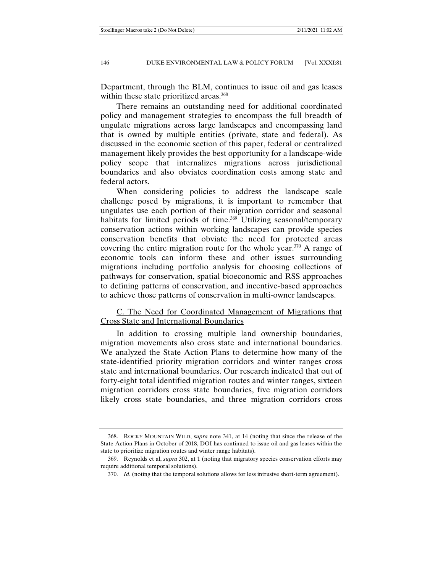Department, through the BLM, continues to issue oil and gas leases within these state prioritized areas.<sup>368</sup>

There remains an outstanding need for additional coordinated policy and management strategies to encompass the full breadth of ungulate migrations across large landscapes and encompassing land that is owned by multiple entities (private, state and federal). As discussed in the economic section of this paper, federal or centralized management likely provides the best opportunity for a landscape-wide policy scope that internalizes migrations across jurisdictional boundaries and also obviates coordination costs among state and federal actors.

When considering policies to address the landscape scale challenge posed by migrations, it is important to remember that ungulates use each portion of their migration corridor and seasonal habitats for limited periods of time.<sup>369</sup> Utilizing seasonal/temporary conservation actions within working landscapes can provide species conservation benefits that obviate the need for protected areas covering the entire migration route for the whole year.<sup>370</sup> A range of economic tools can inform these and other issues surrounding migrations including portfolio analysis for choosing collections of pathways for conservation, spatial bioeconomic and RSS approaches to defining patterns of conservation, and incentive-based approaches to achieve those patterns of conservation in multi-owner landscapes.

## C. The Need for Coordinated Management of Migrations that Cross State and International Boundaries

In addition to crossing multiple land ownership boundaries, migration movements also cross state and international boundaries. We analyzed the State Action Plans to determine how many of the state-identified priority migration corridors and winter ranges cross state and international boundaries. Our research indicated that out of forty-eight total identified migration routes and winter ranges, sixteen migration corridors cross state boundaries, five migration corridors likely cross state boundaries, and three migration corridors cross

 <sup>368.</sup> ROCKY MOUNTAIN WILD, s*upra* note 341, at 14 (noting that since the release of the State Action Plans in October of 2018, DOI has continued to issue oil and gas leases within the state to prioritize migration routes and winter range habitats).

 <sup>369.</sup> Reynolds et al, *supra* 302, at 1 (noting that migratory species conservation efforts may require additional temporal solutions).

 <sup>370.</sup> *Id*. (noting that the temporal solutions allows for less intrusive short-term agreement).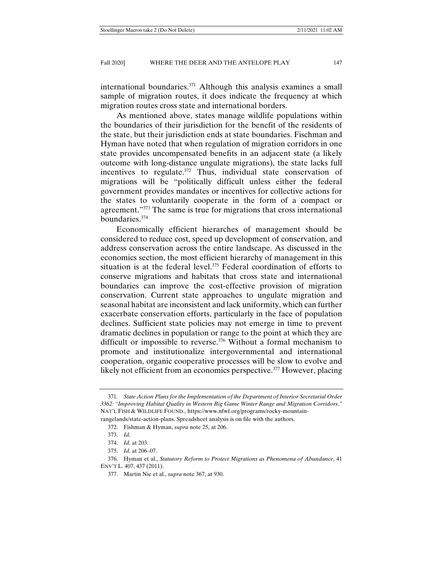international boundaries.<sup>371</sup> Although this analysis examines a small sample of migration routes, it does indicate the frequency at which migration routes cross state and international borders.

As mentioned above, states manage wildlife populations within the boundaries of their jurisdiction for the benefit of the residents of the state, but their jurisdiction ends at state boundaries. Fischman and Hyman have noted that when regulation of migration corridors in one state provides uncompensated benefits in an adjacent state (a likely outcome with long-distance ungulate migrations), the state lacks full incentives to regulate.<sup>372</sup> Thus, individual state conservation of migrations will be "politically difficult unless either the federal government provides mandates or incentives for collective actions for the states to voluntarily cooperate in the form of a compact or agreement."373 The same is true for migrations that cross international boundaries.374

Economically efficient hierarches of management should be considered to reduce cost, speed up development of conservation, and address conservation across the entire landscape. As discussed in the economics section, the most efficient hierarchy of management in this situation is at the federal level.<sup>375</sup> Federal coordination of efforts to conserve migrations and habitats that cross state and international boundaries can improve the cost-effective provision of migration conservation. Current state approaches to ungulate migration and seasonal habitat are inconsistent and lack uniformity, which can further exacerbate conservation efforts, particularly in the face of population declines. Sufficient state policies may not emerge in time to prevent dramatic declines in population or range to the point at which they are difficult or impossible to reverse.<sup>376</sup> Without a formal mechanism to promote and institutionalize intergovernmental and international cooperation, organic cooperative processes will be slow to evolve and likely not efficient from an economics perspective.<sup>377</sup> However, placing

<sup>371</sup>*. State Action Plans for the Implementation of the Department of Interior Secretarial Order 3362: "Improving Habitat Quality in Western Big Game Winter Range and Migration Corridors*,*"* NAT'L FISH & WILDLIFE FOUND., https://www.nfwf.org/programs/rocky-mountain-

rangelands/state-action-plans. Spreadsheet analysis is on file with the authors.

 <sup>372.</sup> Fishman & Hyman, *supra* note 25, at 206.

 <sup>373.</sup> *Id*.

 <sup>374.</sup> *Id*. at 203.

 <sup>375.</sup> *Id*. at 206–07.

 <sup>376.</sup> Hyman et al., *Statutory Reform to Protect Migrations as Phenomena of Abundance*, 41 ENV'T L. 407, 437 (2011).

 <sup>377.</sup> Martin Nie et al., *supra* note 367, at 930.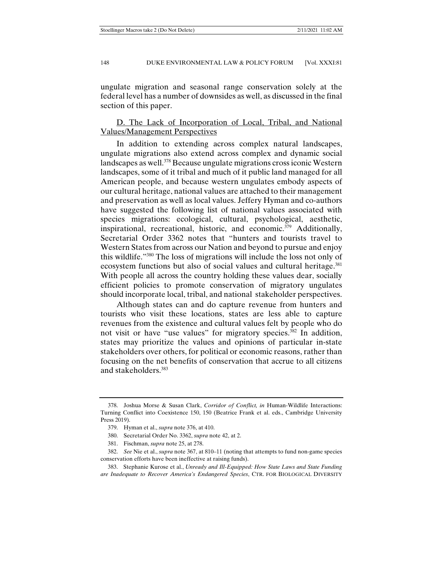ungulate migration and seasonal range conservation solely at the federal level has a number of downsides as well, as discussed in the final section of this paper.

# D. The Lack of Incorporation of Local, Tribal, and National Values/Management Perspectives

In addition to extending across complex natural landscapes, ungulate migrations also extend across complex and dynamic social landscapes as well.378 Because ungulate migrations cross iconic Western landscapes, some of it tribal and much of it public land managed for all American people, and because western ungulates embody aspects of our cultural heritage, national values are attached to their management and preservation as well as local values. Jeffery Hyman and co-authors have suggested the following list of national values associated with species migrations: ecological, cultural, psychological, aesthetic, inspirational, recreational, historic, and economic.379 Additionally, Secretarial Order 3362 notes that "hunters and tourists travel to Western States from across our Nation and beyond to pursue and enjoy this wildlife."380 The loss of migrations will include the loss not only of ecosystem functions but also of social values and cultural heritage.<sup>381</sup> With people all across the country holding these values dear, socially efficient policies to promote conservation of migratory ungulates should incorporate local, tribal, and national stakeholder perspectives.

Although states can and do capture revenue from hunters and tourists who visit these locations, states are less able to capture revenues from the existence and cultural values felt by people who do not visit or have "use values" for migratory species.<sup>382</sup> In addition, states may prioritize the values and opinions of particular in-state stakeholders over others, for political or economic reasons, rather than focusing on the net benefits of conservation that accrue to all citizens and stakeholders.383

 <sup>378.</sup> Joshua Morse & Susan Clark, *Corridor of Conflict, in* Human-Wildlife Interactions: Turning Conflict into Coexistence 150, 150 (Beatrice Frank et al. eds., Cambridge University Press 2019).

 <sup>379.</sup> Hyman et al., *supra* note 376, at 410.

 <sup>380.</sup> Secretarial Order No. 3362, *supra* note 42, at 2.

 <sup>381.</sup> Fischman, *supra* note 25, at 278.

 <sup>382.</sup> *See* Nie et al., *supra* note 367, at 810–11 (noting that attempts to fund non-game species conservation efforts have been ineffective at raising funds).

 <sup>383.</sup> Stephanie Kurose et al., *Unready and Ill-Equipped: How State Laws and State Funding are Inadequate to Recover America's Endangered Species*, CTR. FOR BIOLOGICAL DIVERSITY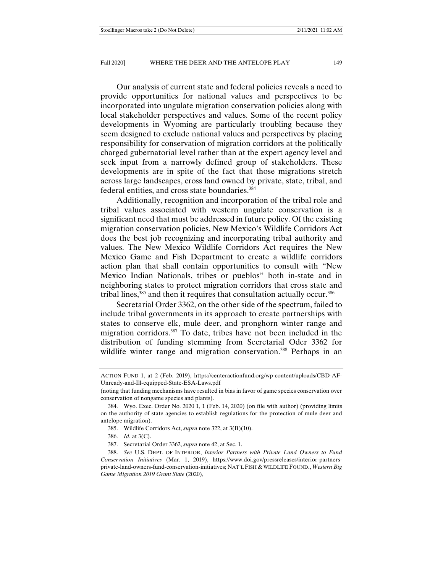Our analysis of current state and federal policies reveals a need to provide opportunities for national values and perspectives to be incorporated into ungulate migration conservation policies along with local stakeholder perspectives and values. Some of the recent policy developments in Wyoming are particularly troubling because they seem designed to exclude national values and perspectives by placing responsibility for conservation of migration corridors at the politically charged gubernatorial level rather than at the expert agency level and seek input from a narrowly defined group of stakeholders. These developments are in spite of the fact that those migrations stretch across large landscapes, cross land owned by private, state, tribal, and federal entities, and cross state boundaries.384

Additionally, recognition and incorporation of the tribal role and tribal values associated with western ungulate conservation is a significant need that must be addressed in future policy. Of the existing migration conservation policies, New Mexico's Wildlife Corridors Act does the best job recognizing and incorporating tribal authority and values. The New Mexico Wildlife Corridors Act requires the New Mexico Game and Fish Department to create a wildlife corridors action plan that shall contain opportunities to consult with "New Mexico Indian Nationals, tribes or pueblos" both in-state and in neighboring states to protect migration corridors that cross state and tribal lines, $385$  and then it requires that consultation actually occur. $386$ 

Secretarial Order 3362, on the other side of the spectrum, failed to include tribal governments in its approach to create partnerships with states to conserve elk, mule deer, and pronghorn winter range and migration corridors.387 To date, tribes have not been included in the distribution of funding stemming from Secretarial Oder 3362 for wildlife winter range and migration conservation.<sup>388</sup> Perhaps in an

386. *Id*. at 3(C).

387. Secretarial Order 3362, *supra* note 42, at Sec. 1.

ACTION FUND 1, at 2 (Feb. 2019), https://centeractionfund.org/wp-content/uploads/CBD-AF-Unready-and-Ill-equipped-State-ESA-Laws.pdf

<sup>(</sup>noting that funding mechanisms have resulted in bias in favor of game species conservation over conservation of nongame species and plants).

 <sup>384.</sup> Wyo. Exec. Order No. 2020 1, 1 (Feb. 14, 2020) (on file with author) (providing limits on the authority of state agencies to establish regulations for the protection of mule deer and antelope migration).

 <sup>385.</sup> Wildlife Corridors Act, *supra* note 322, at 3(B)(10).

 <sup>388.</sup> *See* U.S. DEPT. OF INTERIOR, *Interior Partners with Private Land Owners to Fund Conservation Initiatives* (Mar. 1, 2019), https://www.doi.gov/pressreleases/interior-partnersprivate-land-owners-fund-conservation-initiatives; NAT'L FISH & WILDLIFE FOUND., *Western Big Game Migration 2019 Grant Slate* (2020),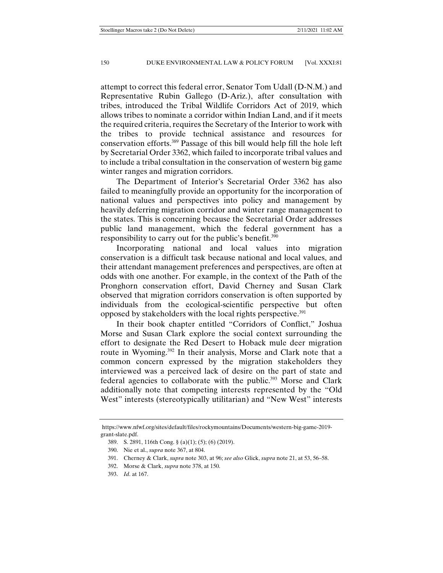attempt to correct this federal error, Senator Tom Udall (D-N.M.) and Representative Rubin Gallego (D-Ariz.), after consultation with tribes, introduced the Tribal Wildlife Corridors Act of 2019, which allows tribes to nominate a corridor within Indian Land, and if it meets the required criteria, requires the Secretary of the Interior to work with the tribes to provide technical assistance and resources for conservation efforts.389 Passage of this bill would help fill the hole left by Secretarial Order 3362, which failed to incorporate tribal values and to include a tribal consultation in the conservation of western big game winter ranges and migration corridors.

The Department of Interior's Secretarial Order 3362 has also failed to meaningfully provide an opportunity for the incorporation of national values and perspectives into policy and management by heavily deferring migration corridor and winter range management to the states. This is concerning because the Secretarial Order addresses public land management, which the federal government has a responsibility to carry out for the public's benefit.<sup>390</sup>

Incorporating national and local values into migration conservation is a difficult task because national and local values, and their attendant management preferences and perspectives, are often at odds with one another. For example, in the context of the Path of the Pronghorn conservation effort, David Cherney and Susan Clark observed that migration corridors conservation is often supported by individuals from the ecological-scientific perspective but often opposed by stakeholders with the local rights perspective.<sup>391</sup>

In their book chapter entitled "Corridors of Conflict," Joshua Morse and Susan Clark explore the social context surrounding the effort to designate the Red Desert to Hoback mule deer migration route in Wyoming.<sup>392</sup> In their analysis, Morse and Clark note that a common concern expressed by the migration stakeholders they interviewed was a perceived lack of desire on the part of state and federal agencies to collaborate with the public.<sup>393</sup> Morse and Clark additionally note that competing interests represented by the "Old West" interests (stereotypically utilitarian) and "New West" interests

https://www.nfwf.org/sites/default/files/rockymountains/Documents/western-big-game-2019 grant-slate.pdf.

 <sup>389.</sup> S. 2891, 116th Cong. § (a)(1); (5); (6) (2019).

 <sup>390.</sup> Nie et al., *supra* note 367, at 804.

 <sup>391.</sup> Cherney & Clark, *supra* note 303, at 96; *see also* Glick, *supra* note 21, at 53, 56–58.

 <sup>392.</sup> Morse & Clark, *supra* note 378, at 150.

 <sup>393.</sup> *Id*. at 167.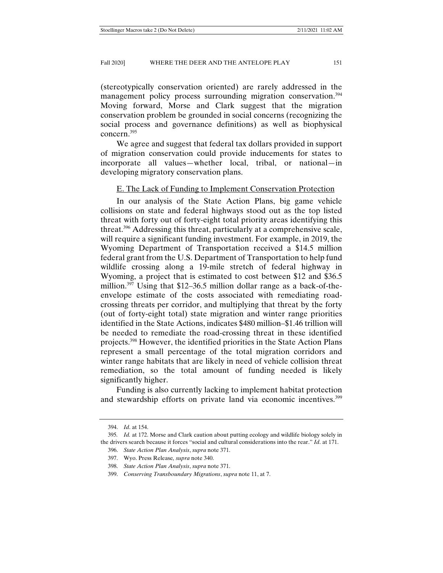(stereotypically conservation oriented) are rarely addressed in the management policy process surrounding migration conservation.394 Moving forward, Morse and Clark suggest that the migration conservation problem be grounded in social concerns (recognizing the social process and governance definitions) as well as biophysical concern.395

We agree and suggest that federal tax dollars provided in support of migration conservation could provide inducements for states to incorporate all values—whether local, tribal, or national—in developing migratory conservation plans.

#### E. The Lack of Funding to Implement Conservation Protection

In our analysis of the State Action Plans, big game vehicle collisions on state and federal highways stood out as the top listed threat with forty out of forty-eight total priority areas identifying this threat.396 Addressing this threat, particularly at a comprehensive scale, will require a significant funding investment. For example, in 2019, the Wyoming Department of Transportation received a \$14.5 million federal grant from the U.S. Department of Transportation to help fund wildlife crossing along a 19-mile stretch of federal highway in Wyoming, a project that is estimated to cost between \$12 and \$36.5 million.<sup>397</sup> Using that  $$12-36.5$  million dollar range as a back-of-theenvelope estimate of the costs associated with remediating roadcrossing threats per corridor, and multiplying that threat by the forty (out of forty-eight total) state migration and winter range priorities identified in the State Actions, indicates \$480 million–\$1.46 trillion will be needed to remediate the road-crossing threat in these identified projects.398 However, the identified priorities in the State Action Plans represent a small percentage of the total migration corridors and winter range habitats that are likely in need of vehicle collision threat remediation, so the total amount of funding needed is likely significantly higher.

Funding is also currently lacking to implement habitat protection and stewardship efforts on private land via economic incentives.399

 <sup>394.</sup> *Id*. at 154.

<sup>395</sup>*. Id.* at 172. Morse and Clark caution about putting ecology and wildlife biology solely in the drivers search because it forces "social and cultural considerations into the rear." *Id*. at 171.

 <sup>396.</sup> *State Action Plan Analysis*, *supra* note 371.

 <sup>397.</sup> Wyo. Press Release*, supra* note 340.

 <sup>398.</sup> *State Action Plan Analysis*, *supra* note 371.

 <sup>399.</sup> *Conserving Transboundary Migrations*, *supra* note 11, at 7.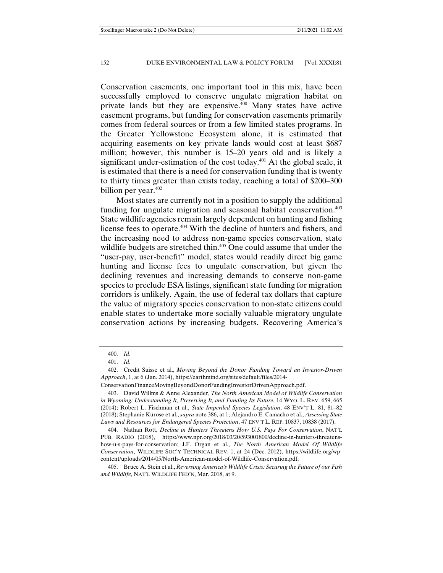Conservation easements, one important tool in this mix, have been successfully employed to conserve ungulate migration habitat on private lands but they are expensive.400 Many states have active easement programs, but funding for conservation easements primarily comes from federal sources or from a few limited states programs. In the Greater Yellowstone Ecosystem alone, it is estimated that acquiring easements on key private lands would cost at least \$687 million; however, this number is 15–20 years old and is likely a significant under-estimation of the cost today. $401$  At the global scale, it is estimated that there is a need for conservation funding that is twenty to thirty times greater than exists today, reaching a total of \$200–300 billion per year. $402$ 

Most states are currently not in a position to supply the additional funding for ungulate migration and seasonal habitat conservation.<sup>403</sup> State wildlife agencies remain largely dependent on hunting and fishing license fees to operate.404 With the decline of hunters and fishers, and the increasing need to address non-game species conservation, state wildlife budgets are stretched thin.<sup>405</sup> One could assume that under the "user-pay, user-benefit" model, states would readily direct big game hunting and license fees to ungulate conservation, but given the declining revenues and increasing demands to conserve non-game species to preclude ESA listings, significant state funding for migration corridors is unlikely. Again, the use of federal tax dollars that capture the value of migratory species conservation to non-state citizens could enable states to undertake more socially valuable migratory ungulate conservation actions by increasing budgets. Recovering America's

 <sup>400.</sup> *Id*.

 <sup>401.</sup> *Id*.

 <sup>402.</sup> Credit Suisse et al., *Moving Beyond the Donor Funding Toward an Investor-Driven Approach*, 1, at 6 (Jan. 2014), https://earthmind.org/sites/default/files/2014-

ConservationFinanceMovingBeyondDonorFundingInvestorDrivenApproach.pdf.

 <sup>403.</sup> David Willms & Anne Alexander, *The North American Model of Wildlife Conservation in Wyoming: Understanding It, Preserving It, and Funding Its Future*, 14 WYO. L. REV. 659, 665 (2014); Robert L. Fischman et al., *State Imperiled Species Legislation*, 48 ENV'T L. 81, 81–82 (2018); Stephanie Kurose et al., *supra* note 386, at 1; Alejandro E. Camacho et al., *Assessing State Laws and Resources for Endangered Species Protection*, 47 ENV'T L. REP. 10837, 10838 (2017).

 <sup>404.</sup> Nathan Rott, *Decline in Hunters Threatens How U.S. Pays For Conservation*, NAT'L PUB. RADIO (2018), https://www.npr.org/2018/03/20/593001800/decline-in-hunters-threatenshow-u-s-pays-for-conservation; J.F. Organ et al., *The North American Model Of Wildlife Conservation*, WILDLIFE SOC'Y TECHNICAL REV. 1, at 24 (Dec. 2012), https://wildlife.org/wpcontent/uploads/2014/05/North-American-model-of-Wildlife-Conservation.pdf.

 <sup>405.</sup> Bruce A. Stein et al., *Reversing America's Wildlife Crisis: Securing the Future of our Fish and Wildlife*, NAT'L WILDLIFE FED'N, Mar. 2018, at 9.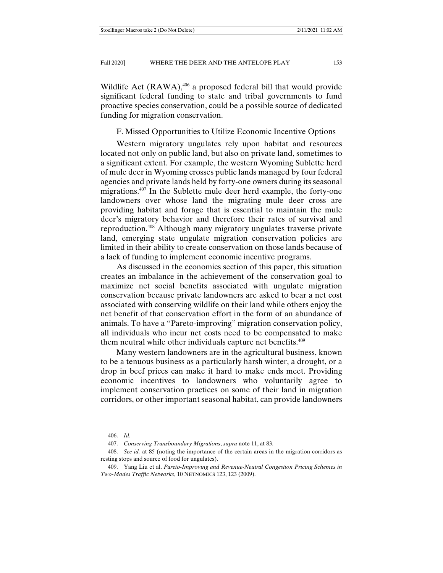Wildlife Act  $(RAWA)$ ,  $406$  a proposed federal bill that would provide significant federal funding to state and tribal governments to fund proactive species conservation, could be a possible source of dedicated funding for migration conservation.

## F. Missed Opportunities to Utilize Economic Incentive Options

Western migratory ungulates rely upon habitat and resources located not only on public land, but also on private land, sometimes to a significant extent. For example, the western Wyoming Sublette herd of mule deer in Wyoming crosses public lands managed by four federal agencies and private lands held by forty-one owners during its seasonal migrations.<sup>407</sup> In the Sublette mule deer herd example, the forty-one landowners over whose land the migrating mule deer cross are providing habitat and forage that is essential to maintain the mule deer's migratory behavior and therefore their rates of survival and reproduction.408 Although many migratory ungulates traverse private land, emerging state ungulate migration conservation policies are limited in their ability to create conservation on those lands because of a lack of funding to implement economic incentive programs.

As discussed in the economics section of this paper, this situation creates an imbalance in the achievement of the conservation goal to maximize net social benefits associated with ungulate migration conservation because private landowners are asked to bear a net cost associated with conserving wildlife on their land while others enjoy the net benefit of that conservation effort in the form of an abundance of animals. To have a "Pareto-improving" migration conservation policy, all individuals who incur net costs need to be compensated to make them neutral while other individuals capture net benefits.<sup>409</sup>

Many western landowners are in the agricultural business, known to be a tenuous business as a particularly harsh winter, a drought, or a drop in beef prices can make it hard to make ends meet. Providing economic incentives to landowners who voluntarily agree to implement conservation practices on some of their land in migration corridors, or other important seasonal habitat, can provide landowners

 <sup>406.</sup> *Id*.

 <sup>407.</sup> *Conserving Transboundary Migrations*, *supra* note 11, at 83.

 <sup>408.</sup> *See id.* at 85 (noting the importance of the certain areas in the migration corridors as resting stops and source of food for ungulates).

 <sup>409.</sup> Yang Liu et al. *Pareto-Improving and Revenue-Neutral Congestion Pricing Schemes in Two-Modes Traffic Networks*, 10 NETNOMICS 123, 123 (2009).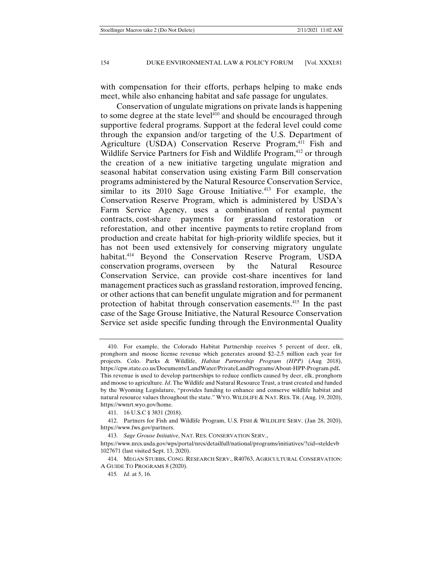with compensation for their efforts, perhaps helping to make ends meet, while also enhancing habitat and safe passage for ungulates.

Conservation of ungulate migrations on private lands is happening to some degree at the state level<sup>410</sup> and should be encouraged through supportive federal programs. Support at the federal level could come through the expansion and/or targeting of the U.S. Department of Agriculture (USDA) Conservation Reserve Program,<sup>411</sup> Fish and Wildlife Service Partners for Fish and Wildlife Program,<sup>412</sup> or through the creation of a new initiative targeting ungulate migration and seasonal habitat conservation using existing Farm Bill conservation programs administered by the Natural Resource Conservation Service, similar to its  $2010$  Sage Grouse Initiative.<sup>413</sup> For example, the Conservation Reserve Program, which is administered by USDA's Farm Service Agency, uses a combination of rental payment contracts, cost-share payments for grassland restoration or reforestation, and other incentive payments to retire cropland from production and create habitat for high-priority wildlife species, but it has not been used extensively for conserving migratory ungulate habitat.<sup>414</sup> Beyond the Conservation Reserve Program, USDA conservation programs, overseen by the Natural Resource Conservation Service, can provide cost-share incentives for land management practices such as grassland restoration, improved fencing, or other actions that can benefit ungulate migration and for permanent protection of habitat through conservation easements.415 In the past case of the Sage Grouse Initiative, the Natural Resource Conservation Service set aside specific funding through the Environmental Quality

 <sup>410.</sup> For example, the Colorado Habitat Partnership receives 5 percent of deer, elk, pronghorn and moose license revenue which generates around \$2–2.5 million each year for projects. Colo. Parks & Wildlife, *Habitat Partnership Program (HPP)* (Aug 2018), https://cpw.state.co.us/Documents/LandWater/PrivateLandPrograms/About-HPP-Program.pdf**.** This revenue is used to develop partnerships to reduce conflicts caused by deer, elk, pronghorn and moose to agriculture. *Id*. The Wildlife and Natural Resource Trust, a trust created and funded by the Wyoming Legislature, "provides funding to enhance and conserve wildlife habitat and natural resource values throughout the state." WYO. WILDLIFE & NAT. RES. TR. (Aug. 19, 2020), https://wwnrt.wyo.gov/home.

 <sup>411. 16</sup> U.S.C § 3831 (2018).

 <sup>412.</sup> Partners for Fish and Wildlife Program, U.S. FISH & WILDLIFE SERV. (Jan 28, 2020), https://www.fws.gov/partners.

 <sup>413.</sup> *Sage Grouse Initiative*, NAT. RES. CONSERVATION SERV.,

https://www.nrcs.usda.gov/wps/portal/nrcs/detailfull/national/programs/initiatives/?cid=steldevb 1027671 (last visited Sept. 13, 2020).

 <sup>414.</sup> MEGAN STUBBS, CONG. RESEARCH SERV., R40763, AGRICULTURAL CONSERVATION: A GUIDE TO PROGRAMS 8 (2020).

<sup>415</sup>*. Id*. at 5, 16.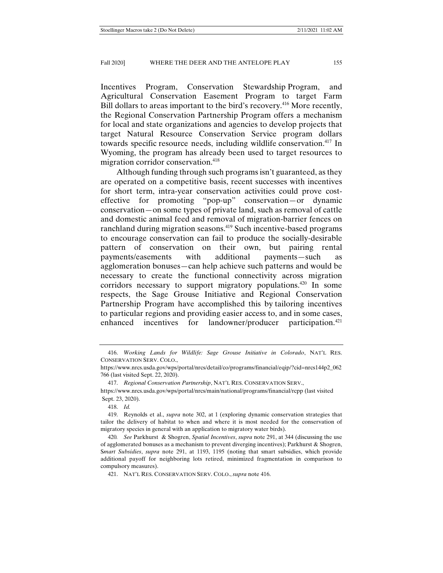Incentives Program, Conservation Stewardship Program, and Agricultural Conservation Easement Program to target Farm Bill dollars to areas important to the bird's recovery.<sup>416</sup> More recently, the Regional Conservation Partnership Program offers a mechanism for local and state organizations and agencies to develop projects that target Natural Resource Conservation Service program dollars towards specific resource needs, including wildlife conservation.417 In Wyoming, the program has already been used to target resources to migration corridor conservation.<sup>418</sup>

Although funding through such programs isn't guaranteed, as they are operated on a competitive basis, recent successes with incentives for short term, intra-year conservation activities could prove costeffective for promoting "pop-up" conservation—or dynamic conservation—on some types of private land, such as removal of cattle and domestic animal feed and removal of migration-barrier fences on ranchland during migration seasons.<sup>419</sup> Such incentive-based programs to encourage conservation can fail to produce the socially-desirable pattern of conservation on their own, but pairing rental payments/easements with additional payments—such as agglomeration bonuses—can help achieve such patterns and would be necessary to create the functional connectivity across migration corridors necessary to support migratory populations.420 In some respects, the Sage Grouse Initiative and Regional Conservation Partnership Program have accomplished this by tailoring incentives to particular regions and providing easier access to, and in some cases, enhanced incentives for landowner/producer participation.<sup>421</sup>

 <sup>416.</sup> *Working Lands for Wildlife: Sage Grouse Initiative in Colorado*, NAT'L RES. CONSERVATION SERV. COLO.,

https://www.nrcs.usda.gov/wps/portal/nrcs/detail/co/programs/financial/eqip/?cid=nrcs144p2\_062 766 (last visited Sept. 22, 2020).

 <sup>417.</sup> *Regional Conservation Partnership*, NAT'L RES. CONSERVATION SERV.,

https://www.nrcs.usda.gov/wps/portal/nrcs/main/national/programs/financial/rcpp (last visited Sept. 23, 2020).

 <sup>418.</sup> *Id.*

 <sup>419.</sup> Reynolds et al., *supra* note 302, at 1 (exploring dynamic conservation strategies that tailor the delivery of habitat to when and where it is most needed for the conservation of migratory species in general with an application to migratory water birds).

<sup>420</sup>*. See* Parkhurst & Shogren, *Spatial Incentives*, *supra* note 291, at 344 (discussing the use of agglomerated bonuses as a mechanism to prevent diverging incentives); Parkhurst & Shogren, S*mart Subsidies*, *supra* note 291, at 1193, 1195 (noting that smart subsidies, which provide additional payoff for neighboring lots retired, minimized fragmentation in comparison to compulsory measures).

 <sup>421.</sup> NAT'L RES. CONSERVATION SERV. COLO., *supra* note 416.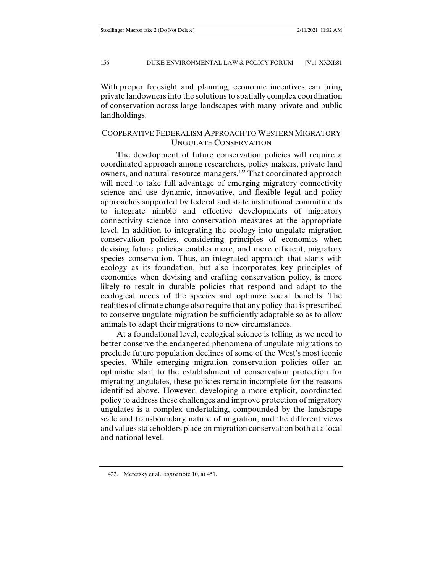With proper foresight and planning, economic incentives can bring private landowners into the solutions to spatially complex coordination of conservation across large landscapes with many private and public landholdings.

## COOPERATIVE FEDERALISM APPROACH TO WESTERN MIGRATORY UNGULATE CONSERVATION

The development of future conservation policies will require a coordinated approach among researchers, policy makers, private land owners, and natural resource managers.<sup>422</sup> That coordinated approach will need to take full advantage of emerging migratory connectivity science and use dynamic, innovative, and flexible legal and policy approaches supported by federal and state institutional commitments to integrate nimble and effective developments of migratory connectivity science into conservation measures at the appropriate level. In addition to integrating the ecology into ungulate migration conservation policies, considering principles of economics when devising future policies enables more, and more efficient, migratory species conservation. Thus, an integrated approach that starts with ecology as its foundation, but also incorporates key principles of economics when devising and crafting conservation policy, is more likely to result in durable policies that respond and adapt to the ecological needs of the species and optimize social benefits. The realities of climate change also require that any policy that is prescribed to conserve ungulate migration be sufficiently adaptable so as to allow animals to adapt their migrations to new circumstances.

At a foundational level, ecological science is telling us we need to better conserve the endangered phenomena of ungulate migrations to preclude future population declines of some of the West's most iconic species. While emerging migration conservation policies offer an optimistic start to the establishment of conservation protection for migrating ungulates, these policies remain incomplete for the reasons identified above. However, developing a more explicit, coordinated policy to address these challenges and improve protection of migratory ungulates is a complex undertaking, compounded by the landscape scale and transboundary nature of migration, and the different views and values stakeholders place on migration conservation both at a local and national level.

 <sup>422.</sup> Meretsky et al., *supra* note 10, at 451.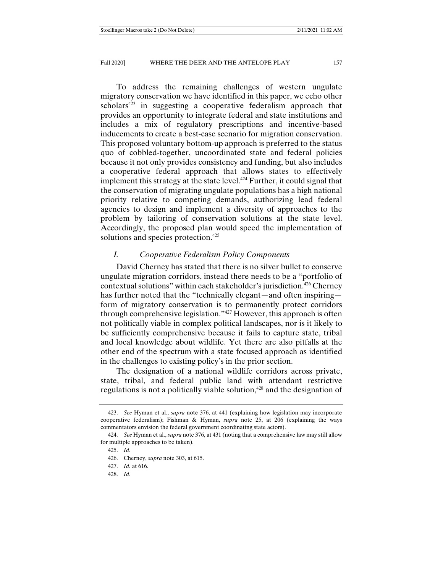To address the remaining challenges of western ungulate migratory conservation we have identified in this paper, we echo other scholars<sup> $423$ </sup> in suggesting a cooperative federalism approach that provides an opportunity to integrate federal and state institutions and includes a mix of regulatory prescriptions and incentive-based inducements to create a best-case scenario for migration conservation. This proposed voluntary bottom-up approach is preferred to the status quo of cobbled-together, uncoordinated state and federal policies because it not only provides consistency and funding, but also includes a cooperative federal approach that allows states to effectively implement this strategy at the state level.<sup>424</sup> Further, it could signal that the conservation of migrating ungulate populations has a high national priority relative to competing demands, authorizing lead federal agencies to design and implement a diversity of approaches to the problem by tailoring of conservation solutions at the state level. Accordingly, the proposed plan would speed the implementation of solutions and species protection.<sup>425</sup>

## *I. Cooperative Federalism Policy Components*

David Cherney has stated that there is no silver bullet to conserve ungulate migration corridors, instead there needs to be a "portfolio of contextual solutions" within each stakeholder's jurisdiction.<sup>426</sup> Cherney has further noted that the "technically elegant—and often inspiring form of migratory conservation is to permanently protect corridors through comprehensive legislation."427 However, this approach is often not politically viable in complex political landscapes, nor is it likely to be sufficiently comprehensive because it fails to capture state, tribal and local knowledge about wildlife. Yet there are also pitfalls at the other end of the spectrum with a state focused approach as identified in the challenges to existing policy's in the prior section.

The designation of a national wildlife corridors across private, state, tribal, and federal public land with attendant restrictive regulations is not a politically viable solution,<sup>428</sup> and the designation of

 <sup>423.</sup> *See* Hyman et al., *supra* note 376, at 441 (explaining how legislation may incorporate cooperative federalism); Fishman & Hyman, *supra* note 25, at 206 (explaining the ways commentators envision the federal government coordinating state actors).

 <sup>424.</sup> *See* Hyman et al., *supra* note 376, at 431 (noting that a comprehensive law may still allow for multiple approaches to be taken).

 <sup>425.</sup> *Id*.

 <sup>426.</sup> Cherney, *supra* note 303, at 615.

 <sup>427.</sup> *Id.* at 616.

 <sup>428.</sup> *Id*.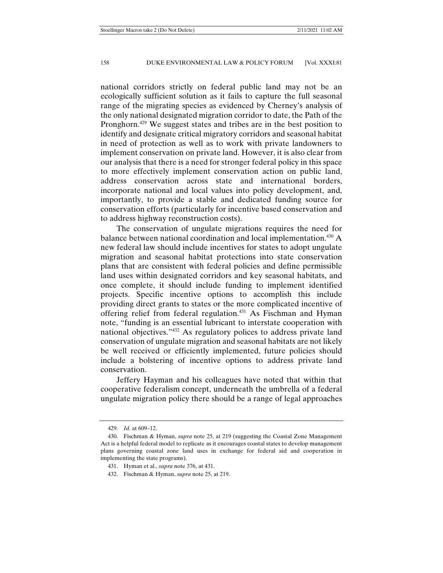national corridors strictly on federal public land may not be an ecologically sufficient solution as it fails to capture the full seasonal range of the migrating species as evidenced by Cherney's analysis of the only national designated migration corridor to date, the Path of the Pronghorn.429 We suggest states and tribes are in the best position to identify and designate critical migratory corridors and seasonal habitat in need of protection as well as to work with private landowners to implement conservation on private land. However, it is also clear from our analysis that there is a need for stronger federal policy in this space to more effectively implement conservation action on public land, address conservation across state and international borders, incorporate national and local values into policy development, and, importantly, to provide a stable and dedicated funding source for conservation efforts (particularly for incentive based conservation and to address highway reconstruction costs).

The conservation of ungulate migrations requires the need for balance between national coordination and local implementation.<sup>430</sup> A new federal law should include incentives for states to adopt ungulate migration and seasonal habitat protections into state conservation plans that are consistent with federal policies and define permissible land uses within designated corridors and key seasonal habitats, and once complete, it should include funding to implement identified projects. Specific incentive options to accomplish this include providing direct grants to states or the more complicated incentive of offering relief from federal regulation.431 As Fischman and Hyman note, "funding is an essential lubricant to interstate cooperation with national objectives."432 As regulatory polices to address private land conservation of ungulate migration and seasonal habitats are not likely be well received or efficiently implemented, future policies should include a bolstering of incentive options to address private land conservation.

Jeffery Hayman and his colleagues have noted that within that cooperative federalism concept, underneath the umbrella of a federal ungulate migration policy there should be a range of legal approaches

 <sup>429.</sup> *Id*. at 609–12.

 <sup>430.</sup> Fischman & Hyman, *supra* note 25, at 219 (suggesting the Coastal Zone Management Act is a helpful federal model to replicate as it encourages coastal states to develop management plans governing coastal zone land uses in exchange for federal aid and cooperation in implementing the state programs).

 <sup>431.</sup> Hyman et al., *supra* note 376, at 431.

 <sup>432.</sup> Fischman & Hyman, *supra* note 25, at 219.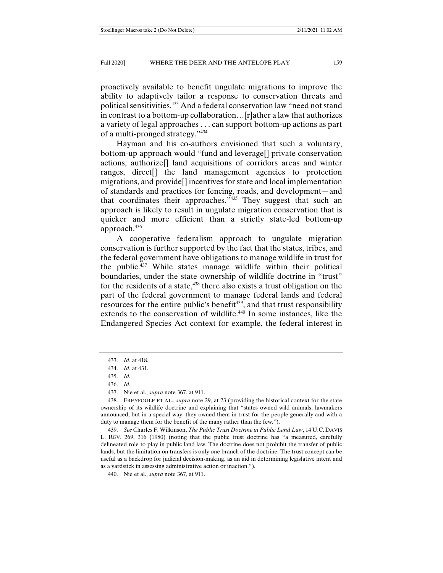proactively available to benefit ungulate migrations to improve the ability to adaptively tailor a response to conservation threats and political sensitivities.433 And a federal conservation law "need not stand in contrast to a bottom-up collaboration…[r]ather a law that authorizes a variety of legal approaches . . . can support bottom-up actions as part of a multi-pronged strategy."434

Hayman and his co-authors envisioned that such a voluntary, bottom-up approach would "fund and leverage[] private conservation actions, authorize[] land acquisitions of corridors areas and winter ranges, direct[] the land management agencies to protection migrations, and provide[] incentives for state and local implementation of standards and practices for fencing, roads, and development—and that coordinates their approaches."435 They suggest that such an approach is likely to result in ungulate migration conservation that is quicker and more efficient than a strictly state-led bottom-up approach.436

A cooperative federalism approach to ungulate migration conservation is further supported by the fact that the states, tribes, and the federal government have obligations to manage wildlife in trust for the public.437 While states manage wildlife within their political boundaries, under the state ownership of wildlife doctrine in "trust" for the residents of a state, $438$  there also exists a trust obligation on the part of the federal government to manage federal lands and federal resources for the entire public's benefit<sup>439</sup>, and that trust responsibility extends to the conservation of wildlife.440 In some instances, like the Endangered Species Act context for example, the federal interest in

 <sup>433.</sup> *Id*. at 418.

 <sup>434.</sup> *Id*. at 431.

 <sup>435.</sup> *Id.*

 <sup>436.</sup> *Id*.

 <sup>437.</sup> Nie et al., *supra* note 367, at 911.

 <sup>438.</sup> FREYFOGLE ET AL., *supra* note 29, at 23 (providing the historical context for the state ownership of its wildlife doctrine and explaining that "states owned wild animals, lawmakers announced, but in a special way: they owned them in trust for the people generally and with a duty to manage them for the benefit of the many rather than the few.").

 <sup>439.</sup> *See* Charles F. Wilkinson, *The Public Trust Doctrine in Public Land Law*, 14 U.C. DAVIS L. REV. 269, 316 (1980) (noting that the public trust doctrine has "a measured, carefully delineated role to play in public land law. The doctrine does not prohibit the transfer of public lands, but the limitation on transfers is only one branch of the doctrine. The trust concept can be useful as a backdrop for judicial decision-making, as an aid in determining legislative intent and as a yardstick in assessing administrative action or inaction.").

 <sup>440.</sup> Nie et al., *supra* note 367, at 911.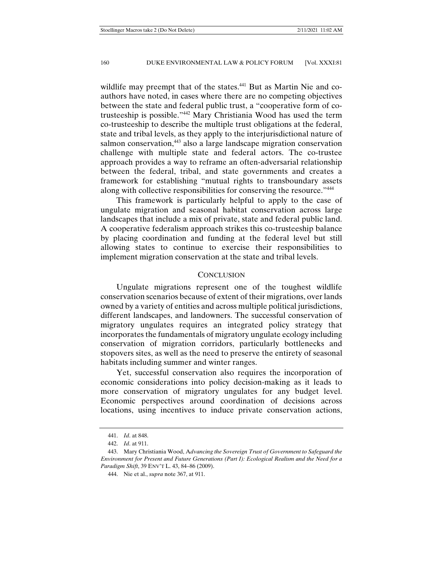wildlife may preempt that of the states.<sup>441</sup> But as Martin Nie and coauthors have noted, in cases where there are no competing objectives between the state and federal public trust, a "cooperative form of cotrusteeship is possible."442 Mary Christiania Wood has used the term co-trusteeship to describe the multiple trust obligations at the federal, state and tribal levels, as they apply to the interjurisdictional nature of salmon conservation,<sup>443</sup> also a large landscape migration conservation challenge with multiple state and federal actors. The co-trustee approach provides a way to reframe an often-adversarial relationship between the federal, tribal, and state governments and creates a framework for establishing "mutual rights to transboundary assets along with collective responsibilities for conserving the resource."<sup>444</sup>

This framework is particularly helpful to apply to the case of ungulate migration and seasonal habitat conservation across large landscapes that include a mix of private, state and federal public land. A cooperative federalism approach strikes this co-trusteeship balance by placing coordination and funding at the federal level but still allowing states to continue to exercise their responsibilities to implement migration conservation at the state and tribal levels.

## **CONCLUSION**

Ungulate migrations represent one of the toughest wildlife conservation scenarios because of extent of their migrations, over lands owned by a variety of entities and across multiple political jurisdictions, different landscapes, and landowners. The successful conservation of migratory ungulates requires an integrated policy strategy that incorporates the fundamentals of migratory ungulate ecology including conservation of migration corridors, particularly bottlenecks and stopovers sites, as well as the need to preserve the entirety of seasonal habitats including summer and winter ranges.

Yet, successful conservation also requires the incorporation of economic considerations into policy decision-making as it leads to more conservation of migratory ungulates for any budget level. Economic perspectives around coordination of decisions across locations, using incentives to induce private conservation actions,

 <sup>441.</sup> *Id*. at 848.

 <sup>442.</sup> *Id*. at 911.

 <sup>443.</sup> Mary Christiania Wood, A*dvancing the Sovereign Trust of Government to Safeguard the Environment for Present and Future Generations (Part I): Ecological Realism and the Need for a Paradigm Shift*, 39 ENV'T L. 43, 84–86 (2009).

 <sup>444.</sup> Nie et al., *supra* note 367, at 911.